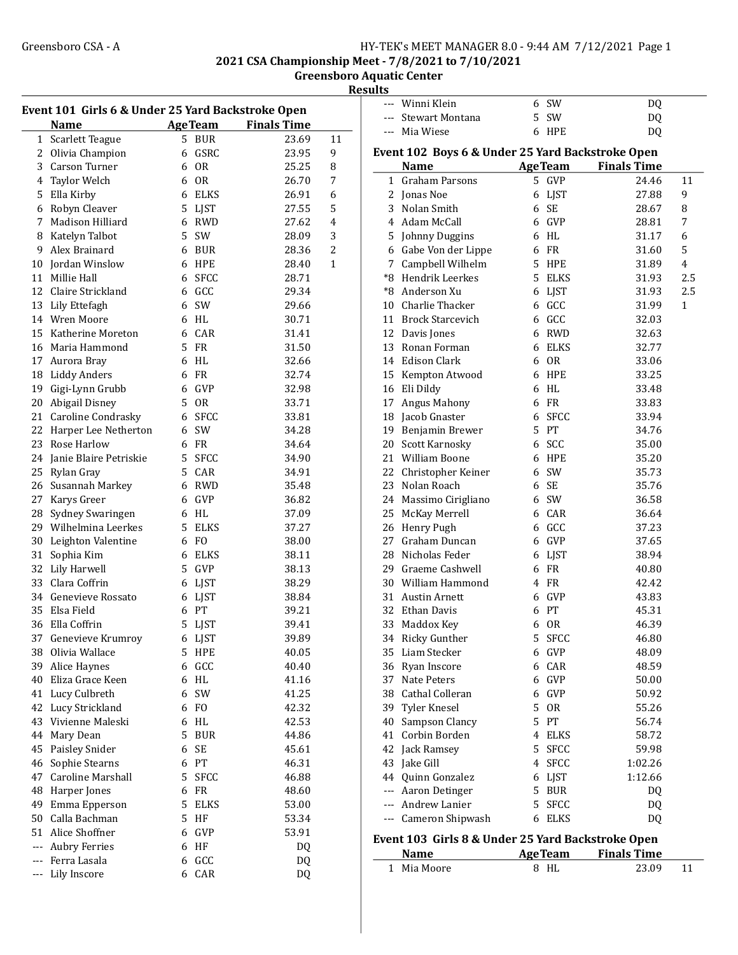--- DQ Winni Klein 6 SW --- Stewart Montana 5 SW DQ --- Mia Wiese 6 HPE DQ

2021 CSA Championship Meet - 7/8/2021 to 7/10/2021

Greensboro Aquatic Center

| 'esults<br>к |  |
|--------------|--|
|--------------|--|

| Event 101 Girls 6 & Under 25 Yard Backstroke Open |                        |    |                |                    |                |  |
|---------------------------------------------------|------------------------|----|----------------|--------------------|----------------|--|
|                                                   | <b>Name</b>            |    | <b>AgeTeam</b> | <b>Finals Time</b> |                |  |
| $\mathbf{1}$                                      | Scarlett Teague        |    | 5 BUR          | 23.69              | 11             |  |
| $\overline{2}$                                    | Olivia Champion        |    | 6 GSRC         | 23.95              | 9              |  |
| 3                                                 | Carson Turner          |    | 6 OR           | 25.25              | 8              |  |
| $\overline{4}$                                    | Taylor Welch           | 6  | <b>OR</b>      | 26.70              | 7              |  |
| 5                                                 | Ella Kirby             |    | 6 ELKS         | 26.91              | 6              |  |
| 6                                                 | Robyn Cleaver          | 5  | <b>LJST</b>    | 27.55              | 5              |  |
| 7                                                 | Madison Hilliard       |    | 6 RWD          | 27.62              | 4              |  |
| 8                                                 | Katelyn Talbot         | 5  | SW             | 28.09              | 3              |  |
| 9                                                 | Alex Brainard          |    | 6 BUR          | 28.36              | $\overline{2}$ |  |
| 10                                                | Jordan Winslow         | 6  | <b>HPE</b>     | 28.40              | 1              |  |
| 11                                                | Millie Hall            | 6  | <b>SFCC</b>    | 28.71              |                |  |
| 12                                                | Claire Strickland      |    | 6 GCC          | 29.34              |                |  |
|                                                   | 13 Lily Ettefagh       | 6  | SW             | 29.66              |                |  |
|                                                   | 14 Wren Moore          |    | 6 HL           | 30.71              |                |  |
| 15                                                | Katherine Moreton      |    | 6 CAR          | 31.41              |                |  |
|                                                   |                        |    |                |                    |                |  |
| 16                                                | Maria Hammond          |    | 5 FR           | 31.50              |                |  |
| 17                                                | Aurora Bray            |    | 6 HL           | 32.66              |                |  |
| 18                                                | <b>Liddy Anders</b>    |    | 6 FR           | 32.74              |                |  |
| 19                                                | Gigi-Lynn Grubb        | 6  | GVP            | 32.98              |                |  |
| 20                                                | Abigail Disney         | 5  | <b>OR</b>      | 33.71              |                |  |
| 21                                                | Caroline Condrasky     | 6  | <b>SFCC</b>    | 33.81              |                |  |
| 22                                                | Harper Lee Netherton   | 6  | SW             | 34.28              |                |  |
| 23                                                | Rose Harlow            | 6  | <b>FR</b>      | 34.64              |                |  |
| 24                                                | Janie Blaire Petriskie | 5  | <b>SFCC</b>    | 34.90              |                |  |
| 25                                                | Rylan Gray             | 5  | CAR            | 34.91              |                |  |
| 26                                                | Susannah Markey        |    | 6 RWD          | 35.48              |                |  |
| 27                                                | Karys Greer            | 6  | GVP            | 36.82              |                |  |
| 28                                                | Sydney Swaringen       |    | 6 HL           | 37.09              |                |  |
| 29                                                | Wilhelmina Leerkes     | 5. | <b>ELKS</b>    | 37.27              |                |  |
| 30                                                | Leighton Valentine     | 6  | F <sub>O</sub> | 38.00              |                |  |
| 31                                                | Sophia Kim             | 6  | <b>ELKS</b>    | 38.11              |                |  |
| 32                                                | Lily Harwell           | 5  | GVP            | 38.13              |                |  |
| 33                                                | Clara Coffrin          |    | 6 LJST         | 38.29              |                |  |
| 34                                                | Genevieve Rossato      |    | 6 LJST         | 38.84              |                |  |
| 35                                                | Elsa Field             |    | 6 PT           | 39.21              |                |  |
| 36                                                | Ella Coffrin           |    | 5 LJST         | 39.41              |                |  |
|                                                   | 37 Genevieve Krumroy   |    | 6 LJST         | 39.89              |                |  |
|                                                   | 38 Olivia Wallace      |    | 5 HPE          | 40.05              |                |  |
| 39                                                | Alice Haynes           |    | 6 GCC          | 40.40              |                |  |
| 40                                                | Eliza Grace Keen       |    | 6 HL           | 41.16              |                |  |
| 41                                                | Lucy Culbreth          | 6  | SW             | 41.25              |                |  |
| 42                                                | Lucy Strickland        | 6  | F <sub>O</sub> | 42.32              |                |  |
| 43                                                | Vivienne Maleski       | 6  | HL             | 42.53              |                |  |
| 44                                                | Mary Dean              | 5  | <b>BUR</b>     | 44.86              |                |  |
| 45                                                | Paisley Snider         | 6  | SE             | 45.61              |                |  |
| 46                                                | Sophie Stearns         |    | 6 PT           | 46.31              |                |  |
| 47                                                | Caroline Marshall      | 5. | <b>SFCC</b>    | 46.88              |                |  |
| 48                                                | Harper Jones           | 6  | FR             | 48.60              |                |  |
| 49                                                | Emma Epperson          | 5  | <b>ELKS</b>    | 53.00              |                |  |
| 50                                                | Calla Bachman          | 5  | HF             | 53.34              |                |  |
|                                                   | 51 Alice Shoffner      | 6  | GVP            | 53.91              |                |  |
| $ -$                                              | <b>Aubry Ferries</b>   | 6  | HF             | DQ                 |                |  |
| $---$                                             | Ferra Lasala           | 6  | GCC            | DQ                 |                |  |
| ---                                               | Lily Inscore           | 6  | CAR            | DQ                 |                |  |
|                                                   |                        |    |                |                    |                |  |

| Event 102 Boys 6 & Under 25 Yard Backstroke Open |                                                   |                           |                    |                |
|--------------------------------------------------|---------------------------------------------------|---------------------------|--------------------|----------------|
|                                                  | <b>Name</b>                                       | <b>AgeTeam</b>            | <b>Finals Time</b> |                |
| 1                                                | <b>Graham Parsons</b>                             | GVP<br>5                  | 24.46              | 11             |
|                                                  | 2 Jonas Noe                                       | 6<br>LJST                 | 27.88              | 9              |
|                                                  | 3 Nolan Smith                                     | <b>SE</b><br>6            | 28.67              | 8              |
|                                                  | 4 Adam McCall                                     | GVP<br>6                  | 28.81              | 7              |
|                                                  | 5 Johnny Duggins                                  | HL<br>6                   | 31.17              | 6              |
|                                                  | 6 Gabe Von der Lippe                              | FR.<br>6                  | 31.60              | 5              |
| 7                                                | Campbell Wilhelm                                  | 5.<br><b>HPE</b>          | 31.89              | $\overline{4}$ |
|                                                  | *8 Hendrik Leerkes                                | 5<br><b>ELKS</b>          | 31.93              | 2.5            |
|                                                  | *8 Anderson Xu                                    | <b>LJST</b><br>6          | 31.93              | 2.5            |
|                                                  | 10 Charlie Thacker                                | GCC<br>6                  | 31.99              | 1              |
|                                                  | 11 Brock Starcevich                               | GCC<br>6                  | 32.03              |                |
|                                                  | 12 Davis Jones                                    | <b>RWD</b><br>6           | 32.63              |                |
|                                                  | 13 Ronan Forman                                   | <b>ELKS</b><br>6          | 32.77              |                |
|                                                  | 14 Edison Clark                                   | 6<br><b>OR</b>            | 33.06              |                |
|                                                  | 15 Kempton Atwood                                 | <b>HPE</b><br>6           | 33.25              |                |
|                                                  | 16 Eli Dildy                                      | <b>HL</b><br>6            | 33.48              |                |
| 17                                               | Angus Mahony                                      | <b>FR</b><br>6            | 33.83              |                |
|                                                  | 18 Jacob Gnaster                                  | <b>SFCC</b><br>6          | 33.94              |                |
|                                                  | 19 Benjamin Brewer                                | 5<br>PT                   | 34.76              |                |
|                                                  | 20 Scott Karnosky                                 | SCC<br>6                  | 35.00              |                |
|                                                  | 21 William Boone                                  | 6<br>HPE                  | 35.20              |                |
|                                                  | 22 Christopher Keiner                             | SW<br>6                   | 35.73              |                |
|                                                  | 23 Nolan Roach                                    | SE<br>6                   | 35.76              |                |
|                                                  | 24 Massimo Cirigliano                             | SW<br>6                   | 36.58              |                |
|                                                  | 25 McKay Merrell                                  | CAR<br>6                  | 36.64              |                |
| 26                                               | Henry Pugh                                        | GCC<br>6                  | 37.23              |                |
|                                                  | 27 Graham Duncan                                  | <b>GVP</b><br>6           | 37.65              |                |
| 28                                               | Nicholas Feder                                    | <b>LJST</b><br>6          | 38.94              |                |
|                                                  | 29 Graeme Cashwell                                | <b>FR</b><br>6            |                    |                |
|                                                  | 30 William Hammond                                | <b>FR</b><br>4            | 40.80<br>42.42     |                |
| 31                                               | Austin Arnett                                     | <b>GVP</b><br>6           | 43.83              |                |
|                                                  |                                                   |                           |                    |                |
|                                                  | 32 Ethan Davis                                    | PT<br>6<br>6<br><b>OR</b> | 45.31              |                |
|                                                  | 33 Maddox Key                                     | 5                         | 46.39              |                |
|                                                  | 34 Ricky Gunther<br>35 Liam Stecker               | <b>SFCC</b>               | 46.80              |                |
|                                                  |                                                   | 6<br><b>GVP</b>           | 48.09              |                |
|                                                  | 36 Ryan Inscore                                   | CAR<br>6                  | 48.59              |                |
|                                                  | 37 Nate Peters                                    | 6 GVP                     | 50.00              |                |
|                                                  | 38 Cathal Colleran                                | GVP<br>6                  | 50.92              |                |
| 39                                               | Tyler Knesel                                      | 5<br>0R                   | 55.26              |                |
| 40                                               | Sampson Clancy                                    | 5<br>PT                   | 56.74              |                |
| 41                                               | Corbin Borden                                     | <b>ELKS</b><br>4          | 58.72              |                |
|                                                  | 42 Jack Ramsey                                    | 5<br><b>SFCC</b>          | 59.98              |                |
|                                                  | 43 Jake Gill                                      | 4<br><b>SFCC</b>          | 1:02.26            |                |
|                                                  | 44 Quinn Gonzalez                                 | <b>LJST</b><br>6          | 1:12.66            |                |
|                                                  | --- Aaron Detinger                                | 5<br><b>BUR</b>           | DQ                 |                |
|                                                  | --- Andrew Lanier                                 | 5<br><b>SFCC</b>          | DQ                 |                |
|                                                  | Cameron Shipwash                                  | <b>ELKS</b><br>6          | DQ                 |                |
|                                                  | Event 103 Girls 8 & Under 25 Yard Backstroke Open |                           |                    |                |
|                                                  | Name                                              | AgeTeam Finals Time       |                    |                |

1 23.09 11 Mia Moore 8 HL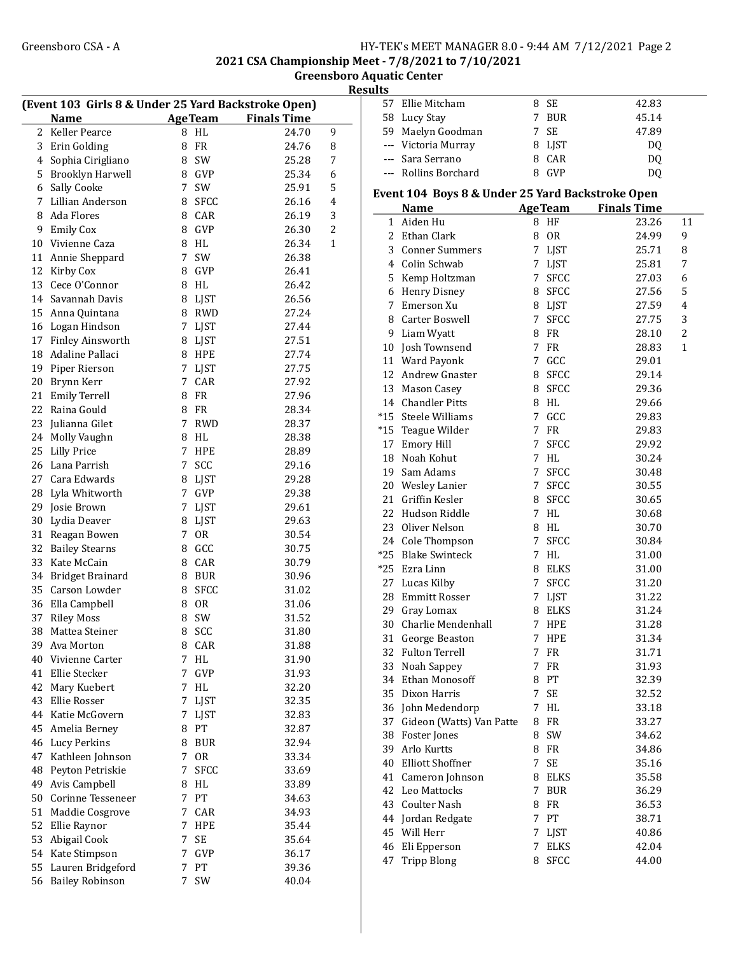2021 CSA Championship Meet - 7/8/2021 to 7/10/2021

Greensboro Aquatic Center Results

| (Event 103 Girls 8 & Under 25 Yard Backstroke Open) |                         |                              |                    |  |  |  |  |
|-----------------------------------------------------|-------------------------|------------------------------|--------------------|--|--|--|--|
|                                                     | <b>Name</b>             | <b>AgeTeam</b>               | <b>Finals Time</b> |  |  |  |  |
| 2                                                   | Keller Pearce           | 8<br>HL                      | 24.70<br>9         |  |  |  |  |
| 3                                                   | Erin Golding            | <b>FR</b><br>8               | 24.76<br>8         |  |  |  |  |
| 4                                                   | Sophia Cirigliano       | SW<br>8                      | 25.28<br>7         |  |  |  |  |
| 5                                                   | <b>Brooklyn Harwell</b> | 8 GVP                        | 25.34<br>6         |  |  |  |  |
| 6                                                   | Sally Cooke             | $\overline{7}$<br>SW         | 5<br>25.91         |  |  |  |  |
| 7                                                   | Lillian Anderson        | 8<br><b>SFCC</b>             | 26.16<br>4         |  |  |  |  |
| 8                                                   | Ada Flores              | 8<br>CAR                     | 3<br>26.19         |  |  |  |  |
| 9                                                   | <b>Emily Cox</b>        | GVP<br>8                     | 2<br>26.30         |  |  |  |  |
| 10                                                  | Vivienne Caza           | 8<br>HL                      | 26.34<br>1         |  |  |  |  |
| 11                                                  | Annie Sheppard          | 7<br>SW                      | 26.38              |  |  |  |  |
| 12                                                  | Kirby Cox               | 8<br>GVP                     | 26.41              |  |  |  |  |
| 13                                                  | Cece O'Connor           | 8<br>HL                      | 26.42              |  |  |  |  |
| 14                                                  | Savannah Davis          | 8 LJST                       | 26.56              |  |  |  |  |
| 15                                                  |                         |                              | 27.24              |  |  |  |  |
|                                                     | Anna Quintana           | 8 RWD                        |                    |  |  |  |  |
|                                                     | 16 Logan Hindson        | 7<br><b>LJST</b>             | 27.44              |  |  |  |  |
| 17                                                  | Finley Ainsworth        | 8 LJST                       | 27.51              |  |  |  |  |
| 18                                                  | Adaline Pallaci         | 8 HPE                        | 27.74              |  |  |  |  |
| 19                                                  | Piper Rierson           | 7<br>LJST                    | 27.75              |  |  |  |  |
| 20                                                  | Brynn Kerr              | $7^{\circ}$<br>CAR           | 27.92              |  |  |  |  |
| 21                                                  | <b>Emily Terrell</b>    | 8<br>FR                      | 27.96              |  |  |  |  |
| 22                                                  | Raina Gould             | FR<br>8                      | 28.34              |  |  |  |  |
| 23                                                  | Julianna Gilet          | $\overline{7}$<br><b>RWD</b> | 28.37              |  |  |  |  |
| 24                                                  | Molly Vaughn            | 8<br>HL                      | 28.38              |  |  |  |  |
| 25                                                  | <b>Lilly Price</b>      | 7<br><b>HPE</b>              | 28.89              |  |  |  |  |
| 26                                                  | Lana Parrish            | SCC<br>7                     | 29.16              |  |  |  |  |
| 27                                                  | Cara Edwards            | 8<br>LJST                    | 29.28              |  |  |  |  |
| 28                                                  | Lyla Whitworth          | $7^{\circ}$<br>GVP           | 29.38              |  |  |  |  |
| 29                                                  | Josie Brown             | 7<br>LJST                    | 29.61              |  |  |  |  |
| 30                                                  | Lydia Deaver            | 8 LJST                       | 29.63              |  |  |  |  |
| 31                                                  | Reagan Bowen            | $7^{\circ}$<br>0R            | 30.54              |  |  |  |  |
| 32                                                  | <b>Bailey Stearns</b>   | 8<br>GCC                     | 30.75              |  |  |  |  |
| 33                                                  | Kate McCain             | CAR<br>8                     | 30.79              |  |  |  |  |
| 34                                                  | <b>Bridget Brainard</b> | 8 BUR                        | 30.96              |  |  |  |  |
| 35                                                  | Carson Lowder           | 8<br><b>SFCC</b>             | 31.02              |  |  |  |  |
| 36                                                  | Ella Campbell           | <b>OR</b><br>8               | 31.06              |  |  |  |  |
| 37                                                  | <b>Riley Moss</b>       | SW<br>8                      | 31.52              |  |  |  |  |
| 38                                                  | Mattea Steiner          | 8<br>SCC                     | 31.80              |  |  |  |  |
| 39                                                  | Ava Morton              | CAR<br>8                     | 31.88              |  |  |  |  |
| 40                                                  | Vivienne Carter         | HL<br>7                      | 31.90              |  |  |  |  |
| 41                                                  | Ellie Stecker           | 7<br>GVP                     | 31.93              |  |  |  |  |
| 42                                                  | Mary Kuebert            | 7<br>HL                      | 32.20              |  |  |  |  |
| 43                                                  | Ellie Rosser            | 7<br><b>LJST</b>             | 32.35              |  |  |  |  |
| 44                                                  | Katie McGovern          | 7<br><b>LJST</b>             | 32.83              |  |  |  |  |
| 45                                                  |                         | 8<br>PT                      |                    |  |  |  |  |
|                                                     | Amelia Berney           |                              | 32.87              |  |  |  |  |
| 46                                                  | <b>Lucy Perkins</b>     | <b>BUR</b><br>8              | 32.94              |  |  |  |  |
| 47                                                  | Kathleen Johnson        | 7<br><b>OR</b>               | 33.34              |  |  |  |  |
| 48                                                  | Peyton Petriskie        | <b>SFCC</b><br>7             | 33.69              |  |  |  |  |
| 49                                                  | Avis Campbell           | 8<br>HL                      | 33.89              |  |  |  |  |
| 50                                                  | Corinne Tesseneer       | 7<br>PT                      | 34.63              |  |  |  |  |
| 51                                                  | Maddie Cosgrove         | 7<br>CAR                     | 34.93              |  |  |  |  |
| 52                                                  | Ellie Raynor            | 7<br><b>HPE</b>              | 35.44              |  |  |  |  |
| 53                                                  | Abigail Cook            | SE<br>7                      | 35.64              |  |  |  |  |
| 54                                                  | Kate Stimpson           | 7<br>GVP                     | 36.17              |  |  |  |  |
| 55                                                  | Lauren Bridgeford       | 7<br>PT                      | 39.36              |  |  |  |  |
| 56                                                  | <b>Bailey Robinson</b>  | SW<br>7                      | 40.04              |  |  |  |  |

| sults        |                                                  |             |                |                    |                |
|--------------|--------------------------------------------------|-------------|----------------|--------------------|----------------|
|              | 57 Ellie Mitcham                                 | 8           | <b>SE</b>      | 42.83              |                |
|              | 58 Lucy Stay                                     | 7           | <b>BUR</b>     | 45.14              |                |
|              | 59 Maelyn Goodman                                | 7           | <b>SE</b>      | 47.89              |                |
|              | --- Victoria Murray                              |             | 8 LJST         | DQ                 |                |
|              | --- Sara Serrano                                 |             | 8 CAR          | DQ                 |                |
|              | --- Rollins Borchard                             | 8           | GVP            | <b>DQ</b>          |                |
|              |                                                  |             |                |                    |                |
|              | Event 104 Boys 8 & Under 25 Yard Backstroke Open |             |                |                    |                |
|              | <b>Name</b>                                      |             | <b>AgeTeam</b> | <b>Finals Time</b> |                |
| $\mathbf{1}$ | Aiden Hu                                         |             | 8 HF           | 23.26              | 11             |
|              | 2 Ethan Clark                                    | 8           | <b>OR</b>      | 24.99              | 9              |
| 3            | <b>Conner Summers</b>                            | 7           | <b>LJST</b>    | 25.71              | 8              |
|              | 4 Colin Schwab                                   | 7           | <b>LJST</b>    | 25.81              | 7              |
| 5            | Kemp Holtzman                                    | 7           | <b>SFCC</b>    | 27.03              | 6              |
|              | 6 Henry Disney                                   | 8           | SFCC           | 27.56              | 5              |
| 7            | Emerson Xu                                       |             | 8 LJST         | 27.59              | $\overline{4}$ |
|              | 8 Carter Boswell                                 | 7           | <b>SFCC</b>    | 27.75              | 3              |
|              | 9 Liam Wyatt                                     | 8           | FR             | 28.10              | 2              |
|              | 10 Josh Townsend                                 | 7           | FR             | 28.83              | 1              |
|              | 11 Ward Payonk                                   |             | 7 GCC          | 29.01              |                |
|              | 12 Andrew Gnaster                                |             | 8 SFCC         | 29.14              |                |
|              | 13 Mason Casey                                   |             | 8 SFCC         | 29.36              |                |
|              | 14 Chandler Pitts                                |             | 8 HL           | 29.66              |                |
|              | *15 Steele Williams                              | 7           | GCC            | 29.83              |                |
| $*15$        | Teague Wilder                                    | $7^{\circ}$ | FR.            | 29.83              |                |
| 17           | <b>Emory Hill</b>                                | 7           | <b>SFCC</b>    | 29.92              |                |
| 18           | Noah Kohut                                       | 7           | HL             | 30.24              |                |
|              | 19 Sam Adams                                     | 7           | <b>SFCC</b>    | 30.48              |                |
|              | 20 Wesley Lanier                                 | $7^{\circ}$ | <b>SFCC</b>    | 30.55              |                |
| 21           | Griffin Kesler                                   |             | 8 SFCC         | 30.65              |                |
|              | 22 Hudson Riddle                                 |             | 7 HL           | 30.68              |                |
|              | 23 Oliver Nelson                                 |             | 8 HL           | 30.70              |                |
|              | 24 Cole Thompson                                 |             | 7 SFCC         | 30.84              |                |
|              | *25 Blake Swinteck                               |             | 7 HL           | 31.00              |                |
|              | *25 Ezra Linn                                    |             | 8 ELKS         | 31.00              |                |
| 27           | Lucas Kilby                                      | 7           | <b>SFCC</b>    | 31.20              |                |
| 28           | <b>Emmitt Rosser</b>                             | 7           | LJST           | 31.22              |                |
| 29           | Gray Lomax                                       | 8           | <b>ELKS</b>    | 31.24              |                |
| 30           | Charlie Mendenhall                               | 7           | <b>HPE</b>     | 31.28              |                |
| 31           | George Beaston                                   | 7           | HPE            | 31.34              |                |
| 32           | <b>Fulton Terrell</b>                            | 7           | FR             | 31.71              |                |
| 33           | Noah Sappey                                      | 7           | FR             | 31.93              |                |
|              | 34 Ethan Monosoff                                | 8           | PT             | 32.39              |                |
|              | 35 Dixon Harris<br>36 John Medendorp             | 7<br>7      | SE<br>HL       | 32.52<br>33.18     |                |
| 37           | Gideon (Watts) Van Patte                         | 8           | FR             | 33.27              |                |
| 38           | Foster Jones                                     | 8           | SW             | 34.62              |                |
| 39           | Arlo Kurtts                                      | 8           | FR             | 34.86              |                |
| 40           | <b>Elliott Shoffner</b>                          | 7           | SE             | 35.16              |                |
| 41           | Cameron Johnson                                  | 8           | <b>ELKS</b>    | 35.58              |                |
| 42           | Leo Mattocks                                     | 7           | <b>BUR</b>     | 36.29              |                |
| 43           | Coulter Nash                                     | 8           | FR             | 36.53              |                |
| 44           | Jordan Redgate                                   | 7           | PT             | 38.71              |                |
| 45           | Will Herr                                        | 7           | <b>LJST</b>    | 40.86              |                |
| 46           | Eli Epperson                                     | 7           | <b>ELKS</b>    | 42.04              |                |
| 47           | <b>Tripp Blong</b>                               | 8           | <b>SFCC</b>    | 44.00              |                |
|              |                                                  |             |                |                    |                |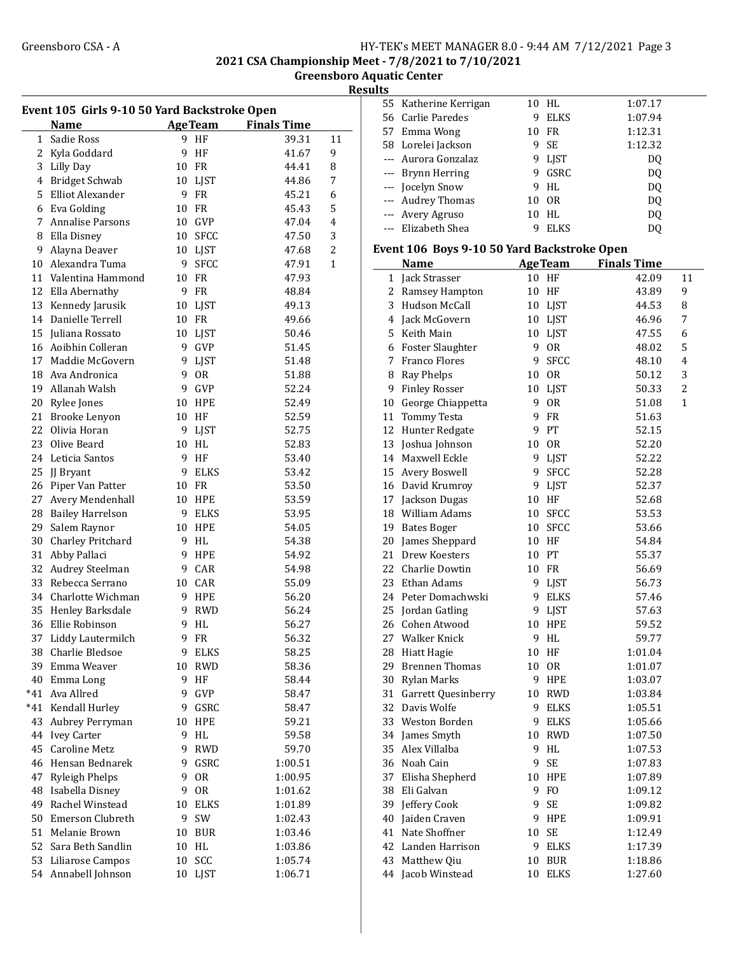2021 CSA Championship Meet - 7/8/2021 to 7/10/2021

Greensboro Aquatic Center **Results** 

|              | <b>Name</b>             |    | <b>AgeTeam</b> | <b>Finals Time</b> |                |
|--------------|-------------------------|----|----------------|--------------------|----------------|
| $\mathbf{1}$ | Sadie Ross              |    | 9 HF           | 39.31              | 11             |
|              | 2 Kyla Goddard          | 9  | HF             | 41.67              | 9              |
|              | 3 Lilly Day             | 10 | FR             | 44.41              | 8              |
|              | 4 Bridget Schwab        | 10 | LJST           | 44.86              | 7              |
|              | 5 Elliot Alexander      | 9  | <b>FR</b>      | 45.21              | 6              |
|              | 6 Eva Golding           | 10 | FR             | 45.43              | 5              |
| 7            | <b>Annalise Parsons</b> | 10 | GVP            | 47.04              | 4              |
|              | 8 Ella Disney           | 10 | <b>SFCC</b>    | 47.50              | 3              |
| 9            | Alayna Deaver           | 10 | LJST           | 47.68              | $\overline{2}$ |
|              | 10 Alexandra Tuma       | 9  | <b>SFCC</b>    | 47.91              | 1              |
|              | 11 Valentina Hammond    | 10 | FR             | 47.93              |                |
|              | 12 Ella Abernathy       | 9  | FR             | 48.84              |                |
|              | 13 Kennedy Jarusik      | 10 | LJST           | 49.13              |                |
|              | 14 Danielle Terrell     | 10 | FR             | 49.66              |                |
|              | 15 Juliana Rossato      | 10 | LJST           | 50.46              |                |
|              | 16 Aoibhin Colleran     | 9  | GVP            | 51.45              |                |
| 17           | Maddie McGovern         | 9  | LJST           | 51.48              |                |
| 18           | Ava Andronica           | 9  | <b>OR</b>      | 51.88              |                |
| 19           | Allanah Walsh           | 9  | GVP            | 52.24              |                |
|              | 20 Rylee Jones          | 10 | <b>HPE</b>     | 52.49              |                |
| 21           | Brooke Lenyon           | 10 | HF             | 52.59              |                |
| 22           | Olivia Horan            | 9  | LJST           | 52.75              |                |
|              | 23 Olive Beard          | 10 | HL             | 52.83              |                |
|              | 24 Leticia Santos       | 9  | HF             | 53.40              |                |
|              | 25 JJ Bryant            | 9  | ELKS           | 53.42              |                |
|              | 26 Piper Van Patter     | 10 | FR             | 53.50              |                |
| 27           | Avery Mendenhall        | 10 | HPE            | 53.59              |                |
|              | 28 Bailey Harrelson     | 9  | ELKS           | 53.95              |                |
| 29           | Salem Raynor            | 10 | <b>HPE</b>     | 54.05              |                |
|              | 30 Charley Pritchard    | 9  | HL             | 54.38              |                |
| 31           | Abby Pallaci            | 9  | <b>HPE</b>     | 54.92              |                |
| 32           | Audrey Steelman         | 9  | CAR            | 54.98              |                |
| 33           | Rebecca Serrano         | 10 | CAR            | 55.09              |                |
|              | 34 Charlotte Wichman    | 9  | HPE            | 56.20              |                |
|              | 35 Henley Barksdale     | 9  | RWD            | 56.24              |                |
|              | 36 Ellie Robinson       | 9  | HL             | 56.27              |                |
|              | 37 Liddy Lautermilch    |    | 9 FR           | 56.32              |                |
|              | 38 Charlie Bledsoe      | 9  | ELKS           | 58.25              |                |
| 39           | Emma Weaver             | 10 | <b>RWD</b>     | 58.36              |                |
|              | 40 Emma Long            | 9  | HF             | 58.44              |                |
| *41          | Ava Allred              | 9  | GVP            | 58.47              |                |
| *41          | Kendall Hurley          | 9  | GSRC           | 58.47              |                |
| 43           | Aubrey Perryman         | 10 | HPE            | 59.21              |                |
| 44           | <b>Ivey Carter</b>      | 9  | HL             | 59.58              |                |
| 45           | <b>Caroline Metz</b>    | 9  | <b>RWD</b>     | 59.70              |                |
| 46           | Hensan Bednarek         | 9  | GSRC           | 1:00.51            |                |
| 47           | <b>Ryleigh Phelps</b>   | 9  | 0R             | 1:00.95            |                |
| 48           | Isabella Disney         | 9  | 0R             | 1:01.62            |                |
| 49           | Rachel Winstead         | 10 | <b>ELKS</b>    | 1:01.89            |                |
| 50           | Emerson Clubreth        | 9  | SW             | 1:02.43            |                |
|              | 51<br>Melanie Brown     | 10 | <b>BUR</b>     | 1:03.46            |                |

52 Sara Beth Sandlin 10 HL 1:03.86 53 Liliarose Campos 10 SCC 1:05.74 54 1:06.71 Annabell Johnson 10 LJST

|                          | 55 Katherine Kerrigan                       |                 | 10 HL          | 1:07.17            |                |
|--------------------------|---------------------------------------------|-----------------|----------------|--------------------|----------------|
|                          | 56 Carlie Paredes                           | 9               | <b>ELKS</b>    | 1:07.94            |                |
|                          | 57 Emma Wong                                | 10              | FR             | 1:12.31            |                |
|                          | 58 Lorelei Jackson                          | 9               | <b>SE</b>      | 1:12.32            |                |
|                          | --- Aurora Gonzalaz                         |                 | 9 LJST         | DQ                 |                |
| ---                      | <b>Brynn Herring</b>                        |                 | 9 GSRC         | DQ                 |                |
| ---                      | Jocelyn Snow                                |                 | 9 HL           | DQ                 |                |
| $\qquad \qquad - -$      | <b>Audrey Thomas</b>                        | 10 <sup>1</sup> | 0R             | DQ                 |                |
| $\overline{\phantom{a}}$ | Avery Agruso                                | 10              | HL             | DQ                 |                |
| ---                      | Elizabeth Shea                              | 9               | <b>ELKS</b>    | DQ                 |                |
|                          |                                             |                 |                |                    |                |
|                          | Event 106 Boys 9-10 50 Yard Backstroke Open |                 |                |                    |                |
|                          | <b>Name</b>                                 |                 | <b>AgeTeam</b> | <b>Finals Time</b> |                |
| 1                        | Jack Strasser                               | 10              | HF             | 42.09              | 11             |
| 2                        | Ramsey Hampton                              | 10              | HF             | 43.89              | 9              |
| 3                        | Hudson McCall                               | 10              | LJST           | 44.53              | 8              |
|                          | 4 Jack McGovern                             |                 | 10 LJST        | 46.96              | 7              |
|                          | 5 Keith Main                                |                 | 10 LJST        | 47.55              | 6              |
|                          | 6 Foster Slaughter                          |                 | 9 OR           | 48.02              | 5              |
|                          | 7 Franco Flores                             |                 | 9 SFCC         | 48.10              | $\overline{4}$ |
| 8                        | Ray Phelps                                  |                 | 10 OR          | 50.12              | 3              |
| 9                        | <b>Finley Rosser</b>                        |                 | 10 LJST        | 50.33              | 2              |
|                          | 10 George Chiappetta                        | 9               | <b>OR</b>      | 51.08              | 1              |
|                          | 11 Tommy Testa                              | 9               | FR             | 51.63              |                |
| 12                       | Hunter Redgate                              | 9               | PT             | 52.15              |                |
| 13                       | Joshua Johnson                              | 10 <sup>1</sup> | <b>OR</b>      | 52.20              |                |
| 14                       | Maxwell Eckle                               |                 | 9 LJST         | 52.22              |                |
| 15                       | Avery Boswell                               |                 | 9 SFCC         | 52.28              |                |
| 16                       | David Krumroy                               |                 | 9 LJST         | 52.37              |                |
|                          | 17 Jackson Dugas                            |                 | 10 HF          | 52.68              |                |
| 18                       | William Adams                               |                 | 10 SFCC        | 53.53              |                |
| 19                       | <b>Bates Boger</b>                          |                 | 10 SFCC        | 53.66              |                |
| 20                       | James Sheppard                              |                 | 10 HF          | 54.84              |                |
| 21                       | Drew Koesters                               |                 | 10 PT          | 55.37              |                |
|                          | 22 Charlie Dowtin                           |                 | 10 FR          | 56.69              |                |
| 23                       | Ethan Adams                                 | 9               | LJST           | 56.73              |                |
|                          | 24 Peter Domachwski                         | 9               | <b>ELKS</b>    | 57.46              |                |
| 25                       | Jordan Gatling                              | 9               | <b>LJST</b>    | 57.63              |                |
|                          | 26 Cohen Atwood                             | $10\,$          | <b>HPE</b>     | 59.52              |                |
|                          | 27 Walker Knick                             |                 | 9 HL           | 59.77              |                |
| 28                       | <b>Hiatt Hagie</b>                          |                 | 10 HF          | 1:01.04            |                |
| 29                       | <b>Brennen Thomas</b>                       | 10              | <b>OR</b>      | 1:01.07            |                |
| 30                       | Rylan Marks                                 | 9               | HPE            | 1:03.07            |                |
|                          | 31 Garrett Quesinberry                      |                 | 10 RWD         | 1:03.84            |                |
| 32                       | Davis Wolfe                                 | 9               | <b>ELKS</b>    | 1:05.51            |                |
|                          | 33 Weston Borden                            | 9.              | ELKS           | 1:05.66            |                |
| 34                       | James Smyth                                 | 10              | <b>RWD</b>     | 1:07.50            |                |
| 35                       | Alex Villalba                               | 9               | HL             | 1:07.53            |                |
| 36                       | Noah Cain                                   | 9               | SE             | 1:07.83            |                |
| 37                       | Elisha Shepherd                             | 10              | HPE            | 1:07.89            |                |
| 38                       | Eli Galvan                                  | 9               | F <sub>O</sub> | 1:09.12            |                |
| 39                       | Jeffery Cook                                | 9               | SE             | 1:09.82            |                |
| 40                       | Jaiden Craven                               | 9               | HPE            | 1:09.91            |                |
| 41                       | Nate Shoffner                               | 10              | SE             | 1:12.49            |                |
| 42                       | Landen Harrison                             | 9               | <b>ELKS</b>    | 1:17.39            |                |
| 43                       | Matthew Qiu                                 | 10 <sup>1</sup> | $\rm BUR$      | 1:18.86            |                |
| 44                       | Jacob Winstead                              | 10              | ELKS           | 1:27.60            |                |
|                          |                                             |                 |                |                    |                |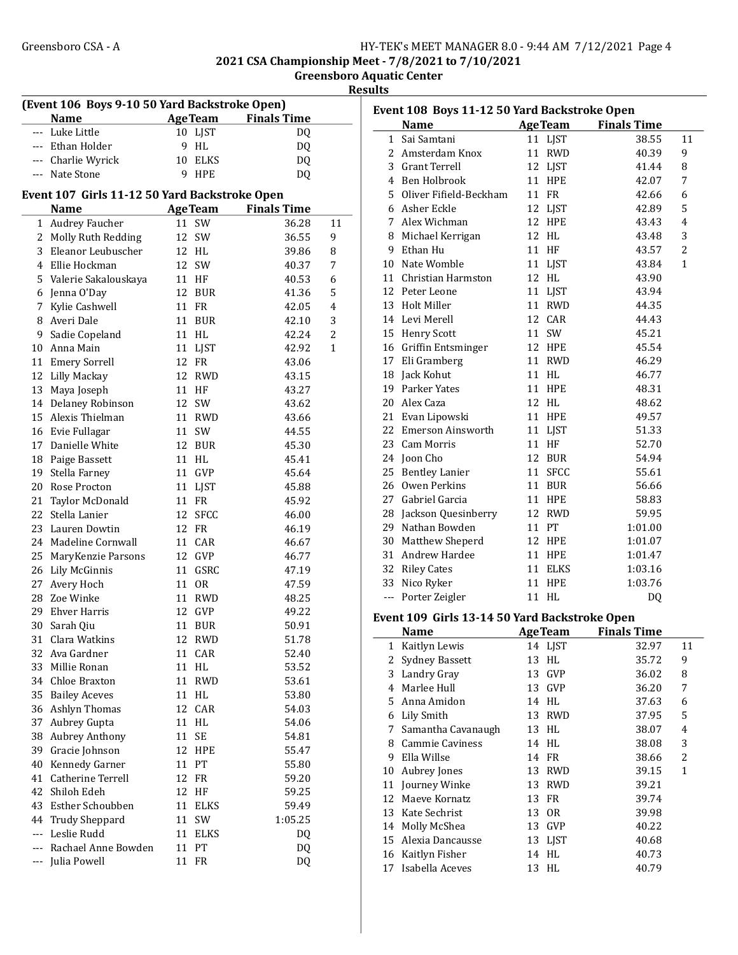2021 CSA Championship Meet - 7/8/2021 to 7/10/2021

Greensboro Aquatic Center

**Results** 

| (Event 106 Boys 9-10 50 Yard Backstroke Open) |                                               |                                     |                    |        |  |  |
|-----------------------------------------------|-----------------------------------------------|-------------------------------------|--------------------|--------|--|--|
|                                               | <b>Name</b>                                   | <b>AgeTeam</b>                      | <b>Finals Time</b> |        |  |  |
| $---$                                         | Luke Little                                   | 10<br>LJST                          | DQ                 |        |  |  |
|                                               | --- Ethan Holder                              | 9<br>HL                             | DQ                 |        |  |  |
|                                               | --- Charlie Wyrick                            | 10<br><b>ELKS</b>                   | DQ                 |        |  |  |
|                                               | --- Nate Stone                                | 9<br><b>HPE</b>                     | DQ                 |        |  |  |
|                                               | Event 107 Girls 11-12 50 Yard Backstroke Open |                                     |                    |        |  |  |
|                                               | <b>Name</b>                                   | <b>AgeTeam</b>                      | <b>Finals Time</b> |        |  |  |
| $\mathbf{1}$                                  | Audrey Faucher                                | SW<br>11                            | 36.28              | 11     |  |  |
| 2                                             | Molly Ruth Redding                            | 12<br>SW                            | 36.55              | 9      |  |  |
| 3                                             | Eleanor Leubuscher                            | 12<br>HL                            |                    |        |  |  |
|                                               | 4 Ellie Hockman                               | SW<br>12                            | 39.86<br>40.37     | 8<br>7 |  |  |
|                                               |                                               | 11                                  |                    |        |  |  |
|                                               | 5 Valerie Sakalouskaya                        | HF                                  | 40.53              | 6      |  |  |
| 6<br>7                                        | Jenna O'Day                                   | 12<br><b>BUR</b><br>11<br><b>FR</b> | 41.36              | 5<br>4 |  |  |
|                                               | Kylie Cashwell                                |                                     | 42.05              |        |  |  |
| 8                                             | Averi Dale                                    | 11<br>BUR                           | 42.10              | 3      |  |  |
| 9                                             | Sadie Copeland                                | 11<br>HL                            | 42.24              | 2      |  |  |
| 10                                            | Anna Main                                     | 11<br><b>LJST</b>                   | 42.92              | 1      |  |  |
| 11                                            | Emery Sorrell                                 | 12<br><b>FR</b>                     | 43.06              |        |  |  |
| 12                                            | Lilly Mackay                                  | 12<br><b>RWD</b>                    | 43.15              |        |  |  |
| 13                                            | Maya Joseph                                   | 11<br>HF                            | 43.27              |        |  |  |
| 14                                            | Delaney Robinson                              | 12<br>SW                            | 43.62              |        |  |  |
| 15                                            | Alexis Thielman                               | 11<br><b>RWD</b>                    | 43.66              |        |  |  |
| 16                                            | Evie Fullagar                                 | 11<br>SW                            | 44.55              |        |  |  |
| 17                                            | Danielle White                                | 12<br><b>BUR</b>                    | 45.30              |        |  |  |
| 18                                            | Paige Bassett                                 | 11<br>HL                            | 45.41              |        |  |  |
| 19                                            | Stella Farney                                 | 11<br>GVP                           | 45.64              |        |  |  |
| 20                                            | Rose Procton                                  | 11<br>LJST                          | 45.88              |        |  |  |
| 21                                            | Taylor McDonald                               | 11<br>FR                            | 45.92              |        |  |  |
| 22                                            | Stella Lanier                                 | <b>SFCC</b><br>12                   | 46.00              |        |  |  |
| 23                                            | Lauren Dowtin                                 | 12<br><b>FR</b>                     | 46.19              |        |  |  |
| 24                                            | Madeline Cornwall                             | CAR<br>11                           | 46.67              |        |  |  |
| 25                                            | MaryKenzie Parsons                            | 12<br>GVP                           | 46.77              |        |  |  |
| 26                                            | Lily McGinnis                                 | 11<br>GSRC                          | 47.19              |        |  |  |
| 27                                            | Avery Hoch                                    | 11<br>0R                            | 47.59              |        |  |  |
| 28                                            | Zoe Winke                                     | 11<br><b>RWD</b>                    | 48.25              |        |  |  |
| 29                                            | <b>Ehver Harris</b>                           | 12<br>GVP                           | 49.22              |        |  |  |
| 30                                            | Sarah Qiu                                     | 11<br><b>BUR</b>                    | 50.91              |        |  |  |
| 31                                            | Clara Watkins                                 | 12 RWD                              | 51.78              |        |  |  |
| 32                                            | Ava Gardner                                   | CAR<br>11                           | 52.40              |        |  |  |
| 33                                            | Millie Ronan                                  | $\mathbf{H}\mathbf{L}$<br>11        | 53.52              |        |  |  |
| 34                                            | Chloe Braxton                                 | <b>RWD</b><br>11                    | 53.61              |        |  |  |
| 35                                            | <b>Bailey Aceves</b>                          | 11<br>HL                            | 53.80              |        |  |  |
| 36                                            | Ashlyn Thomas                                 | CAR<br>12                           | 54.03              |        |  |  |
| 37                                            | Aubrey Gupta                                  | 11<br>HL                            | 54.06              |        |  |  |
| 38                                            | <b>Aubrey Anthony</b>                         | SE<br>11                            | 54.81              |        |  |  |
| 39                                            | Gracie Johnson                                | 12<br><b>HPE</b>                    | 55.47              |        |  |  |
| 40                                            | Kennedy Garner                                | PT<br>11                            | 55.80              |        |  |  |
| 41                                            | Catherine Terrell                             | 12<br>FR                            | 59.20              |        |  |  |
| 42                                            | Shiloh Edeh                                   | 12<br>HF                            | 59.25              |        |  |  |
| 43                                            | Esther Schoubben                              | <b>ELKS</b><br>11                   | 59.49              |        |  |  |
| 44                                            | <b>Trudy Sheppard</b>                         | 11<br>SW                            | 1:05.25            |        |  |  |
| $\overline{a}$                                | Leslie Rudd                                   | 11<br><b>ELKS</b>                   | DQ                 |        |  |  |
| ---                                           | Rachael Anne Bowden                           | PT<br>11                            | DQ                 |        |  |  |
| $---$                                         | Julia Powell                                  | 11<br>FR                            | DQ                 |        |  |  |

| Event 108 Boys 11-12 50 Yard Backstroke Open |                                               |    |                |                            |                |
|----------------------------------------------|-----------------------------------------------|----|----------------|----------------------------|----------------|
|                                              | <b>Name</b>                                   |    |                | <b>AgeTeam</b> Finals Time |                |
| 1                                            | Sai Samtani                                   |    | 11 LJST        | 38.55                      | 11             |
|                                              | 2 Amsterdam Knox                              | 11 | <b>RWD</b>     | 40.39                      | 9              |
|                                              | 3 Grant Terrell                               |    | 12 LJST        | 41.44                      | 8              |
|                                              | 4 Ben Holbrook                                |    | 11 HPE         | 42.07                      | 7              |
|                                              | 5 Oliver Fifield-Beckham                      |    | 11 FR          | 42.66                      | 6              |
|                                              | 6 Asher Eckle                                 |    | 12 LJST        | 42.89                      | 5              |
|                                              | 7 Alex Wichman                                |    | 12 HPE         | 43.43                      | 4              |
|                                              | 8 Michael Kerrigan                            |    | 12 HL          | 43.48                      | 3              |
|                                              | 9 Ethan Hu                                    |    | 11 HF          | 43.57                      | $\overline{2}$ |
|                                              | 10 Nate Womble                                |    | 11 LJST        | 43.84                      | 1              |
|                                              | 11 Christian Harmston                         |    | 12 HL          | 43.90                      |                |
|                                              | 12 Peter Leone                                |    | 11 LJST        | 43.94                      |                |
|                                              | 13 Holt Miller                                |    | 11 RWD         | 44.35                      |                |
|                                              | 14 Levi Merell                                |    | 12 CAR         | 44.43                      |                |
|                                              | 15 Henry Scott                                |    | 11 SW          | 45.21                      |                |
|                                              | 16 Griffin Entsminger                         |    | 12 HPE         | 45.54                      |                |
|                                              | 17 Eli Gramberg                               |    | 11 RWD         | 46.29                      |                |
|                                              | 18 Jack Kohut                                 |    | 11 HL          | 46.77                      |                |
|                                              | 19 Parker Yates                               |    | 11 HPE         | 48.31                      |                |
|                                              | 20 Alex Caza                                  |    | 12 HL          | 48.62                      |                |
|                                              | 21 Evan Lipowski                              |    | 11 HPE         | 49.57                      |                |
|                                              | 22 Emerson Ainsworth                          |    | 11 LJST        | 51.33                      |                |
|                                              | 23 Cam Morris                                 |    | 11 HF          | 52.70                      |                |
|                                              | 24 Joon Cho                                   |    | 12 BUR         | 54.94                      |                |
|                                              | 25 Bentley Lanier                             |    | 11 SFCC        | 55.61                      |                |
|                                              | 26 Owen Perkins                               |    | 11 BUR         | 56.66                      |                |
|                                              | 27 Gabriel Garcia                             |    | <b>11 HPE</b>  | 58.83                      |                |
|                                              | 28 Jackson Quesinberry                        |    | 12 RWD         | 59.95                      |                |
|                                              | 29 Nathan Bowden                              |    | 11 PT          | 1:01.00                    |                |
|                                              | 30 Matthew Sheperd                            |    | 12 HPE         | 1:01.07                    |                |
|                                              | 31 Andrew Hardee                              |    | 11 HPE         | 1:01.47                    |                |
|                                              | 32 Riley Cates                                |    | 11 ELKS        | 1:03.16                    |                |
|                                              | 33 Nico Ryker                                 |    | 11 HPE         | 1:03.76                    |                |
|                                              | --- Porter Zeigler                            |    | 11 HL          | DQ                         |                |
|                                              | Event 109 Girls 13-14 50 Yard Backstroke Open |    |                |                            |                |
|                                              | <b>Name</b>                                   |    |                | <b>AgeTeam</b> Finals Time |                |
| 1                                            | Kaitlyn Lewis                                 |    | 14 LJST        | 32.97                      | 11             |
| 2                                            | <b>Sydney Bassett</b>                         | 13 | HL             | 35.72                      | 9              |
|                                              | 3 Landry Gray                                 | 13 | GVP            | 36.02                      | 8              |
| $\overline{4}$                               | Marlee Hull                                   |    | 13 GVP         | 36.20                      | 7              |
| 5                                            | Anna Amidon                                   | 14 | HL             | 37.63                      | 6              |
|                                              | 6 Lily Smith                                  |    | 13 RWD         | 37.95                      | 5              |
|                                              | 7 Samantha Cavanaugh                          | 13 | HL             | 38.07                      | $\overline{4}$ |
|                                              | 8 Cammie Caviness                             |    | 14 HL          | 38.08                      | 3              |
| 9                                            | Ella Willse                                   | 14 | FR             | 38.66                      | $\overline{2}$ |
| 10                                           | Aubrey Jones                                  | 13 | <b>RWD</b>     | 39.15                      | $\mathbf{1}$   |
|                                              | 11 Journey Winke                              | 13 | <b>RWD</b>     | 39.21                      |                |
| 12                                           | Maeve Kornatz                                 | 13 | FR             | 39.74                      |                |
|                                              | 13 Kate Sechrist                              | 13 | 0 <sub>R</sub> | 39.98                      |                |
|                                              | 14 Molly McShea                               | 13 | GVP            | 40.22                      |                |
|                                              | 15 Alexia Dancausse                           | 13 | LJST           | 40.68                      |                |
| 16                                           | Kaitlyn Fisher                                | 14 | HL             | 40.73                      |                |
| 17                                           | Isabella Aceves                               |    | 13 HL          | 40.79                      |                |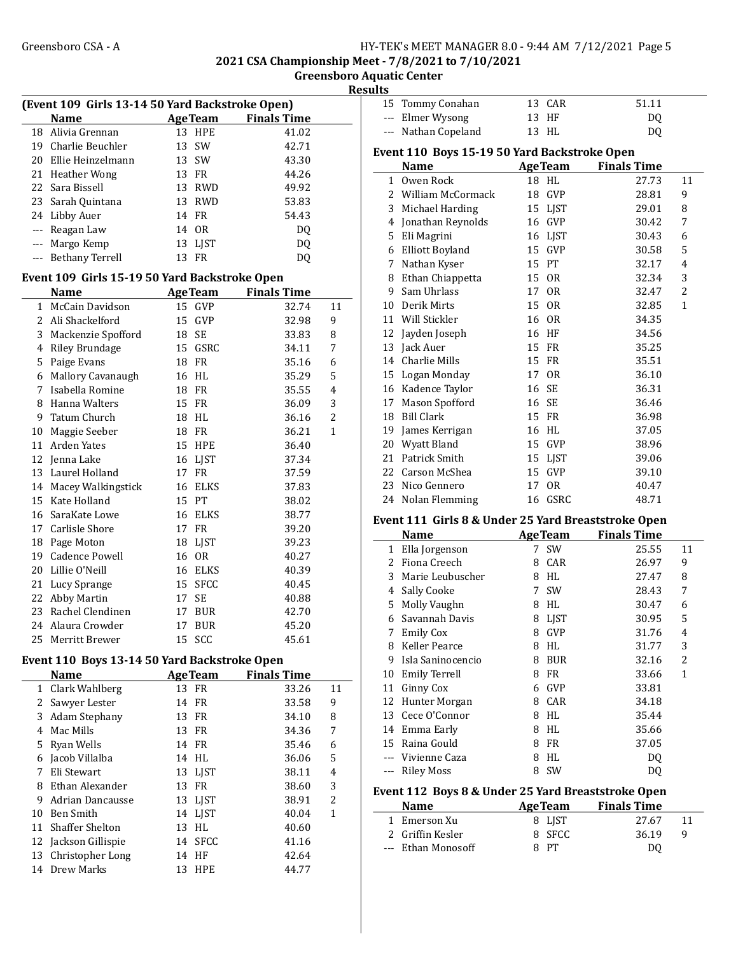2021 CSA Championship Meet - 7/8/2021 to 7/10/2021 Greensboro Aquatic Center

Results

| (Event 109 Girls 13-14 50 Yard Backstroke Open) |                                               |    |                |                    |                         |  |
|-------------------------------------------------|-----------------------------------------------|----|----------------|--------------------|-------------------------|--|
|                                                 | Name                                          |    | <b>AgeTeam</b> | <b>Finals Time</b> |                         |  |
|                                                 | 18 Alivia Grennan                             |    | 13 HPE         | 41.02              |                         |  |
|                                                 | 19 Charlie Beuchler                           | 13 | SW             | 42.71              |                         |  |
|                                                 | 20 Ellie Heinzelmann                          |    | 13 SW          | 43.30              |                         |  |
| 21                                              | Heather Wong                                  |    | 13 FR          | 44.26              |                         |  |
| 22                                              | Sara Bissell                                  |    | 13 RWD         | 49.92              |                         |  |
|                                                 | 23 Sarah Quintana                             |    | 13 RWD         | 53.83              |                         |  |
|                                                 | 24 Libby Auer                                 |    | 14 FR          | 54.43              |                         |  |
|                                                 | --- Reagan Law                                |    | 14 OR          | DQ                 |                         |  |
|                                                 | --- Margo Kemp                                |    | 13 LJST        | DQ                 |                         |  |
|                                                 | --- Bethany Terrell                           |    | 13 FR          | DQ                 |                         |  |
|                                                 | Event 109 Girls 15-19 50 Yard Backstroke Open |    |                |                    |                         |  |
|                                                 | <b>Name</b>                                   |    | <b>AgeTeam</b> | <b>Finals Time</b> |                         |  |
| $\mathbf{1}$                                    | McCain Davidson                               |    | 15 GVP         | 32.74              | 11                      |  |
|                                                 | 2 Ali Shackelford                             | 15 | GVP            | 32.98              | 9                       |  |
|                                                 |                                               |    | 18 SE          |                    | 8                       |  |
|                                                 | 3 Mackenzie Spofford                          |    | 15 GSRC        | 33.83              |                         |  |
| 5                                               | 4 Riley Brundage                              |    | 18 FR          | 34.11<br>35.16     | 7                       |  |
|                                                 | Paige Evans                                   |    | 16 HL          |                    | 6<br>5                  |  |
| 7                                               | 6 Mallory Cavanaugh<br>Isabella Romine        |    |                | 35.29              |                         |  |
|                                                 |                                               |    | 18 FR          | 35.55              | 4                       |  |
| 8                                               | Hanna Walters                                 |    | 15 FR          | 36.09              | 3                       |  |
| 9                                               | Tatum Church                                  |    | 18 HL          | 36.16              | $\overline{2}$          |  |
| 10                                              | Maggie Seeber                                 |    | 18 FR          | 36.21              | $\mathbf{1}$            |  |
|                                                 | 11 Arden Yates                                |    | <b>15 HPE</b>  | 36.40              |                         |  |
|                                                 | 12 Jenna Lake                                 |    | 16 LJST        | 37.34              |                         |  |
|                                                 | 13 Laurel Holland                             |    | 17 FR          | 37.59              |                         |  |
|                                                 | 14 Macey Walkingstick                         |    | 16 ELKS        | 37.83              |                         |  |
| 15                                              | Kate Holland                                  | 15 | PT             | 38.02              |                         |  |
| 16                                              | SaraKate Lowe                                 |    | 16 ELKS        | 38.77              |                         |  |
| 17                                              | Carlisle Shore                                |    | 17 FR          | 39.20              |                         |  |
|                                                 | 18 Page Moton                                 |    | 18 LJST        | 39.23              |                         |  |
| 19                                              | <b>Cadence Powell</b>                         |    | 16 OR          | 40.27              |                         |  |
|                                                 | 20 Lillie O'Neill                             |    | 16 ELKS        | 40.39              |                         |  |
|                                                 | 21 Lucy Sprange                               |    | 15 SFCC        | 40.45              |                         |  |
|                                                 | 22 Abby Martin                                | 17 | <b>SE</b>      | 40.88              |                         |  |
|                                                 | 23 Rachel Clendinen                           |    | 17 BUR         | 42.70              |                         |  |
|                                                 | 24 Alaura Crowder                             | 17 | <b>BUR</b>     | 45.20              |                         |  |
|                                                 | 25 Merritt Brewer                             |    | 15 SCC         | 45.61              |                         |  |
|                                                 | Event 110 Boys 13-14 50 Yard Backstroke Open  |    |                |                    |                         |  |
|                                                 | Name                                          |    | <b>AgeTeam</b> | <b>Finals Time</b> |                         |  |
| $\mathbf{1}$                                    | Clark Wahlberg                                |    | 13 FR          | 33.26              | 11                      |  |
| $\mathbf{2}$                                    | Sawyer Lester                                 |    | 14 FR          | 33.58              | 9                       |  |
| 3                                               | Adam Stephany                                 | 13 | ${\rm FR}$     | 34.10              | 8                       |  |
|                                                 | 4 Mac Mills                                   | 13 | FR             | 34.36              | 7                       |  |
|                                                 | 5 Ryan Wells                                  | 14 | FR             | 35.46              | 6                       |  |
|                                                 | 6 Jacob Villalba                              | 14 | HL             | 36.06              | 5                       |  |
| 7                                               | Eli Stewart                                   | 13 | LJST           | 38.11              | $\overline{\mathbf{4}}$ |  |
| 8                                               | Ethan Alexander                               | 13 | FR             | 38.60              | 3                       |  |
|                                                 | 9 Adrian Dancausse                            |    | 13 LJST        | 38.91              | $\overline{c}$          |  |
|                                                 | 10 Ben Smith                                  |    | 14 LJST        | 40.04              | $\mathbf{1}$            |  |
| 11                                              | Shaffer Shelton                               |    | 13 HL          | 40.60              |                         |  |
| 12                                              | Jackson Gillispie                             |    | 14 SFCC        | 41.16              |                         |  |
| 13                                              | Christopher Long                              |    | 14 HF          | 42.64              |                         |  |

14 Drew Marks 13 HPE 44.77

|          | 15 Tommy Conahan                             |    | 13 CAR         | 51.11              |    |
|----------|----------------------------------------------|----|----------------|--------------------|----|
|          | Elmer Wysong                                 |    | 13 HF          | DO.                |    |
| $\cdots$ | Nathan Copeland                              |    | 13 HL          | DQ                 |    |
|          | Event 110 Boys 15-19 50 Yard Backstroke Open |    |                |                    |    |
|          | Name                                         |    | <b>AgeTeam</b> | <b>Finals Time</b> |    |
| 1        | Owen Rock                                    | 18 | HL             | 27.73              | 11 |
|          | 2 William McCormack                          |    | 18 GVP         | 28.81              | 9  |
|          | 3 Michael Harding                            |    | 15 LIST        | 29.01              | 8  |
|          | 4 Jonathan Reynolds                          |    | 16 GVP         | 30.42              | 7  |
| 5.       | Eli Magrini                                  |    | 16 LIST        | 30.43              | 6  |
| 6        | <b>Elliott Boyland</b>                       | 15 | GVP            | 30.58              | 5  |
| 7        | Nathan Kyser                                 |    | 15 PT          | 32.17              | 4  |
| 8        | Ethan Chiappetta                             |    | 15 OR          | 32.34              | 3  |
| 9        | Sam Uhrlass                                  | 17 | 0R             | 32.47              | 2  |
| 10       | Derik Mirts                                  |    | 15 OR          | 32.85              | 1  |
|          | 11 Will Stickler                             |    | 16 OR          | 34.35              |    |
|          |                                              |    |                |                    |    |

| 11 WIII SUCKIEF   | 10 UK   | 34.3D |
|-------------------|---------|-------|
| 12 Jayden Joseph  | 16 HF   | 34.56 |
| 13 Jack Auer      | 15 FR   | 35.25 |
| 14 Charlie Mills  | 15 FR   | 35.51 |
| 15 Logan Monday   | 17 OR   | 36.10 |
| 16 Kadence Taylor | 16 SE   | 36.31 |
| 17 Mason Spofford | 16 SE   | 36.46 |
| 18 Bill Clark     | 15 FR   | 36.98 |
| 19 James Kerrigan | 16 HL   | 37.05 |
| 20 Wyatt Bland    | 15 GVP  | 38.96 |
| 21 Patrick Smith  | 15 LJST | 39.06 |
| 22 Carson McShea  | 15 GVP  | 39.10 |
| 23 Nico Gennero   | 17 OR   | 40.47 |

## 24 Nolan Flemming 16 GSRC 48.71 Event 111 Girls 8 & Under 25 Yard Breaststroke Open

|              | Name              |   | <b>AgeTeam</b> | <b>Finals Time</b> |              |
|--------------|-------------------|---|----------------|--------------------|--------------|
| $\mathbf{1}$ | Ella Jorgenson    |   | 7 SW           | 25.55              | 11           |
| 2            | Fiona Creech      | 8 | CAR            | 26.97              | 9            |
| 3            | Marie Leubuscher  | 8 | HL             | 27.47              | 8            |
| 4            | Sally Cooke       |   | 7 SW           | 28.43              | 7            |
| 5            | Molly Vaughn      | 8 | HL             | 30.47              | 6            |
| 6            | Savannah Davis    | 8 | LJST           | 30.95              | 5            |
| 7            | <b>Emily Cox</b>  | 8 | GVP            | 31.76              | 4            |
| 8            | Keller Pearce     | 8 | HL             | 31.77              | 3            |
| 9            | Isla Saninocencio | 8 | <b>BUR</b>     | 32.16              | 2            |
| 10           | Emily Terrell     | 8 | FR             | 33.66              | $\mathbf{1}$ |
| 11           | Ginny Cox         | 6 | GVP            | 33.81              |              |
|              | 12 Hunter Morgan  | 8 | CAR            | 34.18              |              |
| 13           | Cece O'Connor     | 8 | HL             | 35.44              |              |
|              | 14 Emma Early     | 8 | HL             | 35.66              |              |
|              | 15 Raina Gould    | 8 | FR             | 37.05              |              |
|              | Vivienne Caza     | 8 | HL             | DO.                |              |
| ---          | Riley Moss        | 8 | <b>SW</b>      | DQ                 |              |

# Event 112 Boys 8 & Under 25 Yard Breaststroke Open

| <b>Name</b>        | <b>AgeTeam</b> | <b>Finals Time</b> |       |  |
|--------------------|----------------|--------------------|-------|--|
| 1 Emerson Xu       | 8 LIST         |                    | 27.67 |  |
| 2 Griffin Kesler   | 8 SFCC         |                    | 36.19 |  |
| --- Ethan Monosoff | 8 PT           |                    | DΟ    |  |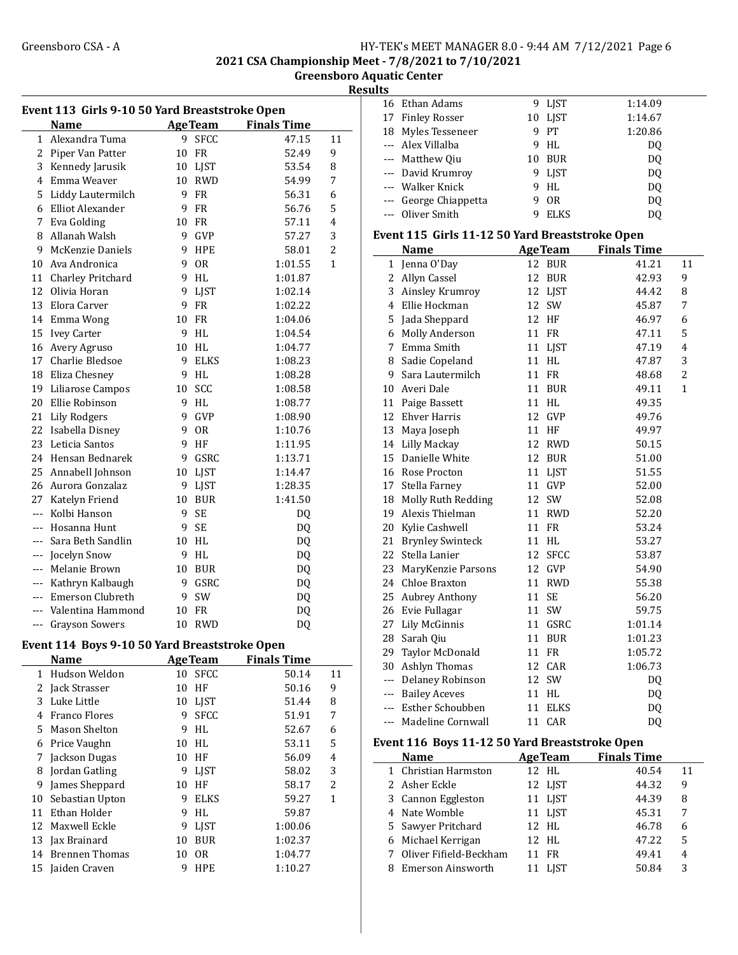#### Greensboro CSA - A <br>
HY-TEK's MEET MANAGER 8.0 - 9:44 AM 7/12/2021 Page 6 2021 CSA Championship Meet - 7/8/2021 to 7/10/2021

Greensboro Aquatic Center

Results

| Event 113 Girls 9-10 50 Yard Breaststroke Open |                       |    |                |                    |                |  |
|------------------------------------------------|-----------------------|----|----------------|--------------------|----------------|--|
|                                                | <b>Name</b>           |    | <b>AgeTeam</b> | <b>Finals Time</b> |                |  |
| 1                                              | Alexandra Tuma        | 9  | <b>SFCC</b>    | 47.15              | 11             |  |
| 2                                              | Piper Van Patter      | 10 | <b>FR</b>      | 52.49              | 9              |  |
|                                                | 3 Kennedy Jarusik     |    | 10 LJST        | 53.54              | 8              |  |
|                                                | 4 Emma Weaver         |    | 10 RWD         | 54.99              | 7              |  |
|                                                | 5 Liddy Lautermilch   | 9  | FR             | 56.31              | 6              |  |
|                                                | 6 Elliot Alexander    | 9  | <b>FR</b>      | 56.76              | 5              |  |
|                                                | 7 Eva Golding         | 10 | FR             | 57.11              | 4              |  |
|                                                | 8 Allanah Walsh       |    | 9 GVP          | 57.27              | 3              |  |
| 9                                              | McKenzie Daniels      | 9  | <b>HPE</b>     | 58.01              | $\overline{2}$ |  |
|                                                | 10 Ava Andronica      | 9  | <b>OR</b>      | 1:01.55            | 1              |  |
|                                                | 11 Charley Pritchard  | 9  | <b>HL</b>      | 1:01.87            |                |  |
|                                                | 12 Olivia Horan       | 9  | LJST           | 1:02.14            |                |  |
| 13                                             | Elora Carver          | 9  | FR             | 1:02.22            |                |  |
|                                                | 14 Emma Wong          | 10 | <b>FR</b>      | 1:04.06            |                |  |
| 15                                             | <b>Ivey Carter</b>    | 9  | <b>HL</b>      | 1:04.54            |                |  |
| 16                                             | Avery Agruso          | 10 | HL             | 1:04.77            |                |  |
| 17                                             | Charlie Bledsoe       | 9  | <b>ELKS</b>    | 1:08.23            |                |  |
|                                                | 18 Eliza Chesney      | 9  | HL             | 1:08.28            |                |  |
|                                                | 19 Liliarose Campos   | 10 | SCC            | 1:08.58            |                |  |
| 20                                             | Ellie Robinson        | 9  | HL             | 1:08.77            |                |  |
|                                                | 21 Lily Rodgers       | 9  | GVP            | 1:08.90            |                |  |
| 22                                             | Isabella Disney       | 9  | 0R             | 1:10.76            |                |  |
|                                                | 23 Leticia Santos     | 9  | HF             | 1:11.95            |                |  |
|                                                | 24 Hensan Bednarek    | 9. | GSRC           | 1:13.71            |                |  |
|                                                | 25 Annabell Johnson   |    | 10 LJST        | 1:14.47            |                |  |
|                                                | 26 Aurora Gonzalaz    | 9  | LJST           | 1:28.35            |                |  |
| 27                                             | Katelyn Friend        | 10 | <b>BUR</b>     | 1:41.50            |                |  |
| $\overline{a}$                                 | Kolbi Hanson          | 9  | <b>SE</b>      | DQ                 |                |  |
| ---                                            | Hosanna Hunt          | 9  | <b>SE</b>      | DQ                 |                |  |
| $---$                                          | Sara Beth Sandlin     | 10 | HL             | DQ                 |                |  |
| ---                                            | Jocelyn Snow          | 9  | HL             | DQ                 |                |  |
| ---                                            | Melanie Brown         | 10 | <b>BUR</b>     | DQ                 |                |  |
| ---                                            | Kathryn Kalbaugh      | 9  | GSRC           | DQ                 |                |  |
| $---$                                          | Emerson Clubreth      | 9  | SW             | DQ                 |                |  |
|                                                | Valentina Hammond     | 10 | <b>FR</b>      | DQ                 |                |  |
| ---                                            | <b>Grayson Sowers</b> | 10 | <b>RWD</b>     | DQ                 |                |  |
|                                                |                       |    |                |                    |                |  |

## Event 114 Boys 9-10 50 Yard Breaststroke Open

|    | Name                  |    | <b>AgeTeam</b> | <b>Finals Time</b> |                |
|----|-----------------------|----|----------------|--------------------|----------------|
| 1  | Hudson Weldon         | 10 | <b>SFCC</b>    | 50.14              | 11             |
| 2  | Jack Strasser         | 10 | HF             | 50.16              | 9              |
| 3  | Luke Little           | 10 | <b>LIST</b>    | 51.44              | 8              |
| 4  | Franco Flores         | 9  | <b>SFCC</b>    | 51.91              | 7              |
| 5. | Mason Shelton         | 9  | HL             | 52.67              | 6              |
| 6  | Price Vaughn          | 10 | HL             | 53.11              | 5              |
| 7  | Jackson Dugas         | 10 | HF             | 56.09              | 4              |
| 8  | Jordan Gatling        | 9  | LJST           | 58.02              | 3              |
| 9  | James Sheppard        | 10 | HF             | 58.17              | $\overline{2}$ |
| 10 | Sebastian Upton       | 9  | <b>ELKS</b>    | 59.27              | 1              |
| 11 | Ethan Holder          | 9  | HI.            | 59.87              |                |
| 12 | Maxwell Eckle         | 9  | <b>LIST</b>    | 1:00.06            |                |
| 13 | Jax Brainard          | 10 | <b>BUR</b>     | 1:02.37            |                |
| 14 | <b>Brennen Thomas</b> | 10 | 0 <sub>R</sub> | 1:04.77            |                |
| 15 | Jaiden Craven         | 9  | HPE            | 1:10.27            |                |

| 16    | Ethan Adams                                     | 9  | LJST           | 1:14.09            |                |
|-------|-------------------------------------------------|----|----------------|--------------------|----------------|
|       | 17 Finley Rosser                                |    | 10 LJST        | 1:14.67            |                |
| 18    | Myles Tesseneer                                 | 9  | PT             | 1:20.86            |                |
|       | --- Alex Villalba                               | 9  | HL             | DQ                 |                |
|       | --- Matthew Qiu                                 |    | 10 BUR         | DQ                 |                |
| ---   | David Krumroy                                   | 9  | LJST           | DQ                 |                |
|       | --- Walker Knick                                | 9  | HL             | DQ                 |                |
|       | --- George Chiappetta                           | 9  | <b>OR</b>      | DQ                 |                |
| ---   | Oliver Smith                                    | 9  | <b>ELKS</b>    | DQ                 |                |
|       |                                                 |    |                |                    |                |
|       | Event 115 Girls 11-12 50 Yard Breaststroke Open |    |                |                    |                |
|       | Name                                            |    | <b>AgeTeam</b> | <b>Finals Time</b> |                |
| 1     | Jenna O'Day                                     | 12 | <b>BUR</b>     | 41.21              | 11             |
|       | 2 Allyn Cassel                                  | 12 | <b>BUR</b>     | 42.93              | 9              |
|       | 3 Ainsley Krumroy                               |    | 12 LJST        | 44.42              | 8              |
|       | 4 Ellie Hockman                                 |    | 12 SW          | 45.87              | 7              |
|       | 5 Jada Sheppard                                 |    | 12 HF          | 46.97              | 6              |
|       | 6 Molly Anderson                                |    | 11 FR          | 47.11              | 5              |
|       | 7 Emma Smith                                    |    | 11 LJST        | 47.19              | $\overline{4}$ |
|       | 8 Sadie Copeland                                |    | 11 HL          | 47.87              | 3              |
| 9     | Sara Lautermilch                                |    | 11 FR          | 48.68              | 2              |
|       | 10 Averi Dale                                   |    | 11 BUR         | 49.11              | $\mathbf{1}$   |
|       | 11 Paige Bassett                                |    | 11 HL          | 49.35              |                |
|       | 12 Ehver Harris                                 | 12 | GVP            | 49.76              |                |
|       | 13 Maya Joseph                                  |    | 11 HF          | 49.97              |                |
|       | 14 Lilly Mackay                                 |    | 12 RWD         | 50.15              |                |
| 15    | Danielle White                                  |    | 12 BUR         | 51.00              |                |
|       | 16 Rose Procton                                 |    | 11 LJST        | 51.55              |                |
| 17    | Stella Farney                                   |    | 11 GVP         | 52.00              |                |
|       | 18 Molly Ruth Redding                           | 12 | SW             | 52.08              |                |
|       | 19 Alexis Thielman                              | 11 | RWD            | 52.20              |                |
| 20    | Kylie Cashwell                                  | 11 | <b>FR</b>      | 53.24              |                |
| 21    | <b>Brynley Swinteck</b>                         | 11 | HL             | 53.27              |                |
| 22    | Stella Lanier                                   | 12 | <b>SFCC</b>    | 53.87              |                |
| 23    | MaryKenzie Parsons                              | 12 | GVP            | 54.90              |                |
| 24    | Chloe Braxton                                   | 11 | <b>RWD</b>     | 55.38              |                |
|       | 25 Aubrey Anthony                               | 11 | SE             | 56.20              |                |
|       | 26 Evie Fullagar                                | 11 | SW             | 59.75              |                |
|       | 27 Lily McGinnis                                |    | 11 GSRC        | 1:01.14            |                |
|       | 28 Sarah Qiu                                    |    | 11 BUR         | 1:01.23            |                |
| 29    | Taylor McDonald                                 | 11 | FR             | 1:05.72            |                |
| 30    | Ashlyn Thomas                                   | 12 | CAR            | 1:06.73            |                |
|       | --- Delaney Robinson                            | 12 | SW             | DQ                 |                |
|       | --- Bailey Aceves                               | 11 | HL             | DQ                 |                |
| $---$ | Esther Schoubben                                | 11 | <b>ELKS</b>    | DQ                 |                |
| $--$  | Madeline Cornwall                               |    | 11 CAR         | DQ                 |                |
|       |                                                 |    |                |                    |                |
|       | Event 116 Boys 11-12 50 Yard Breaststroke Open  |    |                |                    |                |
|       | Name                                            |    | <b>AgeTeam</b> | <b>Finals Time</b> |                |
| 1     | Christian Harmston                              | 12 | HL             | 40.54              | 11             |
| 2     | Asher Eckle                                     | 12 | LJST           | 44.32              | 9              |
| 3     | Cannon Eggleston                                | 11 | LJST           | 44.39              | 8              |
|       | 4 Nate Womble                                   |    | 11 LJST        | 45.31              | 7              |
| 5     | Sawyer Pritchard                                | 12 | HL             | 46.78              | 6              |

6 47.22 5 Michael Kerrigan 12 HL 7 Oliver Fifield-Beckham 11 FR 49.41 4 8 50.84 3 Emerson Ainsworth 11 LJST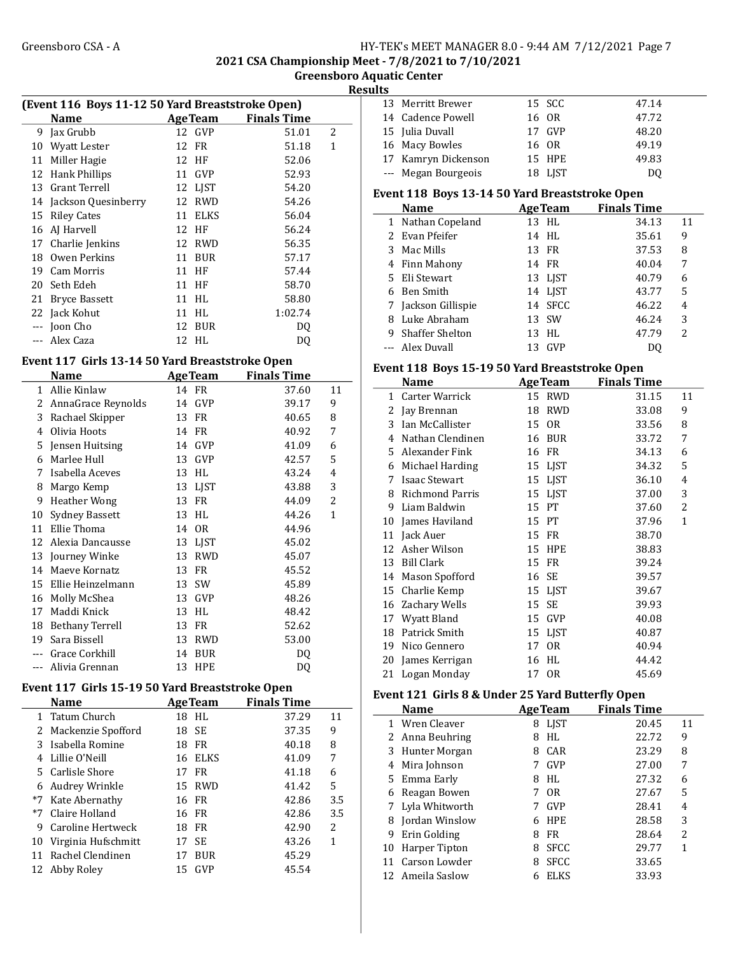2021 CSA Championship Meet - 7/8/2021 to 7/10/2021

 $\overline{a}$ 

Greensboro Aquatic Center **Results** 

| (Event 116 Boys 11-12 50 Yard Breaststroke Open) |                      |    |                |                    |   |  |
|--------------------------------------------------|----------------------|----|----------------|--------------------|---|--|
|                                                  | <b>Name</b>          |    | <b>AgeTeam</b> | <b>Finals Time</b> |   |  |
| 9                                                | Jax Grubb            |    | 12 GVP         | 51.01              | 2 |  |
| 10                                               | <b>Wyatt Lester</b>  |    | 12 FR          | 51.18              | 1 |  |
| 11                                               | Miller Hagie         |    | 12 HF          | 52.06              |   |  |
| 12                                               | Hank Phillips        | 11 | <b>GVP</b>     | 52.93              |   |  |
| 13                                               | <b>Grant Terrell</b> |    | 12 LIST        | 54.20              |   |  |
| 14                                               | Jackson Quesinberry  | 12 | <b>RWD</b>     | 54.26              |   |  |
| 15                                               | <b>Riley Cates</b>   | 11 | <b>ELKS</b>    | 56.04              |   |  |
| 16                                               | AJ Harvell           |    | 12 HF          | 56.24              |   |  |
| 17                                               | Charlie Jenkins      | 12 | <b>RWD</b>     | 56.35              |   |  |
| 18                                               | Owen Perkins         | 11 | <b>BUR</b>     | 57.17              |   |  |
| 19                                               | Cam Morris           | 11 | HF             | 57.44              |   |  |
| 20                                               | Seth Edeh            | 11 | HF             | 58.70              |   |  |
| 21                                               | <b>Bryce Bassett</b> | 11 | HL             | 58.80              |   |  |
|                                                  | 22 Jack Kohut        | 11 | HI.            | 1:02.74            |   |  |
| ---                                              | Joon Cho             | 12 | <b>BUR</b>     | DO                 |   |  |
|                                                  | Alex Caza            | 12 | HL             | DQ                 |   |  |

## Event 117 Girls 13-14 50 Yard Breaststroke Open

|    | Name               |    | <b>AgeTeam</b> | <b>Finals Time</b> |    |
|----|--------------------|----|----------------|--------------------|----|
| 1  | Allie Kinlaw       |    | 14 FR          | 37.60              | 11 |
| 2  | AnnaGrace Reynolds | 14 | GVP            | 39.17              | 9  |
| 3  | Rachael Skipper    | 13 | FR             | 40.65              | 8  |
| 4  | Olivia Hoots       |    | 14 FR          | 40.92              | 7  |
| 5  | Jensen Huitsing    | 14 | GVP            | 41.09              | 6  |
| 6  | Marlee Hull        | 13 | GVP            | 42.57              | 5  |
| 7  | Isabella Aceves    | 13 | HL             | 43.24              | 4  |
| 8  | Margo Kemp         | 13 | LIST           | 43.88              | 3  |
| 9  | Heather Wong       | 13 | <b>FR</b>      | 44.09              | 2  |
| 10 | Sydney Bassett     | 13 | HL             | 44.26              | 1  |
| 11 | Ellie Thoma        | 14 | 0R             | 44.96              |    |
| 12 | Alexia Dancausse   |    | 13 LJST        | 45.02              |    |
| 13 | Journey Winke      | 13 | <b>RWD</b>     | 45.07              |    |
| 14 | Maeve Kornatz      | 13 | FR             | 45.52              |    |
| 15 | Ellie Heinzelmann  | 13 | SW             | 45.89              |    |
| 16 | Molly McShea       | 13 | <b>GVP</b>     | 48.26              |    |
| 17 | Maddi Knick        | 13 | HL             | 48.42              |    |
| 18 | Bethany Terrell    | 13 | <b>FR</b>      | 52.62              |    |
| 19 | Sara Bissell       | 13 | <b>RWD</b>     | 53.00              |    |
|    | Grace Corkhill     | 14 | <b>BUR</b>     | DQ                 |    |
|    | Alivia Grennan     | 13 | HPE            | DQ                 |    |

#### Event 117 Girls 15-19 50 Yard Breaststroke Open

|      | <b>Name</b>          |    | <b>AgeTeam</b> | <b>Finals Time</b> |     |
|------|----------------------|----|----------------|--------------------|-----|
|      | 1 Tatum Church       |    | 18 HL          | 37.29              | 11  |
|      | 2 Mackenzie Spofford |    | 18 SE          | 37.35              | 9   |
| 3    | Isabella Romine      | 18 | FR.            | 40.18              | 8   |
|      | 4 Lillie O'Neill     |    | 16 ELKS        | 41.09              | 7   |
|      | 5 Carlisle Shore     | 17 | FR             | 41.18              | 6   |
| 6    | Audrey Wrinkle       |    | 15 RWD         | 41.42              | 5   |
| $*7$ | Kate Abernathy       |    | 16 FR          | 42.86              | 3.5 |
| $*7$ | Claire Holland       |    | 16 FR          | 42.86              | 3.5 |
| 9    | Caroline Hertweck    |    | 18 FR          | 42.90              | 2   |
| 10   | Virginia Hufschmitt  |    | 17 SE          | 43.26              | 1   |
| 11   | Rachel Clendinen     | 17 | <b>BUR</b>     | 45.29              |     |
|      | 12 Abby Roley        | 15 | GVP            | 45.54              |     |

| 13 Merritt Brewer   | 15 SCC  | 47.14 |
|---------------------|---------|-------|
| 14 Cadence Powell   | 16 OR   | 47.72 |
| 15 Julia Duvall     | 17 GVP  | 48.20 |
| 16 Macy Bowles      | 16 OR   | 49.19 |
| 17 Kamryn Dickenson | 15 HPE  | 49.83 |
| --- Megan Bourgeois | 18 LJST | DU    |

#### Event 118 Boys 13-14 50 Yard Breaststroke Open

|   | Name                | <b>AgeTeam</b> | <b>Finals Time</b> |    |
|---|---------------------|----------------|--------------------|----|
|   | 1 Nathan Copeland   | 13 HL          | 34.13              | 11 |
|   | 2 Evan Pfeifer      | 14 HL          | 35.61              | 9  |
| 3 | Mac Mills           | 13 FR          | 37.53              | 8  |
|   | 4 Finn Mahony       | 14 FR          | 40.04              | 7  |
|   | 5 Eli Stewart       | 13 LIST        | 40.79              | 6  |
|   | 6 Ben Smith         | 14 LJST        | 43.77              | 5  |
|   | 7 Jackson Gillispie | 14 SFCC        | 46.22              | 4  |
| 8 | Luke Abraham        | 13 SW          | 46.24              | 3  |
| 9 | Shaffer Shelton     | 13 HL          | 47.79              | 2  |
|   | --- Alex Duvall     | GVP<br>13      |                    |    |

#### Event 118 Boys 15-19 50 Yard Breaststroke Open

|    | Name                 |    | <b>AgeTeam</b> | <b>Finals Time</b> |              |
|----|----------------------|----|----------------|--------------------|--------------|
| 1  | Carter Warrick       |    | 15 RWD         | 31.15              | 11           |
| 2  | Jay Brennan          | 18 | <b>RWD</b>     | 33.08              | 9            |
| 3  | Ian McCallister      |    | 15 OR          | 33.56              | 8            |
| 4  | Nathan Clendinen     | 16 | <b>BUR</b>     | 33.72              | 7            |
| 5  | Alexander Fink       | 16 | FR             | 34.13              | 6            |
| 6  | Michael Harding      | 15 | LJST           | 34.32              | 5            |
| 7  | <b>Isaac Stewart</b> |    | 15 LJST        | 36.10              | 4            |
| 8  | Richmond Parris      | 15 | <b>LIST</b>    | 37.00              | 3            |
| 9  | Liam Baldwin         | 15 | <b>PT</b>      | 37.60              | 2            |
| 10 | James Haviland       | 15 | PТ             | 37.96              | $\mathbf{1}$ |
| 11 | Jack Auer            | 15 | <b>FR</b>      | 38.70              |              |
| 12 | Asher Wilson         | 15 | <b>HPE</b>     | 38.83              |              |
| 13 | Bill Clark           | 15 | FR             | 39.24              |              |
|    | 14 Mason Spofford    | 16 | SE             | 39.57              |              |
| 15 | Charlie Kemp         |    | 15 LJST        | 39.67              |              |
| 16 | Zachary Wells        | 15 | <b>SE</b>      | 39.93              |              |
| 17 | Wyatt Bland          | 15 | <b>GVP</b>     | 40.08              |              |
| 18 | Patrick Smith        |    | 15 LJST        | 40.87              |              |
| 19 | Nico Gennero         | 17 | 0R             | 40.94              |              |
| 20 | James Kerrigan       | 16 | HL             | 44.42              |              |
| 21 | Logan Monday         |    | 17 OR          | 45.69              |              |

#### Event 121 Girls 8 & Under 25 Yard Butterfly Open

|     | <b>Name</b>    |   | <b>AgeTeam</b> | <b>Finals Time</b> |    |  |  |
|-----|----------------|---|----------------|--------------------|----|--|--|
|     | 1 Wren Cleaver | 8 | LJST           | 20.45              | 11 |  |  |
|     | Anna Beuhring  | 8 | HL             | 22.72              | 9  |  |  |
| 3   | Hunter Morgan  | 8 | CAR            | 23.29              | 8  |  |  |
| 4   | Mira Johnson   |   | GVP            | 27.00              | 7  |  |  |
| 5.  | Emma Early     | 8 | HL             | 27.32              | 6  |  |  |
| 6   | Reagan Bowen   |   | 0 <sub>R</sub> | 27.67              | 5  |  |  |
|     | Lyla Whitworth | 7 | GVP            | 28.41              | 4  |  |  |
| 8   | Jordan Winslow | 6 | <b>HPE</b>     | 28.58              | 3  |  |  |
| 9   | Erin Golding   | 8 | <b>FR</b>      | 28.64              | 2  |  |  |
| 10  | Harper Tipton  | 8 | <b>SFCC</b>    | 29.77              |    |  |  |
| 11  | Carson Lowder  | 8 | <b>SFCC</b>    | 33.65              |    |  |  |
| 12. | Ameila Saslow  |   | <b>ELKS</b>    | 33.93              |    |  |  |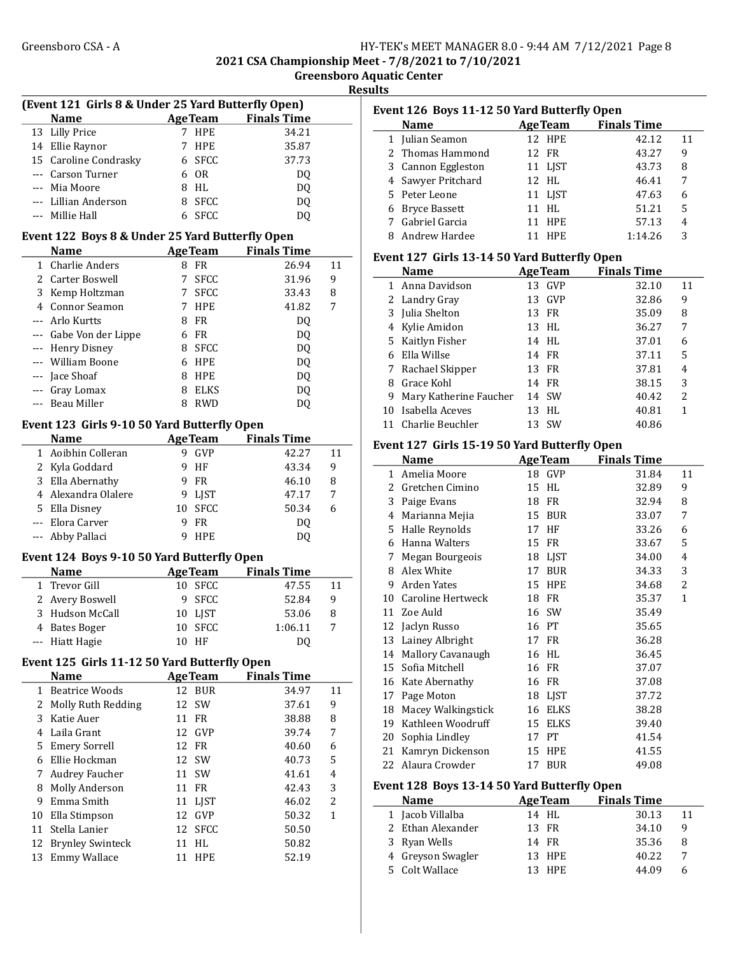2021 CSA Championship Meet - 7/8/2021 to 7/10/2021

Greensboro Aquatic Center

Results

|        | (Event 121 Girls 8 & Under 25 Yard Butterfly Open) |                       |                            |         |
|--------|----------------------------------------------------|-----------------------|----------------------------|---------|
|        | <b>Name</b>                                        |                       | <b>AgeTeam</b> Finals Time |         |
| 13     | <b>Lilly Price</b>                                 | HPE<br>7              | 34.21                      |         |
|        | 14 Ellie Raynor                                    | HPE<br>7              | 35.87                      |         |
|        | 15 Caroline Condrasky                              | <b>SFCC</b><br>6      | 37.73                      |         |
|        | --- Carson Turner                                  | <b>OR</b><br>6        | DQ                         |         |
|        | --- Mia Moore                                      | 8<br>HL               | DQ                         |         |
|        | --- Lillian Anderson                               | 8<br>SFCC             | DQ                         |         |
| $---$  | Millie Hall                                        | SFCC<br>6             | DQ                         |         |
|        | Event 122 Boys 8 & Under 25 Yard Butterfly Open    |                       |                            |         |
|        | <b>Name</b>                                        |                       | <b>AgeTeam</b> Finals Time |         |
| 1      | <b>Charlie Anders</b>                              | FR<br>8               | 26.94                      | 11      |
|        | 2 Carter Boswell                                   | 7<br><b>SFCC</b>      | 31.96                      | 9       |
|        | 3 Kemp Holtzman                                    | 7 SFCC                | 33.43                      | 8       |
|        | 4 Connor Seamon                                    | 7<br>HPE              | 41.82                      | 7       |
|        | --- Arlo Kurtts                                    | FR<br>8               | DQ                         |         |
|        | --- Gabe Von der Lippe                             | <b>FR</b><br>6        | DQ                         |         |
|        | --- Henry Disney                                   | <b>SFCC</b><br>8      | DQ                         |         |
|        | William Boone                                      | <b>HPE</b><br>6       | DQ                         |         |
| ---    | Jace Shoaf                                         | 8<br>HPE              | DQ                         |         |
| ---    | Gray Lomax                                         | 8<br><b>ELKS</b>      | DQ                         |         |
| ---    | Beau Miller                                        | <b>RWD</b><br>8       | DQ                         |         |
|        |                                                    |                       |                            |         |
|        | Event 123 Girls 9-10 50 Yard Butterfly Open        |                       |                            |         |
|        | <b>Name</b>                                        |                       | <b>AgeTeam</b> Finals Time |         |
| 1      | Aoibhin Colleran                                   | GVP<br>9              | 42.27                      | 11      |
|        | 2 Kyla Goddard                                     | 9<br>HF               | 43.34                      | 9       |
|        | 3 Ella Abernathy                                   | 9<br>FR               | 46.10                      | 8       |
|        | 4 Alexandra Olalere                                | 9<br>LJST             | 47.17                      | 7       |
|        | 5 Ella Disney                                      | 10<br><b>SFCC</b>     | 50.34                      | 6       |
|        | --- Elora Carver                                   | 9<br>FR.              | DQ                         |         |
| ---    | Abby Pallaci                                       | 9<br><b>HPE</b>       | DQ                         |         |
|        | Event 124 Boys 9-10 50 Yard Butterfly Open         |                       |                            |         |
|        | <b>Name</b>                                        | <b>AgeTeam</b>        | <b>Finals Time</b>         |         |
| 1      | Trevor Gill                                        | 10<br><b>SFCC</b>     | 47.55                      | 11      |
| 2      | Avery Boswell                                      | 9<br><b>SFCC</b>      | 52.84                      | 9       |
| 3      | Hudson McCall                                      | 10<br>LJST            | 53.06                      | 8       |
| 4      | <b>Bates Boger</b>                                 | SFCC<br>10            | 1:06.11                    | 7       |
| ---    | Hiatt Hagie                                        | 10 HF                 | DQ                         |         |
|        |                                                    |                       |                            |         |
|        | Event 125 Girls 11-12 50 Yard Butterfly Open       |                       | <b>Finals Time</b>         |         |
|        | <b>Name</b>                                        | <b>AgeTeam</b>        |                            |         |
| 2      | 1 Beatrice Woods<br>Molly Ruth Redding             | 12<br>BUR<br>12<br>SW | 34.97<br>37.61             | 11<br>9 |
| 3      |                                                    | 11                    |                            |         |
| 4      | Katie Auer<br>Laila Grant                          | FR<br>GVP<br>12       | 38.88                      | 8       |
|        |                                                    |                       | 39.74                      | 7       |
| 5<br>6 | <b>Emery Sorrell</b><br>Ellie Hockman              | FR<br>12<br>12<br>SW  | 40.60<br>40.73             | 6       |
|        |                                                    |                       |                            | 5       |
| 7      | Audrey Faucher                                     | 11<br>SW              | 41.61                      | 4       |
| 8      | Molly Anderson                                     | 11<br>FR              | 42.43                      | 3       |
| 9      | Emma Smith                                         | 11<br>LJST            | 46.02                      | 2       |
| 10     | Ella Stimpson                                      | 12<br>GVP             | 50.32                      | 1       |
| 11     | Stella Lanier                                      | 12<br><b>SFCC</b>     | 50.50                      |         |
| 12     | <b>Brynley Swinteck</b>                            | 11<br>HL              | 50.82                      |         |
| 13     | Emmy Wallace                                       | 11<br>HPE             | 52.19                      |         |

| Event 126 Boys 11-12 50 Yard Butterfly Open  |                                              |    |                 |                    |              |  |  |  |
|----------------------------------------------|----------------------------------------------|----|-----------------|--------------------|--------------|--|--|--|
|                                              | <b>Name</b>                                  |    | <b>AgeTeam</b>  | <b>Finals Time</b> |              |  |  |  |
|                                              | 1 Julian Seamon                              |    | 12 HPE          | 42.12              | 11           |  |  |  |
| $\mathcal{L}$                                | Thomas Hammond                               | 12 | <b>FR</b>       | 43.27              | 9            |  |  |  |
|                                              | 3 Cannon Eggleston                           |    | 11 LJST         | 43.73              | 8            |  |  |  |
|                                              | 4 Sawyer Pritchard                           |    | 12 HL           | 46.41              | 7            |  |  |  |
| 5.                                           | Peter Leone                                  |    | 11 LJST         | 47.63              | 6            |  |  |  |
| 6                                            | Bryce Bassett                                | 11 | HL              | 51.21              | 5            |  |  |  |
|                                              | 7 Gabriel Garcia                             | 11 | <b>HPE</b>      | 57.13              | 4            |  |  |  |
| 8                                            | Andrew Hardee                                |    | <b>11 HPE</b>   | 1:14.26            | 3            |  |  |  |
| Event 127 Girls 13-14 50 Yard Butterfly Open |                                              |    |                 |                    |              |  |  |  |
|                                              | <b>Name</b>                                  |    | <b>Age Team</b> | <b>Finals Time</b> |              |  |  |  |
| 1                                            | Anna Davidson                                |    | 13 GVP          | 32.10              | 11           |  |  |  |
|                                              | 2 Landry Gray                                |    | 13 GVP          | 32.86              | 9            |  |  |  |
|                                              | 3 Julia Shelton                              | 13 | <b>FR</b>       | 35.09              | 8            |  |  |  |
| 4                                            | Kylie Amidon                                 | 13 | <b>HL</b>       | 36.27              | 7            |  |  |  |
|                                              | 5 Kaitlyn Fisher                             |    | 14 HL           | 37.01              | 6            |  |  |  |
| 6                                            | Ella Willse                                  |    | 14 FR           | 37.11              | 5            |  |  |  |
| 7                                            | Rachael Skipper                              | 13 | <b>FR</b>       | 37.81              | 4            |  |  |  |
|                                              | 8 Grace Kohl                                 |    | 14 FR           | 38.15              | 3            |  |  |  |
| 9                                            | Mary Katherine Faucher                       |    | 14 SW           | 40.42              | 2            |  |  |  |
| 10                                           | Isabella Aceves                              | 13 | <b>HL</b>       | 40.81              | $\mathbf{1}$ |  |  |  |
|                                              | 11 Charlie Beuchler                          |    | 13 SW           | 40.86              |              |  |  |  |
|                                              | Event 127 Girls 15-19 50 Yard Butterfly Open |    |                 |                    |              |  |  |  |
|                                              | <b>Name</b>                                  |    | <b>AgeTeam</b>  | <b>Finals Time</b> |              |  |  |  |
| 1                                            | Amelia Moore                                 | 18 | <b>GVP</b>      | 31.84              | 11           |  |  |  |
|                                              | 2 Gretchen Cimino                            | 15 | HI.             | 32.89              | 9            |  |  |  |
|                                              | 3 Paige Evans                                | 18 | FR              | 32.94              | 8            |  |  |  |
|                                              | 4 Marianna Mejia                             | 15 | <b>BUR</b>      | 33.07              | 7            |  |  |  |
|                                              | 5 Halle Reynolds                             | 17 | HF              | 33.26              | 6            |  |  |  |
|                                              | $C$ Hamma $M$ altana                         |    | $4F$ ED         | 227                | п            |  |  |  |

| 5. | Halle Reynolds       |    | 17 HF       | 33.26 | 6 |
|----|----------------------|----|-------------|-------|---|
| 6  | Hanna Walters        | 15 | <b>FR</b>   | 33.67 | 5 |
| 7  | Megan Bourgeois      | 18 | LJST        | 34.00 | 4 |
| 8  | Alex White           | 17 | <b>BUR</b>  | 34.33 | 3 |
| 9  | Arden Yates          | 15 | <b>HPE</b>  | 34.68 | 2 |
|    | 10 Caroline Hertweck | 18 | FR.         | 35.37 | 1 |
| 11 | Zoe Auld             |    | 16 SW       | 35.49 |   |
|    | 12 Jaclyn Russo      | 16 | PT          | 35.65 |   |
|    | 13 Lainey Albright   |    | 17 FR       | 36.28 |   |
|    | 14 Mallory Cavanaugh |    | 16 HL       | 36.45 |   |
|    | 15 Sofia Mitchell    | 16 | <b>FR</b>   | 37.07 |   |
|    | 16 Kate Abernathy    | 16 | FR          | 37.08 |   |
| 17 | Page Moton           |    | 18 LJST     | 37.72 |   |
| 18 | Macey Walkingstick   | 16 | <b>ELKS</b> | 38.28 |   |
| 19 | Kathleen Woodruff    | 15 | <b>ELKS</b> | 39.40 |   |
| 20 | Sophia Lindley       | 17 | PТ          | 41.54 |   |
| 21 | Kamryn Dickenson     | 15 | <b>HPE</b>  | 41.55 |   |
|    | 22 Alaura Crowder    | 17 | <b>BUR</b>  | 49.08 |   |

# Event 128 Boys 13-14 50 Yard Butterfly Open

| <b>Name</b>       | <b>AgeTeam</b> | <b>Finals Time</b> |    |
|-------------------|----------------|--------------------|----|
| 1 Jacob Villalba  | 14 HL          | 30.13              | 11 |
| 2 Ethan Alexander | 13 FR          | 34.10              |    |
| 3 Ryan Wells      | 14 FR          | 35.36              | 8  |
| 4 Greyson Swagler | 13 HPE         | 40.22              |    |
| 5 Colt Wallace    | 13 HPE         | 44.09              |    |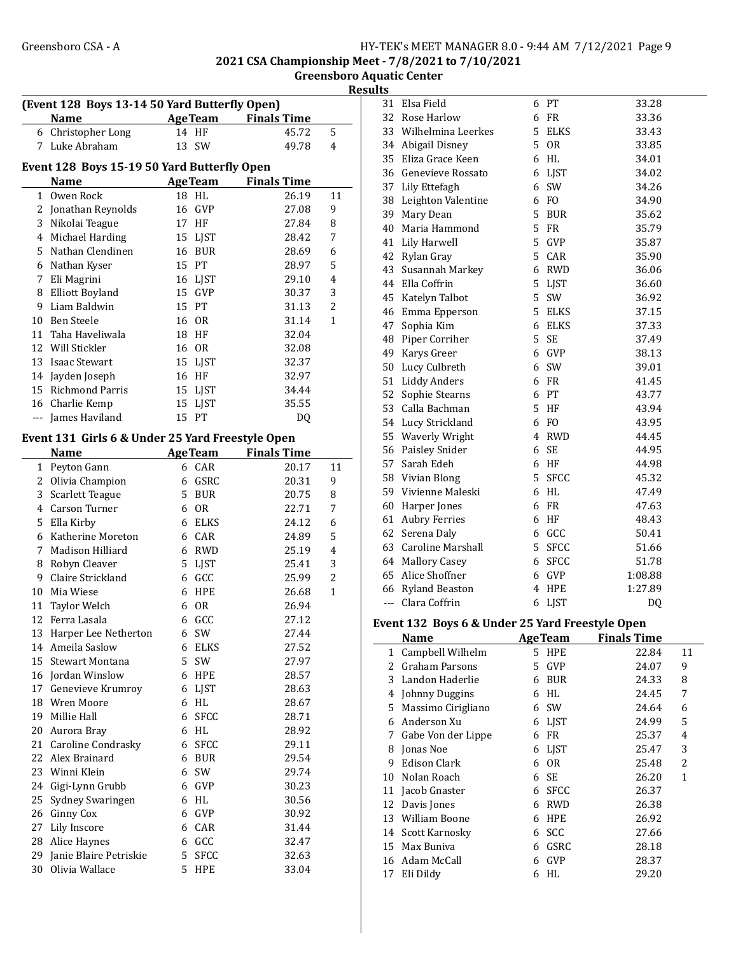2021 CSA Championship Meet - 7/8/2021 to 7/10/2021 Greensboro Aquatic Center

**Results** 

|              | (Event 128 Boys 13-14 50 Yard Butterfly Open)    |                  |                            |                |  |  |  |  |
|--------------|--------------------------------------------------|------------------|----------------------------|----------------|--|--|--|--|
|              | Name                                             |                  | <b>AgeTeam</b> Finals Time |                |  |  |  |  |
| 6            | Christopher Long                                 | 14 HF            | 45.72                      | 5              |  |  |  |  |
| 7            | Luke Abraham                                     | SW<br>13         | 49.78                      | 4              |  |  |  |  |
|              | Event 128 Boys 15-19 50 Yard Butterfly Open      |                  |                            |                |  |  |  |  |
|              | Name                                             | <b>AgeTeam</b>   | <b>Finals Time</b>         |                |  |  |  |  |
| 1            | Owen Rock                                        | 18 HL            | 26.19                      | 11             |  |  |  |  |
| 2            | Jonathan Reynolds                                | 16 GVP           | 27.08                      | 9              |  |  |  |  |
| 3            | Nikolai Teague                                   | 17 HF            | 27.84                      | 8              |  |  |  |  |
|              | 4 Michael Harding                                | 15 LJST          | 28.42                      | 7              |  |  |  |  |
| 5.           | Nathan Clendinen                                 | 16 BUR           | 28.69                      | 6              |  |  |  |  |
| 6            | Nathan Kyser                                     | 15 PT            | 28.97                      | 5              |  |  |  |  |
| 7            | Eli Magrini                                      | 16 LJST          | 29.10                      | 4              |  |  |  |  |
| 8            | <b>Elliott Boyland</b>                           | 15 GVP           | 30.37                      | 3              |  |  |  |  |
| 9            | Liam Baldwin                                     | 15 PT            | 31.13                      | 2              |  |  |  |  |
| 10           | Ben Steele                                       | 16 OR            | 31.14                      | 1              |  |  |  |  |
| 11           | Taha Haveliwala                                  | 18<br>HF         | 32.04                      |                |  |  |  |  |
|              | 12 Will Stickler                                 | 16 OR            | 32.08                      |                |  |  |  |  |
| 13           | <b>Isaac Stewart</b>                             | 15 LJST          | 32.37                      |                |  |  |  |  |
| 14           | Jayden Joseph                                    | 16 HF            | 32.97                      |                |  |  |  |  |
| 15           | <b>Richmond Parris</b>                           | 15 LJST          | 34.44                      |                |  |  |  |  |
|              | 16 Charlie Kemp                                  | 15<br>LJST       | 35.55                      |                |  |  |  |  |
|              | --- James Haviland                               | 15 PT            | DQ                         |                |  |  |  |  |
|              |                                                  |                  |                            |                |  |  |  |  |
|              | Event 131 Girls 6 & Under 25 Yard Freestyle Open |                  |                            |                |  |  |  |  |
|              | Name                                             | <b>AgeTeam</b>   | <b>Finals Time</b>         |                |  |  |  |  |
| $\mathbf{1}$ | Peyton Gann                                      | 6 CAR            | 20.17                      | 11             |  |  |  |  |
| 2            | Olivia Champion                                  | 6 GSRC           | 20.31                      | 9              |  |  |  |  |
| 3            | Scarlett Teague                                  | 5 BUR            | 20.75                      | 8              |  |  |  |  |
| 4            | Carson Turner                                    | 6 OR             | 22.71                      | 7              |  |  |  |  |
| 5.           | Ella Kirby                                       | 6 ELKS           | 24.12                      | 6              |  |  |  |  |
| 6            | Katherine Moreton                                | 6 CAR            | 24.89                      | 5              |  |  |  |  |
| 7            | Madison Hilliard                                 | 6 RWD            | 25.19                      | 4              |  |  |  |  |
| 8            | Robyn Cleaver                                    | 5 LJST           | 25.41                      | 3              |  |  |  |  |
| 9            | Claire Strickland                                | 6 GCC            | 25.99                      | $\overline{c}$ |  |  |  |  |
| 10           | Mia Wiese                                        | 6 HPE            | 26.68                      | $\mathbf{1}$   |  |  |  |  |
| 11           | Taylor Welch                                     | 6 OR             | 26.94                      |                |  |  |  |  |
|              | 12 Ferra Lasala                                  | 6 GCC            | 27.12                      |                |  |  |  |  |
|              | 13 Harper Lee Netherton                          | 6 SW             | 27.44                      |                |  |  |  |  |
|              | 14 Ameila Saslow                                 | 6 ELKS           | 27.52                      |                |  |  |  |  |
| 15           | Stewart Montana                                  | 5 SW             | 27.97                      |                |  |  |  |  |
|              | 16 Jordan Winslow                                | 6 HPE            | 28.57                      |                |  |  |  |  |
| 17           | Genevieve Krumroy                                | 6 LJST           | 28.63                      |                |  |  |  |  |
|              | 18 Wren Moore                                    | 6 HL             | 28.67                      |                |  |  |  |  |
| 19           | Millie Hall                                      | 6<br><b>SFCC</b> | 28.71                      |                |  |  |  |  |
| 20           | Aurora Bray                                      | 6 HL             | 28.92                      |                |  |  |  |  |
|              | 21 Caroline Condrasky                            | 6 SFCC           | 29.11                      |                |  |  |  |  |
|              | 22 Alex Brainard                                 | 6 BUR            | 29.54                      |                |  |  |  |  |
| 23           | Winni Klein                                      | 6 SW             | 29.74                      |                |  |  |  |  |
| 24           | Gigi-Lynn Grubb                                  | 6 GVP            | 30.23                      |                |  |  |  |  |
| 25           | Sydney Swaringen                                 | 6 HL             | 30.56                      |                |  |  |  |  |
| 26           | Ginny Cox                                        | 6 GVP            | 30.92                      |                |  |  |  |  |
| 27           | Lily Inscore                                     | 6 CAR            | 31.44                      |                |  |  |  |  |
|              | 28 Alice Haynes                                  | 6 GCC            | 32.47                      |                |  |  |  |  |
| 29           | Janie Blaire Petriskie                           | 5 SFCC           | 32.63                      |                |  |  |  |  |
| 30           | Olivia Wallace                                   | 5<br>HPE         | 33.04                      |                |  |  |  |  |

| 31             | Elsa Field                                      | 6  | PТ             | 33.28                                  |    |
|----------------|-------------------------------------------------|----|----------------|----------------------------------------|----|
|                | 32 Rose Harlow                                  | 6  | FR             | 33.36                                  |    |
|                | 33 Wilhelmina Leerkes                           | 5  | <b>ELKS</b>    | 33.43                                  |    |
|                | 34 Abigail Disney                               | 5  | 0 <sub>R</sub> | 33.85                                  |    |
|                | 35 Eliza Grace Keen                             | 6  | HL             | 34.01                                  |    |
|                | 36 Genevieve Rossato                            | 6  | <b>LJST</b>    | 34.02                                  |    |
|                | 37 Lily Ettefagh                                | 6  | SW             | 34.26                                  |    |
|                | 38 Leighton Valentine                           | 6  | F <sub>O</sub> | 34.90                                  |    |
|                | 39 Mary Dean                                    | 5  | <b>BUR</b>     | 35.62                                  |    |
|                | 40 Maria Hammond                                | 5  | FR             | 35.79                                  |    |
|                | 41 Lily Harwell                                 | 5  | GVP            | 35.87                                  |    |
|                | 42 Rylan Gray                                   | 5  | CAR            | 35.90                                  |    |
|                | 43 Susannah Markey                              | 6  | RWD            | 36.06                                  |    |
|                | 44 Ella Coffrin                                 | 5  | <b>LJST</b>    | 36.60                                  |    |
|                | 45 Katelyn Talbot                               | 5  | SW             | 36.92                                  |    |
|                | 46 Emma Epperson                                | 5  | ELKS           | 37.15                                  |    |
| 47             | Sophia Kim                                      | 6  | ELKS           | 37.33                                  |    |
| 48             | Piper Corriher                                  | 5  | SE             | 37.49                                  |    |
| 49             | Karys Greer                                     | 6  | GVP            | 38.13                                  |    |
|                | 50 Lucy Culbreth                                | 6  | SW             | 39.01                                  |    |
|                | 51 Liddy Anders                                 | 6  | FR             | 41.45                                  |    |
|                | 52 Sophie Stearns                               | 6  | PT             | 43.77                                  |    |
|                | 53 Calla Bachman                                | 5. | HF             | 43.94                                  |    |
|                | 54 Lucy Strickland                              | 6  | F <sub>0</sub> | 43.95                                  |    |
|                | 55 Waverly Wright                               | 4  | RWD            | 44.45                                  |    |
|                | 56 Paisley Snider                               | 6  | SE             | 44.95                                  |    |
|                | 57 Sarah Edeh                                   | 6  | HF             | 44.98                                  |    |
|                | 58 Vivian Blong                                 | 5  | <b>SFCC</b>    | 45.32                                  |    |
|                | 59 Vivienne Maleski                             | 6  | HL             | 47.49                                  |    |
|                | 60 Harper Jones                                 | 6  | <b>FR</b>      | 47.63                                  |    |
|                | 61 Aubry Ferries                                | 6  | HF             | 48.43                                  |    |
|                | 62 Serena Daly                                  | 6  | GCC            | 50.41                                  |    |
|                | 63 Caroline Marshall                            | 5  | <b>SFCC</b>    | 51.66                                  |    |
|                | 64 Mallory Casey                                | 6  | SFCC           | 51.78                                  |    |
|                | 65 Alice Shoffner                               | 6  | GVP            | 1:08.88                                |    |
|                | 66 Ryland Beaston                               | 4  | HPE            | 1:27.89                                |    |
| $\overline{a}$ | Clara Coffrin                                   | 6  | <b>LJST</b>    | DQ                                     |    |
|                | Event 132 Boys 6 & Under 25 Yard Freestyle Open |    |                |                                        |    |
|                | <b>Name</b>                                     |    |                | <b>Example 21 Age Team</b> Finals Time |    |
| 1              | Campbell Wilhelm                                | 5  | HPE            | 22.84                                  | 11 |
|                | 2 Graham Parsons                                | 5  | GVP            | 24.07                                  | 9  |
|                | 3 Landon Haderlie                               | 6  | <b>BUR</b>     | 24.33                                  | 8  |
|                | 4 Johnny Duggins                                | 6  | HL             | 24.45                                  | 7  |
|                | 5 Massimo Cirigliano                            | 6  | SW             | 24.64                                  | 6  |
| 6              | Anderson Xu                                     | 6  | <b>LJST</b>    | 24.99                                  | 5  |
| 7.             | Gabe Von der Lippe                              | 6  | <b>FR</b>      | 25.37                                  | 4  |
| 8              | Jonas Noe                                       | 6  | <b>LJST</b>    | 25.47                                  | 3  |
| 9              | <b>Edison Clark</b>                             | 6  | 0 <sub>R</sub> | 25.48                                  | 2  |
| 10             | Nolan Roach                                     | 6  | SE             | 26.20                                  | 1  |
|                | 11 Jacob Gnaster                                | 6  | <b>SFCC</b>    | 26.37                                  |    |
|                | 12 Davis Jones                                  | 6  | <b>RWD</b>     | 26.38                                  |    |
|                | 13 William Boone                                |    | 6 HPE          | 26.92                                  |    |

14 Scott Karnosky 6 SCC 27.66 15 Max Buniva 6 GSRC 28.18 16 Adam McCall 6 GVP 28.37 17 29.20 Eli Dildy 6 HL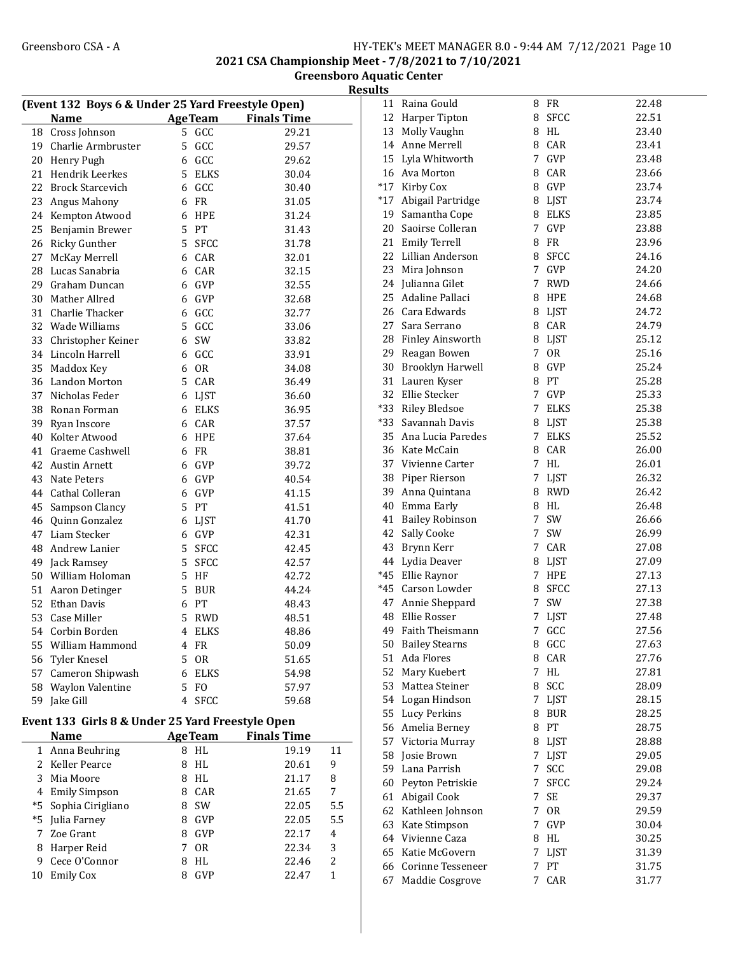2021 CSA Championship Meet - 7/8/2021 to 7/10/2021 Greensboro Aquatic Center

**Results** 

| (Event 132 Boys 6 & Under 25 Yard Freestyle Open) |                         |                |                |                    |  |  |  |
|---------------------------------------------------|-------------------------|----------------|----------------|--------------------|--|--|--|
|                                                   | Name AgeTeam            |                |                | <b>Finals Time</b> |  |  |  |
| 18                                                | Cross Johnson           | 5              | GCC            | 29.21              |  |  |  |
| 19                                                | Charlie Armbruster      | 5              | GCC            | 29.57              |  |  |  |
| 20                                                | Henry Pugh              | 6              | GCC            | 29.62              |  |  |  |
| 21                                                | Hendrik Leerkes         | 5              | <b>ELKS</b>    | 30.04              |  |  |  |
| 22                                                | <b>Brock Starcevich</b> | 6              | GCC            | 30.40              |  |  |  |
| 23                                                | Angus Mahony            | 6              | <b>FR</b>      | 31.05              |  |  |  |
| 24                                                | Kempton Atwood          | 6              | <b>HPE</b>     | 31.24              |  |  |  |
| 25                                                | Benjamin Brewer         | 5              | PT             | 31.43              |  |  |  |
| 26                                                | <b>Ricky Gunther</b>    | 5              | <b>SFCC</b>    | 31.78              |  |  |  |
| 27                                                | McKay Merrell           |                | 6 CAR          | 32.01              |  |  |  |
| 28                                                | Lucas Sanabria          | 6              | CAR            | 32.15              |  |  |  |
| 29                                                | Graham Duncan           | 6              | GVP            | 32.55              |  |  |  |
| 30                                                | Mather Allred           | 6              | GVP            | 32.68              |  |  |  |
| 31                                                | Charlie Thacker         | 6              | GCC            | 32.77              |  |  |  |
| 32                                                | Wade Williams           | 5              | GCC            | 33.06              |  |  |  |
| 33                                                | Christopher Keiner      | 6              | SW             | 33.82              |  |  |  |
| 34                                                | Lincoln Harrell         | 6              | GCC            | 33.91              |  |  |  |
| 35                                                | Maddox Key              | 6              | 0 <sub>R</sub> | 34.08              |  |  |  |
| 36                                                | Landon Morton           |                | 5 CAR          | 36.49              |  |  |  |
| 37                                                | Nicholas Feder          | 6              | <b>LJST</b>    | 36.60              |  |  |  |
| 38                                                | Ronan Forman            | 6              | <b>ELKS</b>    | 36.95              |  |  |  |
| 39                                                | Ryan Inscore            |                | 6 CAR          | 37.57              |  |  |  |
| 40                                                | Kolter Atwood           | 6              | <b>HPE</b>     | 37.64              |  |  |  |
| 41                                                | Graeme Cashwell         | 6              | <b>FR</b>      | 38.81              |  |  |  |
| 42                                                | <b>Austin Arnett</b>    | 6              | GVP            | 39.72              |  |  |  |
| 43                                                | Nate Peters             | 6              | GVP            | 40.54              |  |  |  |
| 44                                                | <b>Cathal Colleran</b>  | 6              | GVP            | 41.15              |  |  |  |
| 45                                                | Sampson Clancy          | 5              | PT             | 41.51              |  |  |  |
| 46                                                | Quinn Gonzalez          | 6              | <b>LJST</b>    | 41.70              |  |  |  |
| 47                                                | Liam Stecker            | 6              | GVP            | 42.31              |  |  |  |
| 48                                                | Andrew Lanier           | 5              | <b>SFCC</b>    | 42.45              |  |  |  |
| 49                                                | Jack Ramsey             | 5              | <b>SFCC</b>    | 42.57              |  |  |  |
| 50                                                | William Holoman         | 5              | HF             | 42.72              |  |  |  |
| 51                                                | Aaron Detinger          | 5              | <b>BUR</b>     | 44.24              |  |  |  |
| 52                                                | <b>Ethan Davis</b>      | 6              | PT             | 48.43              |  |  |  |
| 53                                                | Case Miller             | 5              | RWD            | 48.51              |  |  |  |
| 54                                                | Corbin Borden           | $\overline{4}$ | ELKS           | 48.86              |  |  |  |
| 55                                                | William Hammond         | $\overline{4}$ | FR             | 50.09              |  |  |  |
| 56                                                | Tyler Knesel            | 5              | <b>OR</b>      | 51.65              |  |  |  |
| 57                                                | Cameron Shipwash        | 6              | ELKS           | 54.98              |  |  |  |
| 58                                                | Waylon Valentine        | 5              | F <sub>O</sub> | 57.97              |  |  |  |
| 59                                                | Jake Gill               | 4              | <b>SFCC</b>    | 59.68              |  |  |  |

## Event 133 Girls 8 & Under 25 Yard Freestyle Open

|    | <b>Name</b>          | <b>AgeTeam</b> |                | <b>Finals Time</b> |       |     |
|----|----------------------|----------------|----------------|--------------------|-------|-----|
|    | 1 Anna Beuhring      | 8              | HL.            |                    | 19.19 | 11  |
|    | 2 Keller Pearce      | 8              | HL             |                    | 20.61 | 9   |
| 3  | Mia Moore            | 8              | HL             |                    | 21.17 | 8   |
|    | 4 Emily Simpson      | 8              | CAR            |                    | 21.65 | 7   |
|    | *5 Sophia Cirigliano | 8              | <b>SW</b>      |                    | 22.05 | 5.5 |
|    | *5 Julia Farney      | 8              | <b>GVP</b>     |                    | 22.05 | 5.5 |
|    | 7 Zoe Grant          | 8              | <b>GVP</b>     |                    | 22.17 | 4   |
| 8  | Harper Reid          |                | 0 <sub>R</sub> |                    | 22.34 | 3   |
| 9  | Cece O'Connor        | 8              | HI.            |                    | 22.46 | 2   |
| 10 | <b>Emily Cox</b>     | 8              | GVP            |                    | 22.47 |     |
|    |                      |                |                |                    |       |     |

| 11    | Raina Gould             | 8           | FR            | 22.48 |
|-------|-------------------------|-------------|---------------|-------|
| 12    | Harper Tipton           | 8           | <b>SFCC</b>   | 22.51 |
| 13    | Molly Vaughn            | 8           | HL            | 23.40 |
| 14    | Anne Merrell            |             | 8 CAR         | 23.41 |
| 15    | Lyla Whitworth          |             | 7 GVP         | 23.48 |
| 16    | Ava Morton              |             | 8 CAR         | 23.66 |
| $*17$ | Kirby Cox               |             | 8 GVP         | 23.74 |
| $*17$ | Abigail Partridge       |             |               | 23.74 |
|       |                         |             | 8 LJST        |       |
| 19    | Samantha Cope           |             | 8 ELKS        | 23.85 |
| 20    | Saoirse Colleran        | 7           | GVP           | 23.88 |
| 21    | <b>Emily Terrell</b>    | 8           | <b>FR</b>     | 23.96 |
| 22    | Lillian Anderson        | 8           | <b>SFCC</b>   | 24.16 |
| 23    | Mira Johnson            | $7^{\circ}$ | GVP           | 24.20 |
| 24    | Julianna Gilet          | 7           | <b>RWD</b>    | 24.66 |
| 25    | Adaline Pallaci         | 8           | HPE           | 24.68 |
| 26    | Cara Edwards            |             | 8 LJST        | 24.72 |
| 27    | Sara Serrano            |             | 8 CAR         | 24.79 |
| 28    | <b>Finley Ainsworth</b> |             | 8 LJST        | 25.12 |
| 29    | Reagan Bowen            |             | 7 OR          | 25.16 |
| 30    | Brooklyn Harwell        |             | 8 GVP         | 25.24 |
| 31    | Lauren Kyser            | 8           | PT            | 25.28 |
| 32    | Ellie Stecker           |             | 7 GVP         | 25.33 |
| $*33$ | <b>Riley Bledsoe</b>    | 7           | <b>ELKS</b>   | 25.38 |
| $*33$ | Savannah Davis          | 8           | LJST          | 25.38 |
| 35    | Ana Lucia Paredes       | 7           | <b>ELKS</b>   | 25.52 |
| 36    | Kate McCain             |             | 8 CAR         | 26.00 |
|       |                         |             |               |       |
| 37    | Vivienne Carter         | 7           | HL            | 26.01 |
| 38    | Piper Rierson           | $7^{\circ}$ | <b>LJST</b>   | 26.32 |
| 39    | Anna Quintana           | 8           | RWD           | 26.42 |
| 40    | Emma Early              |             | 8 HL          | 26.48 |
| 41    | <b>Bailey Robinson</b>  | $7^{\circ}$ | SW            | 26.66 |
| 42    | Sally Cooke             | $7^{\circ}$ | SW            | 26.99 |
| 43    | Brynn Kerr              |             | 7 CAR         | 27.08 |
| 44    | Lydia Deaver            | 8           | LJST          | 27.09 |
| *45   | Ellie Raynor            | 7           | HPE           | 27.13 |
| $*45$ | Carson Lowder           | 8           | <b>SFCC</b>   | 27.13 |
| 47    | Annie Sheppard          | 7           | SW            | 27.38 |
| 48    | Ellie Rosser            | 7           | <b>LJST</b>   | 27.48 |
| 49    | Faith Theismann         | 7           | GCC           | 27.56 |
| 50    | <b>Bailey Stearns</b>   | 8           | GCC           | 27.63 |
| 51    | Ada Flores              |             | 8 CAR         | 27.76 |
| 52    | Mary Kuebert            | 7           | HL            | 27.81 |
| 53    | Mattea Steiner          |             | 8 SCC         | 28.09 |
| 54    | Logan Hindson           | 7           | LJST          | 28.15 |
| 55    | <b>Lucy Perkins</b>     | 8           | <b>BUR</b>    | 28.25 |
| 56    | Amelia Berney           | 8           | PT            | 28.75 |
| 57    | Victoria Murray         | 8           | LJST          | 28.88 |
| 58    | Josie Brown             | 7           | LJST          | 29.05 |
| 59    | Lana Parrish            | 7           | SCC           | 29.08 |
| 60    | Peyton Petriskie        | 7           | <b>SFCC</b>   | 29.24 |
|       |                         |             |               |       |
| 61    | Abigail Cook            | 7           | <b>SE</b>     | 29.37 |
| 62    | Kathleen Johnson        | 7           | 0R            | 29.59 |
| 63    | Kate Stimpson           | 7           | GVP           | 30.04 |
| 64    | Vivienne Caza           | 8           | HL            | 30.25 |
| 65    | Katie McGovern          | 7           | LJST          | 31.39 |
| 66    | Corinne Tesseneer       | 7           | $\mathsf{PT}$ | 31.75 |
| 67    | Maddie Cosgrove         |             | 7 CAR         | 31.77 |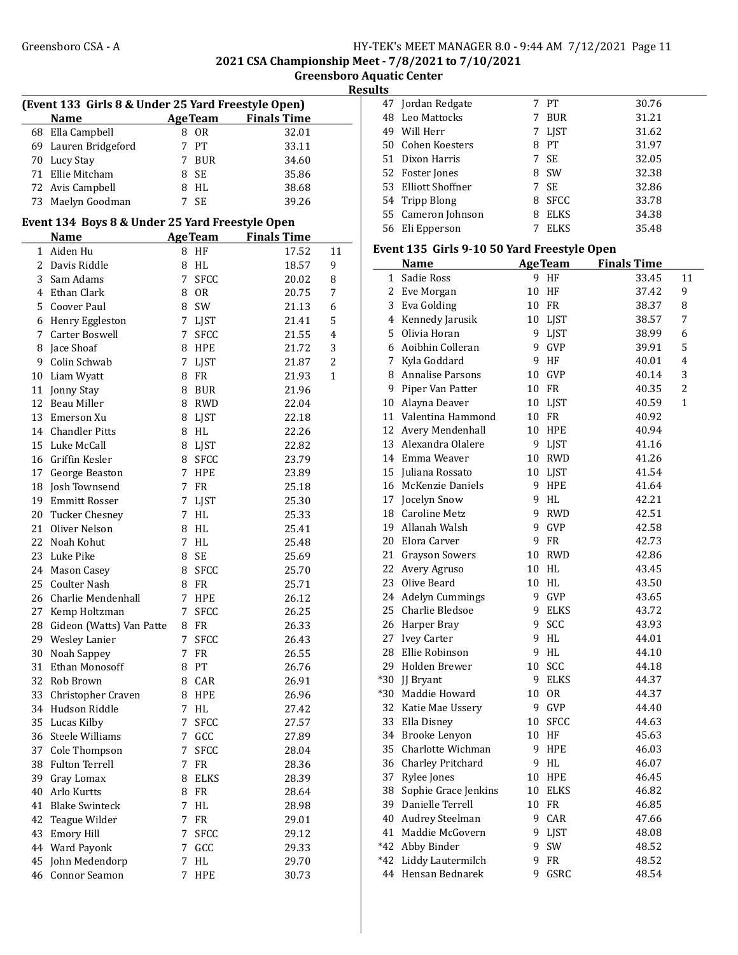2021 CSA Championship Meet - 7/8/2021 to 7/10/2021

Greensboro Aquatic Center

| Ш<br>×. |  |
|---------|--|
|         |  |

| (Event 133 Girls 8 & Under 25 Yard Freestyle Open) |                      |  |                |                    |  |  |  |
|----------------------------------------------------|----------------------|--|----------------|--------------------|--|--|--|
|                                                    | <b>Name</b>          |  | <b>AgeTeam</b> | <b>Finals Time</b> |  |  |  |
|                                                    | 68 Ella Campbell     |  | 8 OR           | 32.01              |  |  |  |
|                                                    | 69 Lauren Bridgeford |  | 7 PT           | 33.11              |  |  |  |
|                                                    | 70 Lucy Stay         |  | BUR            | 34.60              |  |  |  |
|                                                    | 71 Ellie Mitcham     |  | 8 SE           | 35.86              |  |  |  |
|                                                    | 72 Avis Campbell     |  | 8 HL           | 38.68              |  |  |  |
|                                                    | 73 Maelyn Goodman    |  | - SE           | 39.26              |  |  |  |

#### Event 134 Boys 8 & Under 25 Yard Freestyle Open

|    | <b>Name</b>              |   | <b>AgeTeam</b> | <b>Finals Time</b> |    |  |
|----|--------------------------|---|----------------|--------------------|----|--|
|    | 1 Aiden Hu               |   | 8 HF           | 17.52              | 11 |  |
|    | 2 Davis Riddle           | 8 | HL             | 18.57              | 9  |  |
| 3  | Sam Adams                | 7 | <b>SFCC</b>    | 20.02              | 8  |  |
|    | 4 Ethan Clark            | 8 | <b>OR</b>      | 20.75              | 7  |  |
|    | 5 Coover Paul            | 8 | SW             | 21.13              | 6  |  |
|    | 6 Henry Eggleston        | 7 | LJST           | 21.41              | 5  |  |
|    | 7 Carter Boswell         | 7 | <b>SFCC</b>    | 21.55              | 4  |  |
|    | 8 Jace Shoaf             |   | 8 HPE          | 21.72              | 3  |  |
|    | 9 Colin Schwab           |   | 7 LJST         | 21.87              | 2  |  |
|    | 10 Liam Wyatt            |   | 8 FR           | 21.93              | 1  |  |
|    | 11 Jonny Stay            |   | 8 BUR          | 21.96              |    |  |
|    | 12 Beau Miller           |   | 8 RWD          | 22.04              |    |  |
|    | 13 Emerson Xu            |   | 8 LJST         | 22.18              |    |  |
|    | 14 Chandler Pitts        |   | 8 HL           | 22.26              |    |  |
|    | 15 Luke McCall           | 8 | <b>LJST</b>    | 22.82              |    |  |
|    | 16 Griffin Kesler        | 8 | <b>SFCC</b>    | 23.79              |    |  |
|    | 17 George Beaston        | 7 | HPE            | 23.89              |    |  |
|    | 18 Josh Townsend         | 7 | <b>FR</b>      | 25.18              |    |  |
|    | 19 Emmitt Rosser         | 7 | LJST           | 25.30              |    |  |
|    | 20 Tucker Chesney        | 7 | HL             | 25.33              |    |  |
|    | 21 Oliver Nelson         |   | 8 HL           | 25.41              |    |  |
|    | 22 Noah Kohut            | 7 | <b>HL</b>      | 25.48              |    |  |
|    | 23 Luke Pike             | 8 | <b>SE</b>      | 25.69              |    |  |
|    | 24 Mason Casey           | 8 | <b>SFCC</b>    | 25.70              |    |  |
|    | 25 Coulter Nash          |   | 8 FR           | 25.71              |    |  |
| 26 | Charlie Mendenhall       | 7 | <b>HPE</b>     | 26.12              |    |  |
| 27 | Kemp Holtzman            | 7 | <b>SFCC</b>    | 26.25              |    |  |
| 28 | Gideon (Watts) Van Patte |   | 8 FR           | 26.33              |    |  |
| 29 | Wesley Lanier            | 7 | <b>SFCC</b>    | 26.43              |    |  |
| 30 | Noah Sappey              | 7 | <b>FR</b>      | 26.55              |    |  |
| 31 | Ethan Monosoff           | 8 | PT             | 26.76              |    |  |
|    | 32 Rob Brown             |   | 8 CAR          | 26.91              |    |  |
|    | 33 Christopher Craven    |   | 8 HPE          | 26.96              |    |  |
|    | 34 Hudson Riddle         | 7 | HL             | 27.42              |    |  |
|    | 35 Lucas Kilby           | 7 | <b>SFCC</b>    | 27.57              |    |  |
|    | 36 Steele Williams       | 7 | GCC            | 27.89              |    |  |
| 37 | Cole Thompson            | 7 | <b>SFCC</b>    | 28.04              |    |  |
| 38 | <b>Fulton Terrell</b>    | 7 | FR             | 28.36              |    |  |
| 39 | Gray Lomax               | 8 | <b>ELKS</b>    | 28.39              |    |  |
| 40 | Arlo Kurtts              | 8 | FR             | 28.64              |    |  |
| 41 | <b>Blake Swinteck</b>    | 7 | HL             | 28.98              |    |  |
| 42 | Teague Wilder            | 7 | FR             | 29.01              |    |  |
| 43 | <b>Emory Hill</b>        | 7 | <b>SFCC</b>    | 29.12              |    |  |
| 44 | <b>Ward Payonk</b>       | 7 | GCC            | 29.33              |    |  |
| 45 | John Medendorp           | 7 | HL             | 29.70              |    |  |
| 46 | Connor Seamon            | 7 | HPE            | 30.73              |    |  |

| 47 Jordan Redgate   |   | 7 PT        | 30.76 |
|---------------------|---|-------------|-------|
| 48 Leo Mattocks     |   | <b>BUR</b>  | 31.21 |
| Will Herr<br>49     |   | 7 LIST      | 31.62 |
| 50 Cohen Koesters   | 8 | PТ          | 31.97 |
| 51 Dixon Harris     |   | 7 SE        | 32.05 |
| 52 Foster Jones     |   | 8 SW        | 32.38 |
| 53 Elliott Shoffner |   | 7 SE        | 32.86 |
| 54 Tripp Blong      | 8 | SFCC        | 33.78 |
| 55 Cameron Johnson  | 8 | ELKS        | 34.38 |
| Eli Epperson<br>56  |   | <b>ELKS</b> | 35.48 |

#### Event 135 Girls 9-10 50 Yard Freestyle Open

|       | <b>Name</b>             |    | AgeTeam     | <b>Finals Time</b> |                |
|-------|-------------------------|----|-------------|--------------------|----------------|
| 1     | Sadie Ross              | 9  | HF          | 33.45              | 11             |
| 2     | Eve Morgan              | 10 | HF          | 37.42              | 9              |
| 3     | Eva Golding             | 10 | <b>FR</b>   | 38.37              | 8              |
| 4     | Kennedy Jarusik         | 10 | LJST        | 38.57              | 7              |
| 5     | Olivia Horan            | 9  | <b>LJST</b> | 38.99              | 6              |
| 6     | Aoibhin Colleran        | 9  | <b>GVP</b>  | 39.91              | 5              |
| 7     | Kyla Goddard            | 9  | HF          | 40.01              | $\overline{4}$ |
| 8     | <b>Annalise Parsons</b> | 10 | GVP         | 40.14              | 3              |
| 9     | Piper Van Patter        | 10 | <b>FR</b>   | 40.35              | 2              |
|       | 10 Alayna Deaver        | 10 | LIST        | 40.59              | 1              |
| 11    | Valentina Hammond       | 10 | FR          | 40.92              |                |
| 12    | Avery Mendenhall        | 10 | <b>HPE</b>  | 40.94              |                |
|       | 13 Alexandra Olalere    | 9  | LJST        | 41.16              |                |
| 14    | Emma Weaver             | 10 | <b>RWD</b>  | 41.26              |                |
| 15    | Juliana Rossato         | 10 | <b>LIST</b> | 41.54              |                |
| 16    | McKenzie Daniels        | 9  | <b>HPE</b>  | 41.64              |                |
| 17    | Jocelyn Snow            | 9  | HL          | 42.21              |                |
|       | 18 Caroline Metz        | 9  | <b>RWD</b>  | 42.51              |                |
| 19    | Allanah Walsh           | 9  | <b>GVP</b>  | 42.58              |                |
| 20    | Elora Carver            | 9  | <b>FR</b>   | 42.73              |                |
|       | 21 Grayson Sowers       | 10 | <b>RWD</b>  | 42.86              |                |
|       | 22 Avery Agruso         | 10 | HL          | 43.45              |                |
|       | 23 Olive Beard          | 10 | HL          | 43.50              |                |
| 24    | <b>Adelyn Cummings</b>  | 9  | <b>GVP</b>  | 43.65              |                |
| 25    | Charlie Bledsoe         | 9  | <b>ELKS</b> | 43.72              |                |
|       | 26 Harper Bray          | 9  | SCC         | 43.93              |                |
| 27    | <b>Ivey Carter</b>      | 9  | <b>HL</b>   | 44.01              |                |
| 28    | Ellie Robinson          | 9  | <b>HL</b>   | 44.10              |                |
| 29    | Holden Brewer           | 10 | SCC         | 44.18              |                |
| $*30$ | <b>JJ</b> Bryant        | 9  | <b>ELKS</b> | 44.37              |                |
| $*30$ | Maddie Howard           | 10 | <b>OR</b>   | 44.37              |                |
| 32    | Katie Mae Ussery        | 9  | GVP         | 44.40              |                |
| 33    | Ella Disney             | 10 | <b>SFCC</b> | 44.63              |                |
| 34    | Brooke Lenyon           | 10 | HF          | 45.63              |                |
| 35    | Charlotte Wichman       | 9  | <b>HPE</b>  | 46.03              |                |
|       | 36 Charley Pritchard    | 9  | HL          | 46.07              |                |
| 37    | Rylee Jones             | 10 | <b>HPE</b>  | 46.45              |                |
| 38    | Sophie Grace Jenkins    | 10 | ELKS        | 46.82              |                |
| 39    | Danielle Terrell        | 10 | <b>FR</b>   | 46.85              |                |
| 40    | Audrey Steelman         | 9  | CAR         | 47.66              |                |
| 41    | Maddie McGovern         | 9  | <b>LIST</b> | 48.08              |                |
| *42   | Abby Binder             | 9  | SW          | 48.52              |                |
| $*42$ | Liddy Lautermilch       | 9  | FR          | 48.52              |                |
| 44    | Hensan Bednarek         | 9  | GSRC        | 48.54              |                |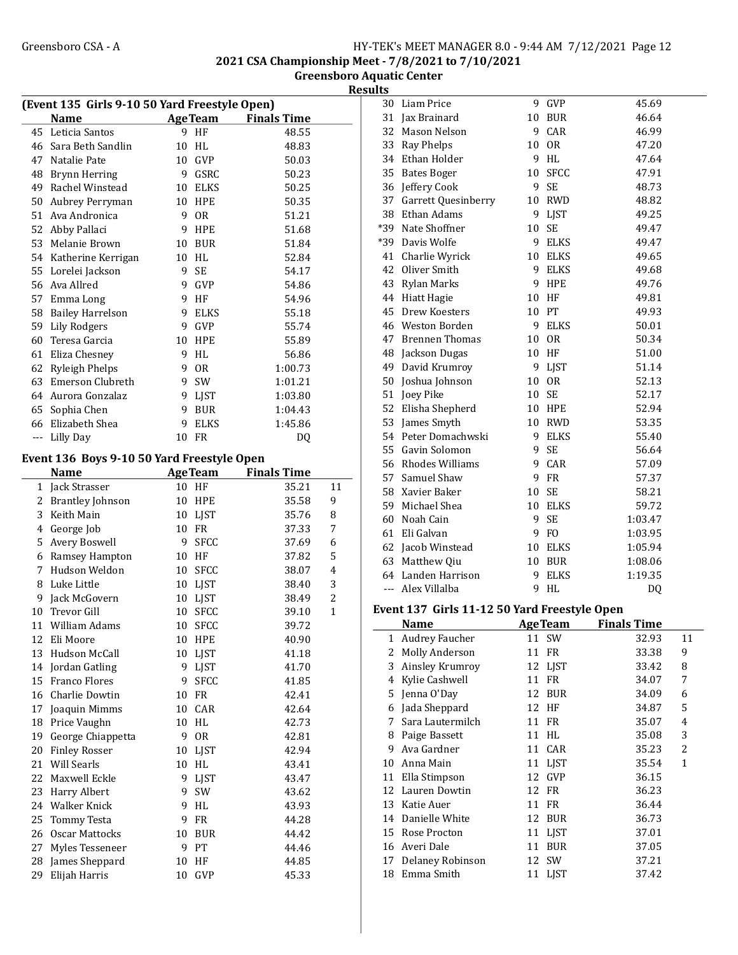## Greensboro CSA - A <br>
HY-TEK's MEET MANAGER 8.0 - 9:44 AM 7/12/2021 Page 12 2021 CSA Championship Meet - 7/8/2021 to 7/10/2021

Greensboro Aquatic Center

Results

| (Event 135 Girls 9-10 50 Yard Freestyle Open) |                                            |                 |                |                            |                |
|-----------------------------------------------|--------------------------------------------|-----------------|----------------|----------------------------|----------------|
|                                               | <b>Name</b>                                |                 |                | <b>AgeTeam</b> Finals Time |                |
| 45                                            | Leticia Santos                             | 9.              | HF             | 48.55                      |                |
| 46                                            | Sara Beth Sandlin                          | 10              | HL             | 48.83                      |                |
| 47                                            | Natalie Pate                               |                 | 10 GVP         | 50.03                      |                |
| 48                                            | Brynn Herring                              |                 | 9 GSRC         | 50.23                      |                |
|                                               | 49 Rachel Winstead                         |                 | 10 ELKS        | 50.25                      |                |
| 50                                            | Aubrey Perryman                            |                 | 10 HPE         | 50.35                      |                |
| 51                                            | Ava Andronica                              |                 | 9 OR           | 51.21                      |                |
|                                               | 52 Abby Pallaci                            |                 | 9 HPE          | 51.68                      |                |
| 53                                            | Melanie Brown                              |                 | 10 BUR         | 51.84                      |                |
|                                               | 54 Katherine Kerrigan                      |                 | 10 HL          | 52.84                      |                |
| 55                                            | Lorelei Jackson                            | 9               | <b>SE</b>      | 54.17                      |                |
| 56                                            | Ava Allred                                 |                 | 9 GVP          | 54.86                      |                |
| 57                                            | Emma Long                                  |                 | 9 HF           | 54.96                      |                |
| 58                                            | <b>Bailey Harrelson</b>                    |                 | 9 ELKS         | 55.18                      |                |
| 59                                            | Lily Rodgers                               |                 | 9 GVP          | 55.74                      |                |
| 60                                            | Teresa Garcia                              |                 | 10 HPE         | 55.89                      |                |
| 61                                            | Eliza Chesney                              |                 | 9 HL           | 56.86                      |                |
|                                               | 62 Ryleigh Phelps                          |                 | 9 OR           | 1:00.73                    |                |
|                                               | 63 Emerson Clubreth                        |                 | 9 SW           | 1:01.21                    |                |
|                                               | 64 Aurora Gonzalaz                         |                 | 9 LJST         | 1:03.80                    |                |
|                                               | 65 Sophia Chen                             | 9               | <b>BUR</b>     | 1:04.43                    |                |
|                                               | 66 Elizabeth Shea                          | 9               | <b>ELKS</b>    | 1:45.86                    |                |
| ---                                           | Lilly Day                                  |                 | 10 FR          | DQ                         |                |
|                                               |                                            |                 |                |                            |                |
|                                               | Event 136 Boys 9-10 50 Yard Freestyle Open |                 |                |                            |                |
|                                               | <b>Name</b>                                |                 | <b>AgeTeam</b> | <b>Finals Time</b>         |                |
| 1                                             | Jack Strasser                              | 10              | HF             | 35.21                      | 11             |
| 2                                             | <b>Brantley Johnson</b>                    | 10              | HPE            | 35.58                      | 9              |
| 3                                             | Keith Main                                 |                 | 10 LJST        | 35.76                      | 8              |
| 4                                             | George Job                                 |                 | 10 FR          | 37.33                      | 7              |
| 5                                             | Avery Boswell                              |                 | 9 SFCC         | 37.69                      | 6              |
|                                               | 6 Ramsey Hampton                           |                 | 10 HF          | 37.82                      | 5              |
| 7                                             | Hudson Weldon                              |                 | 10 SFCC        | 38.07                      | 4              |
| 8                                             | Luke Little                                |                 | 10 LJST        | 38.40                      | 3              |
| 9                                             | Jack McGovern                              |                 | 10 LJST        | 38.49                      | $\overline{c}$ |
| 10                                            | Trevor Gill                                | 10              | SFCC           | 39.10                      | $\mathbf{1}$   |
| 11                                            | William Adams                              | 10              | <b>SFCC</b>    | 39.72                      |                |
| 12                                            | Eli Moore                                  | 10              | <b>HPE</b>     | 40.90                      |                |
| 13                                            | Hudson McCall                              | 10              | <b>LJST</b>    | 41.18                      |                |
| 14                                            | Jordan Gatling                             | 9               | <b>LJST</b>    | 41.70                      |                |
| 15                                            | <b>Franco Flores</b>                       | 9               | <b>SFCC</b>    | 41.85                      |                |
| 16                                            | Charlie Dowtin                             |                 | 10 FR          | 42.41                      |                |
| 17                                            | Joaquin Mimms                              | 10              | CAR            | 42.64                      |                |
| 18                                            | Price Vaughn                               | 10              | HL             | 42.73                      |                |
| 19                                            | George Chiappetta                          | 9               | <b>OR</b>      | 42.81                      |                |
| 20                                            | <b>Finley Rosser</b>                       |                 | 10 LJST        | 42.94                      |                |
| 21                                            | Will Searls                                | 10 <sup>°</sup> | HL             | 43.41                      |                |
| 22                                            | Maxwell Eckle                              | 9               | <b>LJST</b>    | 43.47                      |                |
| 23                                            | Harry Albert                               | 9               | SW             | 43.62                      |                |
| 24                                            | Walker Knick                               | 9               | HL             | 43.93                      |                |
| 25                                            | Tommy Testa                                | 9               | ${\rm FR}$     | 44.28                      |                |
| 26                                            | Oscar Mattocks                             | 10              | <b>BUR</b>     | 44.42                      |                |
| 27                                            | Myles Tesseneer                            | 9               | PT             | 44.46                      |                |
| 28                                            | James Sheppard                             | 10              | HF             | 44.85                      |                |
| 29                                            | Elijah Harris                              | 10              | GVP            | 45.33                      |                |

| 30  | Liam Price            | 9  | GVP            | 45.69   |
|-----|-----------------------|----|----------------|---------|
| 31  | Jax Brainard          | 10 | <b>BUR</b>     | 46.64   |
| 32  | Mason Nelson          | 9  | CAR            | 46.99   |
| 33  | Ray Phelps            | 10 | 0 <sub>R</sub> | 47.20   |
| 34  | Ethan Holder          | 9  | <b>HL</b>      | 47.64   |
| 35  | <b>Bates Boger</b>    | 10 | <b>SFCC</b>    | 47.91   |
| 36  | Jeffery Cook          | 9  | SE             | 48.73   |
| 37  | Garrett Quesinberry   | 10 | <b>RWD</b>     | 48.82   |
| 38  | Ethan Adams           | 9  | LJST           | 49.25   |
| *39 | Nate Shoffner         | 10 | <b>SE</b>      | 49.47   |
| *39 | Davis Wolfe           | 9  | <b>ELKS</b>    | 49.47   |
| 41  | Charlie Wyrick        |    | 10 ELKS        | 49.65   |
| 42  | Oliver Smith          | 9  | ELKS           | 49.68   |
| 43  | Rylan Marks           | 9  | HPE            | 49.76   |
| 44  | <b>Hiatt Hagie</b>    | 10 | HF             | 49.81   |
| 45  | Drew Koesters         | 10 | PT             | 49.93   |
|     | 46 Weston Borden      | 9  | <b>ELKS</b>    | 50.01   |
| 47  | <b>Brennen Thomas</b> | 10 | <b>OR</b>      | 50.34   |
|     | 48 Jackson Dugas      | 10 | HF             | 51.00   |
| 49  | David Krumroy         | 9  | LJST           | 51.14   |
| 50  | Joshua Johnson        | 10 | 0R             | 52.13   |
| 51  | Joey Pike             | 10 | SE             | 52.17   |
| 52  | Elisha Shepherd       | 10 | HPE            | 52.94   |
| 53  | James Smyth           | 10 | <b>RWD</b>     | 53.35   |
|     | 54 Peter Domachwski   | 9  | <b>ELKS</b>    | 55.40   |
| 55  | Gavin Solomon         | 9  | SE             | 56.64   |
|     | 56 Rhodes Williams    | 9  | CAR            | 57.09   |
| 57  | Samuel Shaw           | 9  | <b>FR</b>      | 57.37   |
| 58  | Xavier Baker          | 10 | <b>SE</b>      | 58.21   |
|     | 59 Michael Shea       |    | 10 ELKS        | 59.72   |
|     | 60 Noah Cain          | 9  | SE             | 1:03.47 |
| 61  | Eli Galvan            | 9  | F <sub>0</sub> | 1:03.95 |
|     | 62 Jacob Winstead     | 10 | ELKS           | 1:05.94 |
| 63  | Matthew Qiu           | 10 | BUR            | 1:08.06 |
| 64  | Landen Harrison       | 9  | <b>ELKS</b>    | 1:19.35 |
| --- | Alex Villalba         | 9  | HL             | DQ      |
|     |                       |    |                |         |

#### Event 137 Girls 11-12 50 Yard Freestyle Open

|    | <b>Name</b>           | <b>AgeTeam</b>    | <b>Finals Time</b> |    |
|----|-----------------------|-------------------|--------------------|----|
| 1  | <b>Audrey Faucher</b> | 11 SW             | 32.93              | 11 |
| 2  | <b>Molly Anderson</b> | FR<br>11          | 33.38              | 9  |
| 3  | Ainsley Krumroy       | 12 LJST           | 33.42              | 8  |
| 4  | Kylie Cashwell        | FR<br>11          | 34.07              | 7  |
| 5. | Jenna O'Day           | <b>BUR</b><br>12  | 34.09              | 6  |
| 6  | Jada Sheppard         | 12<br>HF          | 34.87              | 5  |
| 7  | Sara Lautermilch      | FR<br>11          | 35.07              | 4  |
| 8  | Paige Bassett         | HL.<br>11         | 35.08              | 3  |
| 9  | Ava Gardner           | CAR<br>11         | 35.23              | 2  |
| 10 | Anna Main             | <b>LIST</b><br>11 | 35.54              | 1  |
| 11 | Ella Stimpson         | GVP<br>12         | 36.15              |    |
| 12 | Lauren Dowtin         | FR<br>12          | 36.23              |    |
| 13 | Katie Auer            | FR<br>11          | 36.44              |    |
| 14 | Danielle White        | <b>BUR</b><br>12  | 36.73              |    |
| 15 | Rose Procton          | LJST<br>11        | 37.01              |    |
| 16 | Averi Dale            | <b>BUR</b><br>11  | 37.05              |    |
| 17 | Delaney Robinson      | <b>SW</b><br>12   | 37.21              |    |
| 18 | Emma Smith            | LJST<br>11        | 37.42              |    |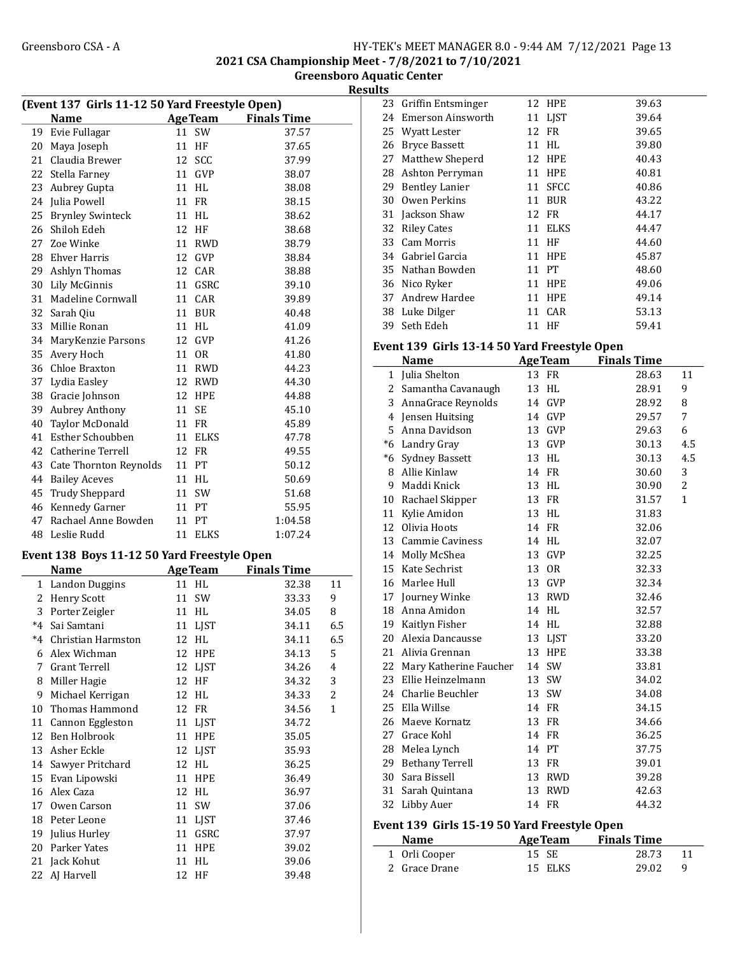2021 CSA Championship Meet - 7/8/2021 to 7/10/2021

Greensboro Aquatic Center Results

| (Event 137 Girls 11-12 50 Yard Freestyle Open) |                                             |    |                |                    |                |
|------------------------------------------------|---------------------------------------------|----|----------------|--------------------|----------------|
|                                                | <b>Name</b>                                 |    | <b>AgeTeam</b> | <b>Finals Time</b> |                |
| 19                                             | Evie Fullagar                               | 11 | SW             | 37.57              |                |
| 20                                             | Maya Joseph                                 | 11 | HF             | 37.65              |                |
| 21                                             | Claudia Brewer                              | 12 | SCC            | 37.99              |                |
| 22                                             | Stella Farney                               |    | 11 GVP         | 38.07              |                |
| 23                                             | Aubrey Gupta                                |    | 11 HL          | 38.08              |                |
| 24                                             | Julia Powell                                |    | 11 FR          | 38.15              |                |
| 25                                             | <b>Brynley Swinteck</b>                     |    | 11 HL          | 38.62              |                |
| 26                                             | Shiloh Edeh                                 |    | 12 HF          | 38.68              |                |
| 27                                             | Zoe Winke                                   |    | 11 RWD         | 38.79              |                |
| 28                                             | Ehver Harris                                |    | 12 GVP         | 38.84              |                |
| 29                                             | Ashlyn Thomas                               |    | 12 CAR         | 38.88              |                |
| 30                                             | Lily McGinnis                               | 11 | GSRC           | 39.10              |                |
| 31                                             | Madeline Cornwall                           | 11 | CAR            | 39.89              |                |
| 32                                             | Sarah Qiu                                   | 11 | <b>BUR</b>     | 40.48              |                |
| 33                                             | Millie Ronan                                |    | 11 HL          | 41.09              |                |
| 34                                             | MaryKenzie Parsons                          |    | 12 GVP         | 41.26              |                |
|                                                |                                             |    |                |                    |                |
| 35                                             | Avery Hoch                                  |    | 11 OR          | 41.80              |                |
|                                                | 36 Chloe Braxton                            |    | 11 RWD         | 44.23              |                |
| 37                                             | Lydia Easley                                |    | 12 RWD         | 44.30              |                |
| 38                                             | Gracie Johnson                              |    | 12 HPE         | 44.88              |                |
| 39                                             | <b>Aubrey Anthony</b>                       |    | 11 SE          | 45.10              |                |
| 40                                             | Taylor McDonald                             |    | 11 FR          | 45.89              |                |
| 41                                             | Esther Schoubben                            |    | 11 ELKS        | 47.78              |                |
| 42                                             | Catherine Terrell                           | 12 | FR             | 49.55              |                |
| 43                                             | Cate Thornton Reynolds                      |    | 11 PT          | 50.12              |                |
| 44                                             | <b>Bailey Aceves</b>                        |    | 11 HL          | 50.69              |                |
| 45                                             | <b>Trudy Sheppard</b>                       |    | 11 SW          | 51.68              |                |
|                                                | 46 Kennedy Garner                           |    | 11 PT          | 55.95              |                |
| 47                                             | Rachael Anne Bowden                         | 11 | PT             | 1:04.58            |                |
| 48                                             | Leslie Rudd                                 |    | 11 ELKS        | 1:07.24            |                |
|                                                | Event 138 Boys 11-12 50 Yard Freestyle Open |    |                |                    |                |
|                                                | <b>Name</b>                                 |    | <b>AgeTeam</b> | <b>Finals Time</b> |                |
| $\mathbf{1}$                                   | <b>Landon Duggins</b>                       |    | 11 HL          | 32.38              | 11             |
| 2                                              | <b>Henry Scott</b>                          | 11 | SW             | 33.33              | 9              |
| 3                                              | Porter Zeigler                              |    | 11 HL          | 34.05              | 8              |
| *4                                             | Sai Samtani                                 | 11 | LJST           | 34.11              | 6.5            |
| *4                                             | Christian Harmston                          | 12 | HL             | 34.11              | 6.5            |
| 6                                              | Alex Wichman                                | 12 | HPE            | 34.13              | 5              |
| 7                                              | <b>Grant Terrell</b>                        | 12 | <b>LJST</b>    | 34.26              | 4              |
| 8                                              | Miller Hagie                                | 12 | HF             | 34.32              | 3              |
| 9                                              | Michael Kerrigan                            | 12 | HL             | 34.33              | $\overline{c}$ |
| 10                                             | Thomas Hammond                              | 12 | ${\rm FR}$     |                    | $\mathbf{1}$   |
|                                                |                                             | 11 |                | 34.56              |                |
| 11                                             | Cannon Eggleston<br>Ben Holbrook            |    | LJST           | 34.72              |                |
| 12                                             |                                             | 11 | HPE            | 35.05              |                |
| 13                                             | Asher Eckle                                 |    | 12 LJST        | 35.93              |                |
| 14                                             | Sawyer Pritchard                            | 12 | HL             | 36.25              |                |
| 15                                             | Evan Lipowski                               | 11 | HPE            | 36.49              |                |
| 16                                             | Alex Caza                                   | 12 | HL             | 36.97              |                |
| 17                                             | Owen Carson                                 | 11 | SW             | 37.06              |                |
| 18                                             | Peter Leone                                 | 11 | LJST           | 37.46              |                |
| 19                                             | Julius Hurley                               | 11 | GSRC           | 37.97              |                |
| 20                                             | Parker Yates                                | 11 | <b>HPE</b>     | 39.02              |                |
| 21                                             | Jack Kohut                                  | 11 | HL             | 39.06              |                |
| 22                                             | AJ Harvell                                  | 12 | $\rm HF$       | 39.48              |                |

| -- |                                               |    |                |                    |    |  |  |
|----|-----------------------------------------------|----|----------------|--------------------|----|--|--|
|    | 23 Griffin Entsminger                         |    | 12 HPE         | 39.63              |    |  |  |
| 24 | Emerson Ainsworth                             | 11 | <b>LIST</b>    | 39.64              |    |  |  |
| 25 | Wyatt Lester                                  | 12 | FR             | 39.65              |    |  |  |
| 26 | <b>Bryce Bassett</b>                          | 11 | HL             | 39.80              |    |  |  |
| 27 | Matthew Sheperd                               | 12 | <b>HPE</b>     | 40.43              |    |  |  |
| 28 | Ashton Perryman                               | 11 | <b>HPE</b>     | 40.81              |    |  |  |
| 29 | <b>Bentley Lanier</b>                         | 11 | <b>SFCC</b>    | 40.86              |    |  |  |
| 30 | Owen Perkins                                  | 11 | <b>BUR</b>     | 43.22              |    |  |  |
| 31 | Jackson Shaw                                  | 12 | FR             | 44.17              |    |  |  |
| 32 | <b>Riley Cates</b>                            | 11 | <b>ELKS</b>    | 44.47              |    |  |  |
| 33 | Cam Morris                                    | 11 | HF             | 44.60              |    |  |  |
| 34 | Gabriel Garcia                                | 11 | <b>HPE</b>     | 45.87              |    |  |  |
| 35 | Nathan Bowden                                 | 11 | <b>PT</b>      | 48.60              |    |  |  |
| 36 | Nico Ryker                                    | 11 | <b>HPE</b>     | 49.06              |    |  |  |
| 37 | Andrew Hardee                                 | 11 | <b>HPE</b>     | 49.14              |    |  |  |
| 38 | Luke Dilger                                   | 11 | CAR            | 53.13              |    |  |  |
| 39 | Seth Edeh                                     | 11 | HF             | 59.41              |    |  |  |
|    | Event 139  Girls 13-14 50 Yard Freestyle Open |    |                |                    |    |  |  |
|    | <b>Name</b>                                   |    | <b>AgeTeam</b> | <b>Finals Time</b> |    |  |  |
| 1  | Julia Shelton                                 | 13 | FR             | 28.63              | 11 |  |  |
|    |                                               |    |                |                    |    |  |  |

|              | Name                      |    | дее геаш    | гшать гипе |              |
|--------------|---------------------------|----|-------------|------------|--------------|
| $\mathbf{1}$ | Julia Shelton             |    | 13 FR       | 28.63      | 11           |
|              | 2 Samantha Cavanaugh      |    | 13 HL       | 28.91      | 9            |
|              | 3 AnnaGrace Reynolds      |    | 14 GVP      | 28.92      | 8            |
|              | 4 Jensen Huitsing         |    | 14 GVP      | 29.57      | 7            |
|              | 5 Anna Davidson           | 13 | <b>GVP</b>  | 29.63      | 6            |
|              | *6 Landry Gray            |    | 13 GVP      | 30.13      | 4.5          |
|              | *6 Sydney Bassett         |    | 13 HL       | 30.13      | 4.5          |
|              | 8 Allie Kinlaw            |    | 14 FR       | 30.60      | 3            |
| 9            | Maddi Knick               |    | 13 HL       | 30.90      | 2            |
|              | 10 Rachael Skipper        |    | 13 FR       | 31.57      | $\mathbf{1}$ |
|              | 11 Kylie Amidon           |    | 13 HL       | 31.83      |              |
|              | 12 Olivia Hoots           |    | 14 FR       | 32.06      |              |
|              | 13 Cammie Caviness        |    | 14 HL       | 32.07      |              |
|              | 14 Molly McShea           |    | 13 GVP      | 32.25      |              |
|              | 15 Kate Sechrist          |    | 13 OR       | 32.33      |              |
|              | 16 Marlee Hull            |    | 13 GVP      | 32.34      |              |
| 17           | Journey Winke             | 13 | <b>RWD</b>  | 32.46      |              |
|              | 18 Anna Amidon            |    | 14 HL       | 32.57      |              |
|              | 19 Kaitlyn Fisher         |    | 14 HL       | 32.88      |              |
|              | 20 Alexia Dancausse       | 13 | <b>LJST</b> | 33.20      |              |
|              | 21 Alivia Grennan         |    | 13 HPE      | 33.38      |              |
|              | 22 Mary Katherine Faucher |    | 14 SW       | 33.81      |              |
|              | 23 Ellie Heinzelmann      |    | 13 SW       | 34.02      |              |
|              | 24 Charlie Beuchler       | 13 | SW          | 34.08      |              |
| 25           | Ella Willse               |    | 14 FR       | 34.15      |              |
| 26           | Maeve Kornatz             |    | 13 FR       | 34.66      |              |
|              | 27 Grace Kohl             |    | 14 FR       | 36.25      |              |
|              | 28 Melea Lynch            |    | 14 PT       | 37.75      |              |
| 29           | Bethany Terrell           |    | 13 FR       | 39.01      |              |
|              | 30 Sara Bissell           |    | 13 RWD      | 39.28      |              |
|              | 31 Sarah Quintana         |    | 13 RWD      | 42.63      |              |
| 32           | Libby Auer                | 14 | FR          | 44.32      |              |
|              |                           |    |             |            |              |

## Event 139 Girls 15-19 50 Yard Freestyle Open

| <b>Name</b>   | <b>AgeTeam</b> | <b>Finals Time</b> |  |
|---------------|----------------|--------------------|--|
| 1 Orli Cooper | 15 SE          | 28.73              |  |
| 2 Grace Drane | 15 ELKS        | 29.02              |  |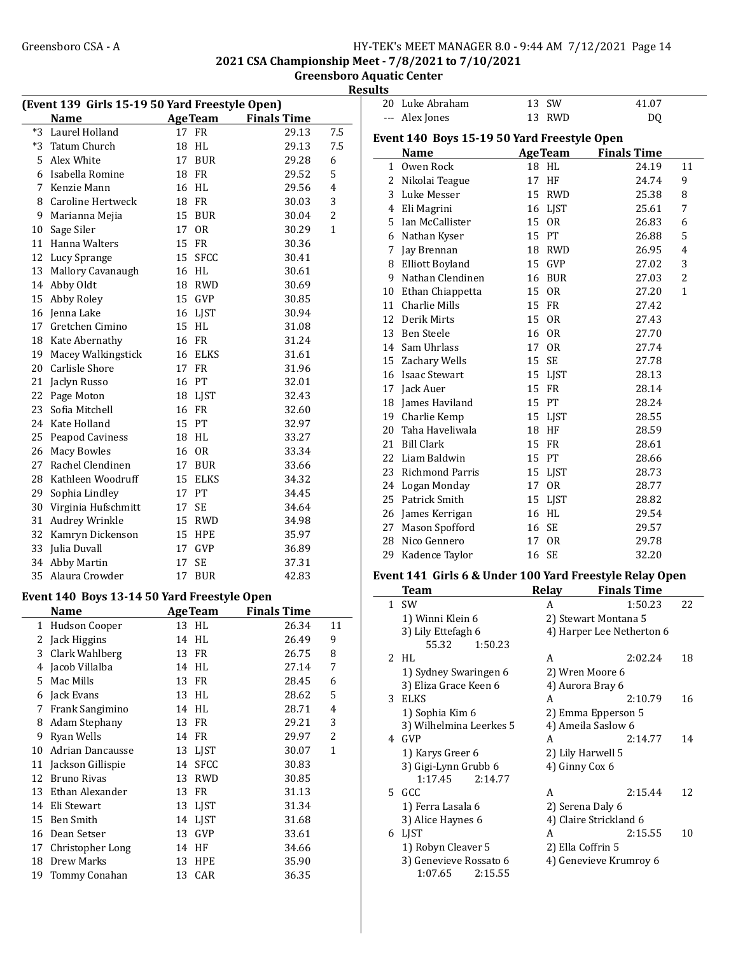2021 CSA Championship Meet - 7/8/2021 to 7/10/2021

## Greensboro Aquatic Center Results

| (Event 139 Girls 15-19 50 Yard Freestyle Open)<br><b>AgeTeam</b> Finals Time |                                             |                      |                    |                |    |
|------------------------------------------------------------------------------|---------------------------------------------|----------------------|--------------------|----------------|----|
|                                                                              | <b>Name</b>                                 |                      |                    |                |    |
| $*3$                                                                         | Laurel Holland                              | 17 FR                | 29.13              | 7.5            | Ev |
| *3                                                                           | Tatum Church                                | 18<br>HL             | 29.13              | 7.5            |    |
|                                                                              | 5 Alex White                                | 17<br><b>BUR</b>     | 29.28              | 6              |    |
|                                                                              | 6 Isabella Romine                           | 18 FR                | 29.52              | 5              |    |
|                                                                              | 7 Kenzie Mann                               | 16 HL                | 29.56              | 4              |    |
|                                                                              | 8 Caroline Hertweck                         | 18 FR                | 30.03              | 3              |    |
|                                                                              | 9 Marianna Mejia                            | 15 BUR               | 30.04              | $\overline{2}$ |    |
|                                                                              | 10 Sage Siler                               | 17<br>0 <sub>R</sub> | 30.29              | 1              |    |
|                                                                              | 11 Hanna Walters                            | 15 FR                | 30.36              |                |    |
|                                                                              | 12 Lucy Sprange                             | 15 SFCC              | 30.41              |                |    |
|                                                                              | 13 Mallory Cavanaugh                        | 16 HL                | 30.61              |                |    |
|                                                                              | 14 Abby Oldt                                | 18 RWD               | 30.69              |                |    |
| 15                                                                           | Abby Roley                                  | 15 GVP               | 30.85              |                |    |
|                                                                              | 16 Jenna Lake                               | 16 LJST              | 30.94              |                |    |
| 17                                                                           | Gretchen Cimino                             | 15 HL                | 31.08              |                |    |
|                                                                              | 18 Kate Abernathy                           | 16 FR                | 31.24              |                |    |
|                                                                              | 19 Macey Walkingstick                       | 16 ELKS              | 31.61              |                |    |
|                                                                              | 20 Carlisle Shore                           | 17 FR                | 31.96              |                |    |
|                                                                              | 21 Jaclyn Russo                             | 16 PT                | 32.01              |                |    |
|                                                                              | 22 Page Moton                               | 18 LJST              | 32.43              |                |    |
|                                                                              | 23 Sofia Mitchell                           | 16 FR                | 32.60              |                |    |
|                                                                              | 24 Kate Holland                             | 15 PT                | 32.97              |                |    |
|                                                                              | 25 Peapod Caviness                          | 18 HL                | 33.27              |                |    |
|                                                                              | 26 Macy Bowles                              | 16 OR                | 33.34              |                |    |
| 27                                                                           | Rachel Clendinen                            | 17 BUR               | 33.66              |                |    |
|                                                                              | 28 Kathleen Woodruff                        | 15<br><b>ELKS</b>    | 34.32              |                |    |
| 29                                                                           | Sophia Lindley                              | 17 PT                | 34.45              |                |    |
|                                                                              | 30 Virginia Hufschmitt                      | 17<br><b>SE</b>      | 34.64              |                |    |
|                                                                              | 31 Audrey Wrinkle                           | 15 RWD               | 34.98              |                |    |
|                                                                              | 32 Kamryn Dickenson                         | <b>15 HPE</b>        | 35.97              |                |    |
|                                                                              | 33 Julia Duvall                             | 17<br><b>GVP</b>     | 36.89              |                |    |
|                                                                              | 34 Abby Martin                              | 17<br><b>SE</b>      | 37.31              |                |    |
|                                                                              | 35 Alaura Crowder                           | 17 BUR               | 42.83              |                | Ev |
|                                                                              |                                             |                      |                    |                |    |
|                                                                              | Event 140 Boys 13-14 50 Yard Freestyle Open |                      |                    |                |    |
|                                                                              | Name                                        | <b>AgeTeam</b>       | <b>Finals Time</b> |                |    |
|                                                                              | 1 Hudson Cooper                             | 13 HL                | 26.34              | 11             |    |
|                                                                              | 2 Jack Higgins                              | 14 HL                | 26.49              | 9              |    |
| 3                                                                            | Clark Wahlberg                              | FR<br>13             | 26.75              | 8              |    |
|                                                                              | 4 Jacob Villalba                            | HL<br>14             | 27.14              | 7              |    |
|                                                                              | 5 Mac Mills                                 | 13 FR                | 28.45              | 6              |    |
|                                                                              | 6 Jack Evans                                | 13 HL                | 28.62              | 5              |    |
|                                                                              | 7 Frank Sangimino                           | 14 HL                | 28.71              | 4              |    |
|                                                                              | 8 Adam Stephany                             | 13 FR                | 29.21              | 3              |    |
|                                                                              | 9 Ryan Wells                                | 14 FR                | 29.97              | 2              |    |
|                                                                              | 10 Adrian Dancausse                         | 13 LJST              | 30.07              | 1              |    |
|                                                                              | 11 Jackson Gillispie                        | 14 SFCC              | 30.83              |                |    |
|                                                                              | 12 Bruno Rivas                              | 13<br><b>RWD</b>     | 30.85              |                |    |
|                                                                              | 13 Ethan Alexander                          | 13<br>FR             | 31.13              |                |    |
|                                                                              | 14 Eli Stewart                              | 13 LJST              | 31.34              |                |    |
|                                                                              | 15 Ben Smith                                | 14 LJST              | 31.68              |                |    |
|                                                                              | 16 Dean Setser                              | 13<br>GVP            | 33.61              |                |    |
| 17                                                                           | Christopher Long                            | 14 HF                | 34.66              |                |    |
| 18                                                                           | Drew Marks                                  | 13<br>HPE            | 35.90              |                |    |
| 19                                                                           | Tommy Conahan                               | 13<br>CAR            | 36.35              |                |    |

| 20             | Luke Abraham                                | 13 | <b>SW</b>      | 41.07              |                |
|----------------|---------------------------------------------|----|----------------|--------------------|----------------|
| ---            | Alex Jones                                  | 13 | <b>RWD</b>     | DQ                 |                |
|                | Event 140 Boys 15-19 50 Yard Freestyle Open |    |                |                    |                |
|                | <b>Name</b>                                 |    | <b>AgeTeam</b> | <b>Finals Time</b> |                |
| $\mathbf{1}$   | Owen Rock                                   | 18 | <b>HL</b>      | 24.19              | 11             |
| $\overline{2}$ | Nikolai Teague                              | 17 | HF             | 24.74              | 9              |
| 3              | Luke Messer                                 | 15 | <b>RWD</b>     | 25.38              | 8              |
|                | 4 Eli Magrini                               |    | 16 LJST        | 25.61              | 7              |
| 5              | Ian McCallister                             | 15 | <b>OR</b>      | 26.83              | 6              |
| 6              | Nathan Kyser                                |    | 15 PT          | 26.88              | 5              |
| 7              | Jay Brennan                                 | 18 | <b>RWD</b>     | 26.95              | $\overline{4}$ |
| 8              | <b>Elliott Boyland</b>                      | 15 | <b>GVP</b>     | 27.02              | 3              |
| 9              | Nathan Clendinen                            | 16 | <b>BUR</b>     | 27.03              | $\overline{c}$ |
| 10             | Ethan Chiappetta                            | 15 | <b>OR</b>      | 27.20              | $\mathbf{1}$   |
| 11             | <b>Charlie Mills</b>                        | 15 | <b>FR</b>      | 27.42              |                |
|                | 12 Derik Mirts                              | 15 | <b>OR</b>      | 27.43              |                |
| 13             | Ben Steele                                  | 16 | <b>OR</b>      | 27.70              |                |
| 14             | Sam Uhrlass                                 | 17 | <b>OR</b>      | 27.74              |                |
|                | 15 Zachary Wells                            | 15 | <b>SE</b>      | 27.78              |                |
|                | 16 Isaac Stewart                            |    | 15 LJST        | 28.13              |                |
|                | 17 Jack Auer                                | 15 | <b>FR</b>      | 28.14              |                |
| 18             | James Haviland                              |    | 15 PT          | 28.24              |                |
| 19             | Charlie Kemp                                | 15 | LJST           | 28.55              |                |
| 20             | Taha Haveliwala                             | 18 | HF             | 28.59              |                |
| 21             | <b>Bill Clark</b>                           | 15 | <b>FR</b>      | 28.61              |                |
| 22             | Liam Baldwin                                |    | 15 PT          | 28.66              |                |
|                | 23 Richmond Parris                          | 15 | LJST           | 28.73              |                |
| 24             | Logan Monday                                | 17 | <b>OR</b>      | 28.77              |                |
| 25             | Patrick Smith                               | 15 | LJST           | 28.82              |                |
| 26             | James Kerrigan                              | 16 | HL             | 29.54              |                |
| 27             | Mason Spofford                              | 16 | <b>SE</b>      | 29.57              |                |
| 28             | Nico Gennero                                | 17 | <b>OR</b>      | 29.78              |                |
| 29             | Kadence Taylor                              | 16 | <b>SE</b>      | 32.20              |                |
|                |                                             |    |                |                    |                |

#### vent 141 Girls 6 & Under 100 Yard Freestyle Relay Open

|    | Team                    | Relav             | <b>Finals Time</b>        |    |
|----|-------------------------|-------------------|---------------------------|----|
|    | 1 SW                    | А                 | 1:50.23                   | 22 |
|    | 1) Winni Klein 6        |                   | 2) Stewart Montana 5      |    |
|    | 3) Lily Ettefagh 6      |                   | 4) Harper Lee Netherton 6 |    |
|    | 55.32<br>1:50.23        |                   |                           |    |
|    | 2 HL                    | A                 | 2:02.24                   | 18 |
|    | 1) Sydney Swaringen 6   | 2) Wren Moore 6   |                           |    |
|    | 3) Eliza Grace Keen 6   | 4) Aurora Bray 6  |                           |    |
| 3  | <b>ELKS</b>             | A                 | 2:10.79                   | 16 |
|    | 1) Sophia Kim 6         |                   | 2) Emma Epperson 5        |    |
|    | 3) Wilhelmina Leerkes 5 |                   | 4) Ameila Saslow 6        |    |
| 4  | <b>GVP</b>              | A                 | 2:14.77                   | 14 |
|    | 1) Karys Greer 6        | 2) Lily Harwell 5 |                           |    |
|    | 3) Gigi-Lynn Grubb 6    | 4) Ginny Cox 6    |                           |    |
|    | 1:17.45<br>2:14.77      |                   |                           |    |
| 5. | GCC.                    | A                 | 2:15.44                   | 12 |
|    | 1) Ferra Lasala 6       | 2) Serena Daly 6  |                           |    |
|    | 3) Alice Haynes 6       |                   | 4) Claire Strickland 6    |    |
| 6  | <b>LIST</b>             | A                 | 2:15.55                   | 10 |
|    | 1) Robyn Cleaver 5      | 2) Ella Coffrin 5 |                           |    |
|    | 3) Genevieve Rossato 6  |                   | 4) Genevieve Krumroy 6    |    |
|    | 1:07.65<br>2:15.55      |                   |                           |    |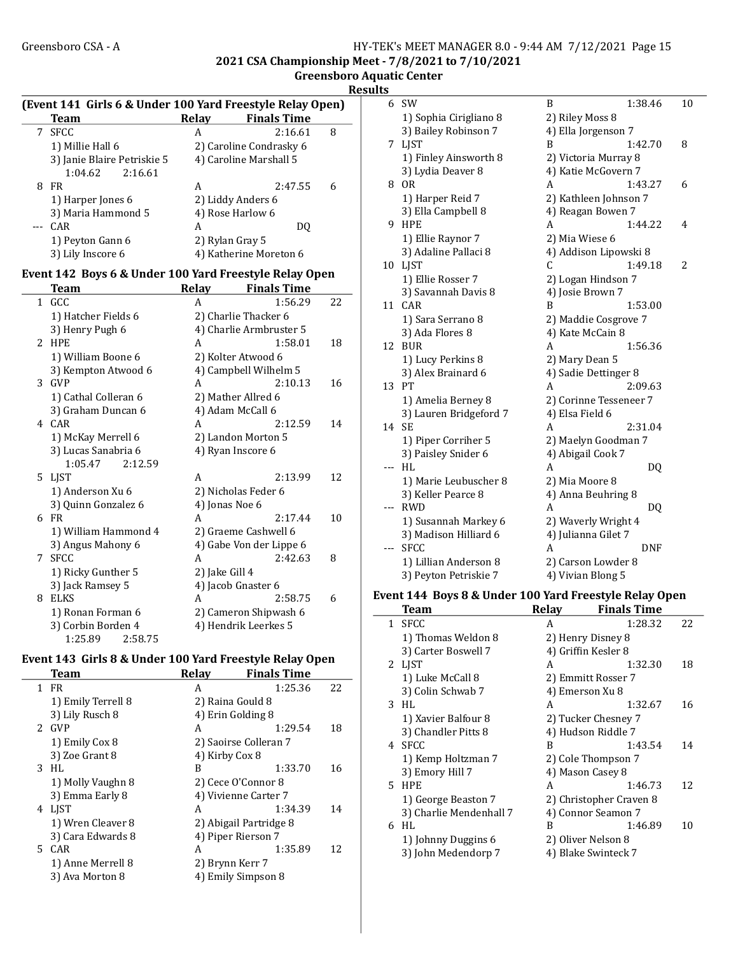2021 CSA Championship Meet - 7/8/2021 to 7/10/2021

| <b>Greensboro Aquatic Center</b> |  |  |
|----------------------------------|--|--|
|                                  |  |  |

| Results |
|---------|
|---------|

|              | (Event 141 Girls 6 & Under 100 Yard Freestyle Relay Open)<br><b>Team</b> |                 | Relay Finals Time       |    |
|--------------|--------------------------------------------------------------------------|-----------------|-------------------------|----|
| 7            | <b>SFCC</b>                                                              | A               | 2:16.61                 | 8  |
|              | 1) Millie Hall 6                                                         |                 | 2) Caroline Condrasky 6 |    |
|              | 3) Janie Blaire Petriskie 5                                              |                 | 4) Caroline Marshall 5  |    |
|              | 2:16.61<br>1:04.62                                                       |                 |                         |    |
| 8            | <b>FR</b>                                                                | A               | 2:47.55                 | 6  |
|              | 1) Harper Jones 6                                                        |                 | 2) Liddy Anders 6       |    |
|              | 3) Maria Hammond 5                                                       |                 | 4) Rose Harlow 6        |    |
| $---$        | CAR                                                                      | A               | DQ                      |    |
|              | 1) Peyton Gann 6                                                         | 2) Rylan Gray 5 |                         |    |
|              | 3) Lily Inscore 6                                                        |                 | 4) Katherine Moreton 6  |    |
|              |                                                                          |                 |                         |    |
|              | Event 142 Boys 6 & Under 100 Yard Freestyle Relay Open<br><b>Team</b>    | Relay           | <b>Finals Time</b>      |    |
| $\mathbf{1}$ | GCC                                                                      | A               | 1:56.29                 | 22 |
|              |                                                                          |                 |                         |    |
|              | 1) Hatcher Fields 6                                                      |                 | 2) Charlie Thacker 6    |    |
|              | 3) Henry Pugh 6                                                          |                 | 4) Charlie Armbruster 5 |    |
|              | 2 HPE                                                                    | A               | 1:58.01                 | 18 |
|              | 1) William Boone 6                                                       |                 | 2) Kolter Atwood 6      |    |
|              | 3) Kempton Atwood 6                                                      |                 | 4) Campbell Wilhelm 5   |    |
| 3            | GVP                                                                      | A               | 2:10.13                 | 16 |
|              | 1) Cathal Colleran 6                                                     |                 | 2) Mather Allred 6      |    |
|              | 3) Graham Duncan 6                                                       |                 | 4) Adam McCall 6        |    |
|              | 4 CAR                                                                    | A               | 2:12.59                 | 14 |
|              | 1) McKay Merrell 6                                                       |                 | 2) Landon Morton 5      |    |
|              | 3) Lucas Sanabria 6                                                      |                 | 4) Ryan Inscore 6       |    |
|              | 1:05.47<br>2:12.59                                                       |                 |                         |    |
|              | 5 LJST                                                                   | A               | 2:13.99                 | 12 |
|              | 1) Anderson Xu 6                                                         |                 | 2) Nicholas Feder 6     |    |
|              | 3) Quinn Gonzalez 6                                                      | 4) Jonas Noe 6  |                         |    |
|              | 6 FR                                                                     | A               | 2:17.44                 | 10 |
|              | 1) William Hammond 4                                                     |                 | 2) Graeme Cashwell 6    |    |
|              | 3) Angus Mahony 6                                                        |                 | 4) Gabe Von der Lippe 6 |    |
| 7            | <b>SFCC</b>                                                              | A               | 2:42.63                 | 8  |
|              | 1) Ricky Gunther 5                                                       | 2) Jake Gill 4  |                         |    |
|              | 3) Jack Ramsey 5                                                         |                 | 4) Jacob Gnaster 6      |    |
| 8            | ELKS                                                                     | A               | 2:58.75                 | 6  |
|              | 1) Ronan Forman 6                                                        |                 | 2) Cameron Shipwash 6   |    |
|              | 3) Corbin Borden 4                                                       |                 | 4) Hendrik Leerkes 5    |    |
|              | 1:25.89<br>2:58.75                                                       |                 |                         |    |

#### Event 143 Girls 8 & Under 100 Yard Freestyle Relay Open Team Relay Finals Time

|    | теаш               | лсіау             | гшатэ гипе             |    |
|----|--------------------|-------------------|------------------------|----|
| 1. | FR                 | A                 | 1:25.36                | 22 |
|    | 1) Emily Terrell 8 | 2) Raina Gould 8  |                        |    |
|    | 3) Lily Rusch 8    | 4) Erin Golding 8 |                        |    |
| 2. | <b>GVP</b>         | A                 | 1:29.54                | 18 |
|    | 1) Emily Cox 8     |                   | 2) Saoirse Colleran 7  |    |
|    | 3) Zoe Grant 8     | 4) Kirby Cox 8    |                        |    |
| 3. | HL.                | B                 | 1:33.70                | 16 |
|    | 1) Molly Vaughn 8  |                   | 2) Cece O'Connor 8     |    |
|    | 3) Emma Early 8    |                   | 4) Vivienne Carter 7   |    |
| 4  | LIST               | A                 | 1:34.39                | 14 |
|    | 1) Wren Cleaver 8  |                   | 2) Abigail Partridge 8 |    |
|    | 3) Cara Edwards 8  |                   | 4) Piper Rierson 7     |    |
|    | 5 CAR              | A                 | 1:35.89                | 12 |
|    | 1) Anne Merrell 8  | 2) Brynn Kerr 7   |                        |    |
|    | 3) Ava Morton 8    |                   | 4) Emily Simpson 8     |    |
|    |                    |                   |                        |    |

| 6        | <b>SW</b>              | B                      | 1:38.46 | 10 |
|----------|------------------------|------------------------|---------|----|
|          | 1) Sophia Cirigliano 8 | 2) Riley Moss 8        |         |    |
|          | 3) Bailey Robinson 7   | 4) Ella Jorgenson 7    |         |    |
| 7        | <b>LIST</b>            | B                      | 1:42.70 | 8  |
|          | 1) Finley Ainsworth 8  | 2) Victoria Murray 8   |         |    |
|          | 3) Lydia Deaver 8      | 4) Katie McGovern 7    |         |    |
| 8        | <b>OR</b>              | A                      | 1:43.27 | 6  |
|          | 1) Harper Reid 7       | 2) Kathleen Johnson 7  |         |    |
|          | 3) Ella Campbell 8     | 4) Reagan Bowen 7      |         |    |
| 9        | <b>HPE</b>             | A                      | 1:44.22 | 4  |
|          | 1) Ellie Raynor 7      | 2) Mia Wiese 6         |         |    |
|          | 3) Adaline Pallaci 8   | 4) Addison Lipowski 8  |         |    |
| 10       | LJST                   | C                      | 1:49.18 | 2  |
|          | 1) Ellie Rosser 7      | 2) Logan Hindson 7     |         |    |
|          | 3) Savannah Davis 8    | 4) Josie Brown 7       |         |    |
| 11       | CAR                    | B                      | 1:53.00 |    |
|          | 1) Sara Serrano 8      | 2) Maddie Cosgrove 7   |         |    |
|          | 3) Ada Flores 8        | 4) Kate McCain 8       |         |    |
| 12       | <b>BUR</b>             | А                      | 1:56.36 |    |
|          | 1) Lucy Perkins 8      | 2) Mary Dean 5         |         |    |
|          | 3) Alex Brainard 6     | 4) Sadie Dettinger 8   |         |    |
| 13       | PT                     | A                      | 2:09.63 |    |
|          | 1) Amelia Berney 8     | 2) Corinne Tesseneer 7 |         |    |
|          | 3) Lauren Bridgeford 7 | 4) Elsa Field 6        |         |    |
| 14       | <b>SE</b>              | А                      | 2:31.04 |    |
|          | 1) Piper Corriher 5    | 2) Maelyn Goodman 7    |         |    |
|          | 3) Paisley Snider 6    | 4) Abigail Cook 7      |         |    |
| ---      | HL                     | А                      | DQ      |    |
|          | 1) Marie Leubuscher 8  | 2) Mia Moore 8         |         |    |
|          | 3) Keller Pearce 8     | 4) Anna Beuhring 8     |         |    |
| ---      | RWD                    | A                      | DQ      |    |
|          | 1) Susannah Markey 6   | 2) Waverly Wright 4    |         |    |
|          | 3) Madison Hilliard 6  | 4) Julianna Gilet 7    |         |    |
| $\cdots$ | <b>SFCC</b>            | A                      | DNF     |    |
|          | 1) Lillian Anderson 8  | 2) Carson Lowder 8     |         |    |
|          | 3) Peyton Petriskie 7  | 4) Vivian Blong 5      |         |    |

#### Event 144 Boys 8 & Under 100 Yard Freestyle Relay Open

| Team                    | Relay | <b>Finals Time</b>      |    |
|-------------------------|-------|-------------------------|----|
| 1 SFCC                  | A     | 1:28.32                 | 22 |
| 1) Thomas Weldon 8      |       | 2) Henry Disney 8       |    |
| 3) Carter Boswell 7     |       | 4) Griffin Kesler 8     |    |
| 2 LJST                  | A     | 1:32.30                 | 18 |
| 1) Luke McCall 8        |       | 2) Emmitt Rosser 7      |    |
| 3) Colin Schwab 7       |       | 4) Emerson Xu 8         |    |
| 3 HL                    | A     | 1:32.67                 | 16 |
| 1) Xavier Balfour 8     |       | 2) Tucker Chesney 7     |    |
| 3) Chandler Pitts 8     |       | 4) Hudson Riddle 7      |    |
| 4 SFCC                  | B     | 1:43.54                 | 14 |
| 1) Kemp Holtzman 7      |       | 2) Cole Thompson 7      |    |
| 3) Emory Hill 7         |       | 4) Mason Casey 8        |    |
| 5 HPE                   | A     | 1:46.73                 | 12 |
| 1) George Beaston 7     |       | 2) Christopher Craven 8 |    |
| 3) Charlie Mendenhall 7 |       | 4) Connor Seamon 7      |    |
| HL<br>6                 | B     | 1:46.89                 | 10 |
| 1) Johnny Duggins 6     |       | 2) Oliver Nelson 8      |    |
| 3) John Medendorp 7     |       | 4) Blake Swinteck 7     |    |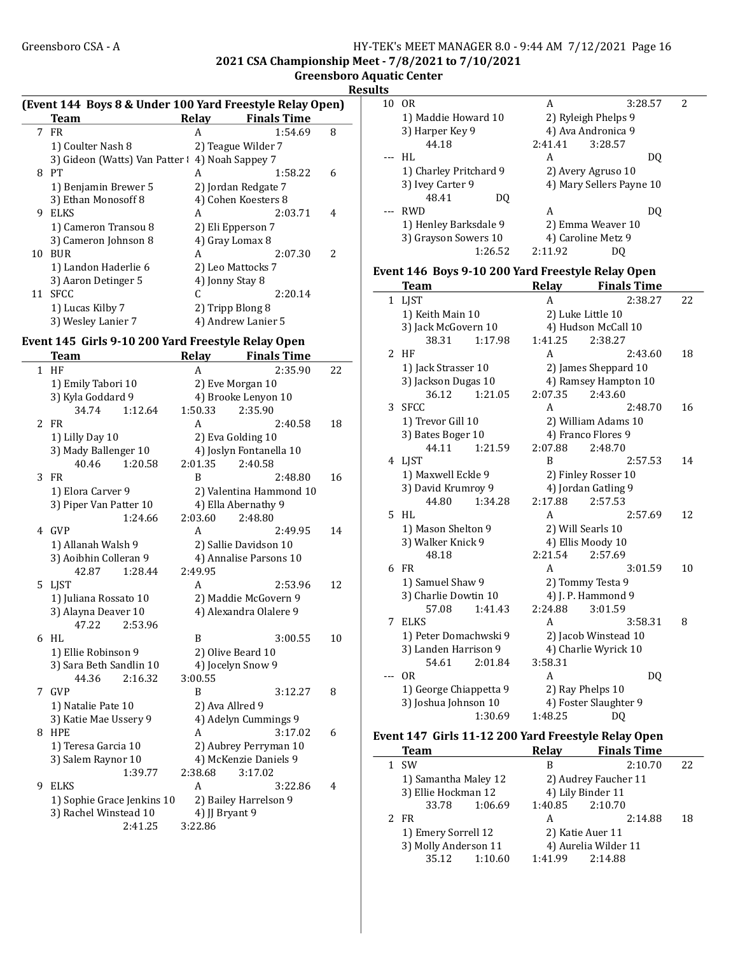#### Greensboro CSA - A <br>HY-TEK's MEET MANAGER 8.0 - 9:44 AM 7/12/2021 Page 16 2021 CSA Championship Meet - 7/8/2021 to 7/10/2021

Greensboro Aquatic Center **Results** 

|  |  | (Event 144 Boys 8 & Under 100 Yard Freestyle Relay Open) |  |
|--|--|----------------------------------------------------------|--|
|  |  |                                                          |  |
|  |  |                                                          |  |

| <b>Team</b>          | Relay | <b>Finals Time</b>           |                                                                                                                                                                                                                |
|----------------------|-------|------------------------------|----------------------------------------------------------------------------------------------------------------------------------------------------------------------------------------------------------------|
| FR                   | A     | 1:54.69                      | 8                                                                                                                                                                                                              |
| 1) Coulter Nash 8    |       |                              |                                                                                                                                                                                                                |
|                      |       |                              |                                                                                                                                                                                                                |
| PТ                   | A     | 1:58.22                      | 6                                                                                                                                                                                                              |
| 1) Benjamin Brewer 5 |       |                              |                                                                                                                                                                                                                |
| 3) Ethan Monosoff 8  |       |                              |                                                                                                                                                                                                                |
| ELKS                 | A     | 2:03.71                      | 4                                                                                                                                                                                                              |
| 1) Cameron Transou 8 |       |                              |                                                                                                                                                                                                                |
| 3) Cameron Johnson 8 |       |                              |                                                                                                                                                                                                                |
| <b>BUR</b>           | A     | 2:07.30                      | $\overline{\mathcal{L}}$                                                                                                                                                                                       |
| 1) Landon Haderlie 6 |       |                              |                                                                                                                                                                                                                |
| 3) Aaron Detinger 5  |       |                              |                                                                                                                                                                                                                |
| SFCC                 |       | 2:20.14                      |                                                                                                                                                                                                                |
| 1) Lucas Kilby 7     |       |                              |                                                                                                                                                                                                                |
| 3) Wesley Lanier 7   |       |                              |                                                                                                                                                                                                                |
|                      |       | 3) Gideon (Watts) Van Patter | 2) Teague Wilder 7<br>4) Noah Sappey 7<br>2) Jordan Redgate 7<br>4) Cohen Koesters 8<br>2) Eli Epperson 7<br>4) Gray Lomax 8<br>2) Leo Mattocks 7<br>4) Jonny Stay 8<br>2) Tripp Blong 8<br>4) Andrew Lanier 5 |

# Event 145 Girls 9-10 200 Yard Freestyle Relay Open

|    | Team                       | Relay           | <b>Finals Time</b>      |    |
|----|----------------------------|-----------------|-------------------------|----|
|    | $1$ HF                     | A               | 2:35.90                 | 22 |
|    | 1) Emily Tabori 10         |                 | 2) Eve Morgan 10        |    |
|    | 3) Kyla Goddard 9          |                 | 4) Brooke Lenyon 10     |    |
|    | 34.74<br>1:12.64           | 1:50.33         | 2:35.90                 |    |
| 2  | <b>FR</b>                  | A               | 2:40.58                 | 18 |
|    | 1) Lilly Day 10            |                 | 2) Eva Golding 10       |    |
|    | 3) Mady Ballenger 10       |                 | 4) Joslyn Fontanella 10 |    |
|    | 40.46<br>1:20.58           | 2:01.35         | 2:40.58                 |    |
| 3  | FR                         | R               | 2:48.80                 | 16 |
|    | 1) Elora Carver 9          |                 | 2) Valentina Hammond 10 |    |
|    | 3) Piper Van Patter 10     |                 | 4) Ella Abernathy 9     |    |
|    | 1:24.66                    | 2:03.60         | 2:48.80                 |    |
|    | 4 GVP                      | A               | 2:49.95                 | 14 |
|    | 1) Allanah Walsh 9         |                 | 2) Sallie Davidson 10   |    |
|    | 3) Aoibhin Colleran 9      |                 | 4) Annalise Parsons 10  |    |
|    | 42.87<br>1:28.44           | 2:49.95         |                         |    |
| 5. | LIST                       | A               | 2:53.96                 | 12 |
|    | 1) Juliana Rossato 10      |                 | 2) Maddie McGovern 9    |    |
|    | 3) Alayna Deaver 10        |                 | 4) Alexandra Olalere 9  |    |
|    | 47.22<br>2:53.96           |                 |                         |    |
| 6  | HL                         | B               | 3:00.55                 | 10 |
|    | 1) Ellie Robinson 9        |                 | 2) Olive Beard 10       |    |
|    | 3) Sara Beth Sandlin 10    |                 | 4) Jocelyn Snow 9       |    |
|    | 44.36<br>2:16.32           | 3:00.55         |                         |    |
| 7  | GVP                        | R               | 3:12.27                 | 8  |
|    | 1) Natalie Pate 10         | 2) Ava Allred 9 |                         |    |
|    | 3) Katie Mae Ussery 9      |                 | 4) Adelyn Cummings 9    |    |
| 8  | <b>HPE</b>                 | A               | 3:17.02                 | 6  |
|    | 1) Teresa Garcia 10        |                 | 2) Aubrey Perryman 10   |    |
|    | 3) Salem Raynor 10         |                 | 4) McKenzie Daniels 9   |    |
|    | 1:39.77                    | 2:38.68         | 3:17.02                 |    |
| 9  | <b>ELKS</b>                | A               | 3:22.86                 | 4  |
|    | 1) Sophie Grace Jenkins 10 |                 | 2) Bailey Harrelson 9   |    |
|    | 3) Rachel Winstead 10      | 4) JJ Bryant 9  |                         |    |
|    | 2:41.25                    | 3:22.86         |                         |    |

| 10 | 0 <sub>R</sub>         | А       | 3:28.57                  | 2 |
|----|------------------------|---------|--------------------------|---|
|    | 1) Maddie Howard 10    |         | 2) Ryleigh Phelps 9      |   |
|    | 3) Harper Key 9        |         | 4) Ava Andronica 9       |   |
|    | 44.18                  | 2:41.41 | 3:28.57                  |   |
|    | HL                     | А       | DO                       |   |
|    | 1) Charley Pritchard 9 |         | 2) Avery Agruso 10       |   |
|    | 3) Ivey Carter 9       |         | 4) Mary Sellers Payne 10 |   |
|    | 48.41                  | DΟ      |                          |   |
|    | <b>RWD</b>             | А       | DΟ                       |   |
|    | 1) Henley Barksdale 9  |         | 2) Emma Weaver 10        |   |
|    | 3) Grayson Sowers 10   |         | 4) Caroline Metz 9       |   |
|    | 1:26.52                | 2:11.92 | DΟ                       |   |
|    |                        |         |                          |   |

## Event 146 Boys 9-10 200 Yard Freestyle Relay Open

|   | <b>Team</b>            |         | Relay   | <b>Finals Time</b>    |    |
|---|------------------------|---------|---------|-----------------------|----|
|   | 1 LJST                 |         | A       | 2:38.27               | 22 |
|   | 1) Keith Main 10       |         |         | 2) Luke Little 10     |    |
|   | 3) Jack McGovern 10    |         |         | 4) Hudson McCall 10   |    |
|   | 38.31                  | 1:17.98 | 1:41.25 | 2:38.27               |    |
| 2 | HF                     |         | A       | 2:43.60               | 18 |
|   | 1) Jack Strasser 10    |         |         | 2) James Sheppard 10  |    |
|   | 3) Jackson Dugas 10    |         |         | 4) Ramsey Hampton 10  |    |
|   | 36.12                  | 1:21.05 | 2:07.35 | 2:43.60               |    |
|   | 3 SFCC                 |         | A       | 2:48.70               | 16 |
|   | 1) Trevor Gill 10      |         |         | 2) William Adams 10   |    |
|   | 3) Bates Boger 10      |         |         | 4) Franco Flores 9    |    |
|   | 44.11                  | 1:21.59 | 2:07.88 | 2:48.70               |    |
|   | 4 LJST                 |         | B       | 2:57.53               | 14 |
|   | 1) Maxwell Eckle 9     |         |         | 2) Finley Rosser 10   |    |
|   | 3) David Krumroy 9     |         |         | 4) Jordan Gatling 9   |    |
|   | 44.80                  | 1:34.28 | 2:17.88 | 2:57.53               |    |
|   | 5 HL                   |         | A       | 2:57.69               | 12 |
|   | 1) Mason Shelton 9     |         |         | 2) Will Searls 10     |    |
|   | 3) Walker Knick 9      |         |         | 4) Ellis Moody 10     |    |
|   | 48.18                  |         | 2:21.54 | 2:57.69               |    |
| 6 | FR                     |         | A       | 3:01.59               | 10 |
|   | 1) Samuel Shaw 9       |         |         | 2) Tommy Testa 9      |    |
|   | 3) Charlie Dowtin 10   |         |         | 4) J. P. Hammond 9    |    |
|   | 57.08                  | 1:41.43 | 2:24.88 | 3:01.59               |    |
| 7 | <b>ELKS</b>            |         | A       | 3:58.31               | 8  |
|   | 1) Peter Domachwski 9  |         |         | 2) Jacob Winstead 10  |    |
|   | 3) Landen Harrison 9   |         |         | 4) Charlie Wyrick 10  |    |
|   | 54.61                  | 2:01.84 | 3:58.31 |                       |    |
|   | 0 <sub>R</sub>         |         | A       | D <sub>0</sub>        |    |
|   | 1) George Chiappetta 9 |         |         | 2) Ray Phelps 10      |    |
|   | 3) Joshua Johnson 10   |         |         | 4) Foster Slaughter 9 |    |
|   |                        | 1:30.69 | 1:48.25 | DQ                    |    |

## Event 147 Girls 11-12 200 Yard Freestyle Relay Open

| <b>Team</b>          |         | <b>Relav</b>      | <b>Finals Time</b>   |    |
|----------------------|---------|-------------------|----------------------|----|
| <b>SW</b>            |         | B                 | 2:10.70              | 22 |
| 1) Samantha Maley 12 |         |                   | 2) Audrey Faucher 11 |    |
| 3) Ellie Hockman 12  |         | 4) Lily Binder 11 |                      |    |
| 33.78                | 1:06.69 | 1:40.85           | 2:10.70              |    |
| 2 FR                 |         | А                 | 2:14.88              | 18 |
| 1) Emery Sorrell 12  |         | 2) Katie Auer 11  |                      |    |
| 3) Molly Anderson 11 |         |                   | 4) Aurelia Wilder 11 |    |
| 35.12                | 1:10.60 | 1:41.99           | 2:14.88              |    |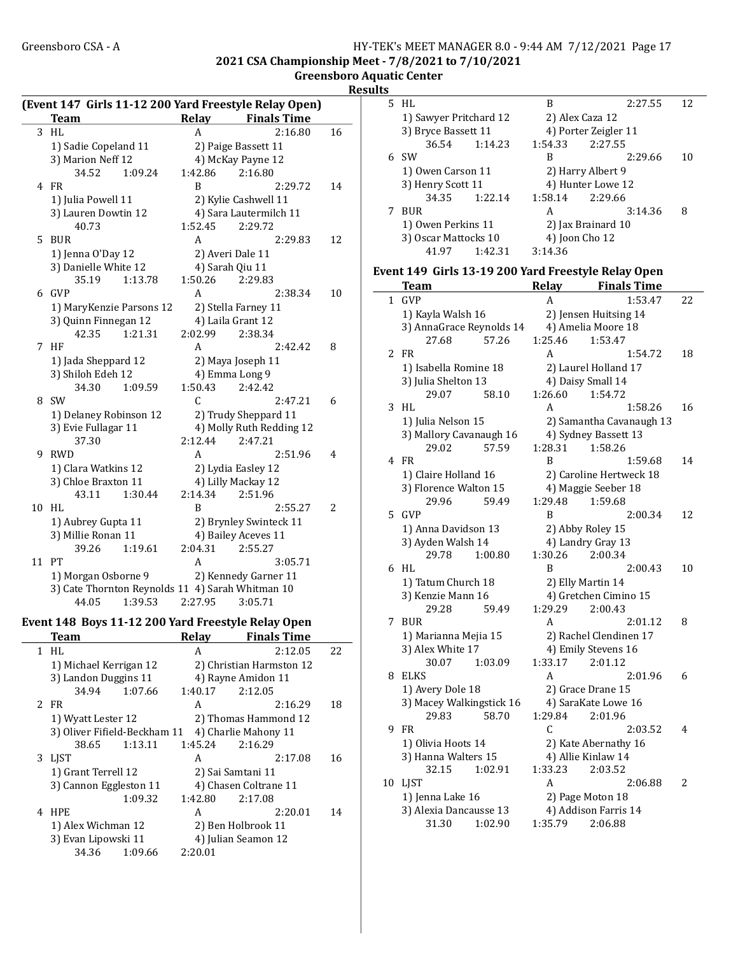#### Greensboro CSA - A <br>
HY-TEK's MEET MANAGER 8.0 - 9:44 AM 7/12/2021 Page 17 2021 CSA Championship Meet - 7/8/2021 to 7/10/2021 Greensboro Aquatic Center

Result

| (Event 147 Girls 11-12 200 Yard Freestyle Relay Open) |                                                  |                     |                          |    |  |  |
|-------------------------------------------------------|--------------------------------------------------|---------------------|--------------------------|----|--|--|
|                                                       | <b>Team</b>                                      | Relay               | <b>Finals Time</b>       |    |  |  |
| 3                                                     | HL                                               | A                   | 2:16.80                  | 16 |  |  |
|                                                       | 1) Sadie Copeland 11                             |                     | 2) Paige Bassett 11      |    |  |  |
|                                                       | 3) Marion Neff 12                                |                     | 4) McKay Payne 12        |    |  |  |
|                                                       | 34.52<br>1:09.24                                 | 1:42.86             | 2:16.80                  |    |  |  |
| 4                                                     | <b>FR</b>                                        | <sub>R</sub>        | 2:29.72                  | 14 |  |  |
|                                                       | 1) Julia Powell 11                               |                     | 2) Kylie Cashwell 11     |    |  |  |
|                                                       | 3) Lauren Dowtin 12                              |                     | 4) Sara Lautermilch 11   |    |  |  |
|                                                       | 40.73                                            | 1:52.45             | 2:29.72                  |    |  |  |
| 5                                                     | <b>BUR</b>                                       | A                   | 2:29.83                  | 12 |  |  |
|                                                       | 1) Jenna O'Day 12                                | 2) Averi Dale 11    |                          |    |  |  |
|                                                       | 3) Danielle White 12                             | 4) Sarah Qiu 11     |                          |    |  |  |
|                                                       | 35.19<br>1:13.78                                 | 1:50.26             | 2:29.83                  |    |  |  |
| 6                                                     | GVP                                              | A                   | 2:38.34                  | 10 |  |  |
|                                                       | 1) MaryKenzie Parsons 12                         | 2) Stella Farney 11 |                          |    |  |  |
|                                                       | 3) Quinn Finnegan 12                             | 4) Laila Grant 12   |                          |    |  |  |
|                                                       | 42.35<br>1:21.31                                 | 2:02.99             | 2:38.34                  |    |  |  |
| 7                                                     | ΗF                                               | A                   | 2:42.42                  | 8  |  |  |
|                                                       | 1) Jada Sheppard 12                              |                     | 2) Maya Joseph 11        |    |  |  |
|                                                       | 3) Shiloh Edeh 12                                | 4) Emma Long 9      |                          |    |  |  |
|                                                       | 34.30<br>1:09.59                                 | 1:50.43             | 2:42.42                  |    |  |  |
| 8                                                     | <b>SW</b>                                        | C                   | 2:47.21                  | 6  |  |  |
|                                                       | 1) Delaney Robinson 12                           |                     | 2) Trudy Sheppard 11     |    |  |  |
|                                                       | 3) Evie Fullagar 11                              |                     | 4) Molly Ruth Redding 12 |    |  |  |
|                                                       | 37.30                                            | 2:12.44             | 2:47.21                  |    |  |  |
| 9                                                     | <b>RWD</b>                                       | A                   | 2:51.96                  | 4  |  |  |
|                                                       | 1) Clara Watkins 12                              | 2) Lydia Easley 12  |                          |    |  |  |
|                                                       | 3) Chloe Braxton 11                              | 4) Lilly Mackay 12  |                          |    |  |  |
|                                                       | 43.11<br>1:30.44                                 | 2:14.34             | 2:51.96                  |    |  |  |
| 10                                                    | HL                                               | B                   | 2:55.27                  | 2  |  |  |
|                                                       | 1) Aubrey Gupta 11                               |                     | 2) Brynley Swinteck 11   |    |  |  |
|                                                       | 3) Millie Ronan 11                               |                     | 4) Bailey Aceves 11      |    |  |  |
|                                                       | 39.26<br>1:19.61                                 | 2:04.31             | 2:55.27                  |    |  |  |
| 11                                                    | PT                                               | A                   | 3:05.71                  |    |  |  |
|                                                       | 1) Morgan Osborne 9                              |                     | 2) Kennedy Garner 11     |    |  |  |
|                                                       | 3) Cate Thornton Reynolds 11 4) Sarah Whitman 10 |                     |                          |    |  |  |
|                                                       | 1:39.53<br>44.05                                 | 2:27.95             | 3:05.71                  |    |  |  |

# Event 148 Boys 11-12 200 Yard Freestyle Relay Open

 $\overline{\phantom{0}}$ 

|   | Team                         | <b>Relay</b>      | <b>Finals Time</b>       |    |
|---|------------------------------|-------------------|--------------------------|----|
|   | 1 HL                         | A                 | 2:12.05                  | 22 |
|   | 1) Michael Kerrigan 12       |                   | 2) Christian Harmston 12 |    |
|   | 3) Landon Duggins 11         |                   | 4) Rayne Amidon 11       |    |
|   | 34.94<br>1:07.66             | 1:40.17           | 2:12.05                  |    |
|   | 2 FR                         | A                 | 2:16.29                  | 18 |
|   | 1) Wyatt Lester 12           |                   | 2) Thomas Hammond 12     |    |
|   | 3) Oliver Fifield-Beckham 11 |                   | 4) Charlie Mahony 11     |    |
|   | 38.65<br>1:13.11             | 1:45.24           | 2:16.29                  |    |
| 3 | <b>LIST</b>                  | A                 | 2:17.08                  | 16 |
|   | 1) Grant Terrell 12          | 2) Sai Samtani 11 |                          |    |
|   | 3) Cannon Eggleston 11       |                   | 4) Chasen Coltrane 11    |    |
|   | 1:09.32                      | 1:42.80           | 2:17.08                  |    |
|   | 4 HPE                        | A                 | 2:20.01                  | 14 |
|   | 1) Alex Wichman 12           |                   | 2) Ben Holbrook 11       |    |
|   | 3) Evan Lipowski 11          |                   | 4) Julian Seamon 12      |    |
|   | 34.36<br>1:09.66             | 2:20.01           |                          |    |
|   |                              |                   |                          |    |

|  | 5 HL                                       |         | B                 | 2:27.55              | 12 |  |
|--|--------------------------------------------|---------|-------------------|----------------------|----|--|
|  | 1) Sawyer Pritchard 12                     |         |                   | 2) Alex Caza 12      |    |  |
|  | 3) Bryce Bassett 11                        |         |                   | 4) Porter Zeigler 11 |    |  |
|  | 36.54                                      | 1:14.23 | 1:54.33           | 2:27.55              |    |  |
|  | 6. SW                                      |         | В                 | 2:29.66              | 10 |  |
|  | 1) Owen Carson 11<br>3) Henry Scott 11     |         | 2) Harry Albert 9 |                      |    |  |
|  |                                            |         | 4) Hunter Lowe 12 |                      |    |  |
|  | 34.35                                      | 1:22.14 | 1:58.14           | 2:29.66              |    |  |
|  | <b>BUR</b>                                 |         | A                 | 3:14.36              | 8  |  |
|  | 1) Owen Perkins 11<br>3) Oscar Mattocks 10 |         |                   | 2) Jax Brainard 10   |    |  |
|  |                                            |         |                   | 4) Joon Cho 12       |    |  |
|  | 41.97                                      | 1:42.31 | 3:14.36           |                      |    |  |
|  |                                            |         |                   |                      |    |  |

## Event 149 Girls 13-19 200 Yard Freestyle Relay Open

|                     | <b>Team</b>              |                    | - 7 - 1<br>Relay Finals Time |    |  |
|---------------------|--------------------------|--------------------|------------------------------|----|--|
| $\mathbf{1}$        | <b>GVP</b>               | А                  | 1:53.47                      | 22 |  |
|                     | 1) Kayla Walsh 16        |                    | 2) Jensen Huitsing 14        |    |  |
|                     | 3) AnnaGrace Reynolds 14 | 4) Amelia Moore 18 |                              |    |  |
|                     | 57.26<br>27.68           | 1:25.46            | 1:53.47                      |    |  |
| 2                   | <b>FR</b>                | A                  | 1:54.72                      | 18 |  |
|                     | 1) Isabella Romine 18    |                    | 2) Laurel Holland 17         |    |  |
|                     | 3) Julia Shelton 13      |                    | 4) Daisy Small 14            |    |  |
|                     | 29.07<br>58.10           | 1:26.60            | 1:54.72                      |    |  |
| 3                   | HL                       | A                  | 1:58.26                      | 16 |  |
|                     | 1) Julia Nelson 15       |                    | 2) Samantha Cavanaugh 13     |    |  |
|                     | 3) Mallory Cavanaugh 16  |                    | 4) Sydney Bassett 13         |    |  |
|                     | 57.59<br>29.02           | 1:28.31            | 1:58.26                      |    |  |
| 4                   | FR                       | B                  | 1:59.68                      | 14 |  |
|                     | 1) Claire Holland 16     |                    | 2) Caroline Hertweck 18      |    |  |
|                     | 3) Florence Walton 15    |                    | 4) Maggie Seeber 18          |    |  |
|                     | 29.96<br>59.49           | 1:29.48            | 1:59.68                      |    |  |
| 5                   | <b>GVP</b>               | B                  | 2:00.34                      | 12 |  |
| 1) Anna Davidson 13 |                          |                    | 2) Abby Roley 15             |    |  |
|                     | 3) Ayden Walsh 14        |                    | 4) Landry Gray 13            |    |  |
|                     | 29.78<br>1:00.80         | 1:30.26            | 2:00.34                      |    |  |
| 6                   | HL                       | B                  | 2:00.43                      | 10 |  |
|                     | 1) Tatum Church 18       |                    | 2) Elly Martin 14            |    |  |
|                     | 3) Kenzie Mann 16        |                    | 4) Gretchen Cimino 15        |    |  |
|                     | 59.49<br>29.28           | 1:29.29            | 2:00.43                      |    |  |
| 7                   | <b>BUR</b>               | A                  | 2:01.12                      | 8  |  |
|                     | 1) Marianna Mejia 15     |                    | 2) Rachel Clendinen 17       |    |  |
|                     | 3) Alex White 17         |                    | 4) Emily Stevens 16          |    |  |
|                     | 1:03.09<br>30.07         | 1:33.17            | 2:01.12                      |    |  |
| 8                   | <b>ELKS</b>              | А                  | 2:01.96                      | 6  |  |
|                     | 1) Avery Dole 18         |                    | 2) Grace Drane 15            |    |  |
|                     | 3) Macey Walkingstick 16 |                    | 4) SaraKate Lowe 16          |    |  |
|                     | 58.70<br>29.83           | 1:29.84            | 2:01.96                      |    |  |
| 9                   | <b>FR</b>                | C                  | 2:03.52                      | 4  |  |
|                     | 1) Olivia Hoots 14       |                    | 2) Kate Abernathy 16         |    |  |
|                     | 3) Hanna Walters 15      |                    | 4) Allie Kinlaw 14           |    |  |
|                     | 32.15<br>1:02.91         | 1:33.23            | 2:03.52                      |    |  |
| 10                  | <b>LIST</b>              | A                  | 2:06.88                      | 2  |  |
|                     | 1) Jenna Lake 16         |                    | 2) Page Moton 18             |    |  |
|                     | 3) Alexia Dancausse 13   |                    | 4) Addison Farris 14         |    |  |
|                     | 31.30<br>1:02.90         | 1:35.79            | 2:06.88                      |    |  |